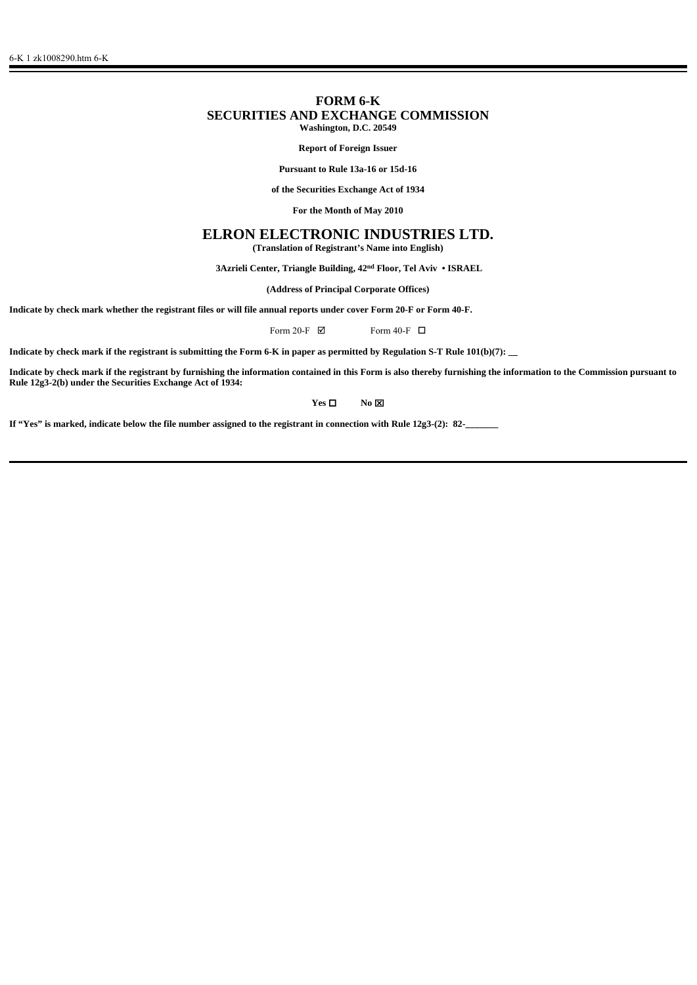# **FORM 6-K SECURITIES AND EXCHANGE COMMISSION Washington, D.C. 20549**

**Report of Foreign Issuer**

**Pursuant to Rule 13a-16 or 15d-16**

**of the Securities Exchange Act of 1934**

**For the Month of May 2010**

# **ELRON ELECTRONIC INDUSTRIES LTD.**

**(Translation of Registrant's Name into English)**

 **3Azrieli Center, Triangle Building, 42nd Floor, Tel Aviv • ISRAEL**

**(Address of Principal Corporate Offices)**

**Indicate by check mark whether the registrant files or will file annual reports under cover Form 20-F or Form 40-F.**

Form 20-F  $\boxtimes$  Form 40-F  $\Box$ 

**Indicate by check mark if the registrant is submitting the Form 6-K in paper as permitted by Regulation S-T Rule 101(b)(7): \_\_**

**Indicate by check mark if the registrant by furnishing the information contained in this Form is also thereby furnishing the information to the Commission pursuant to Rule 12g3-2(b) under the Securities Exchange Act of 1934:** 

### **Yes □** No **⊠**

**If "Yes" is marked, indicate below the file number assigned to the registrant in connection with Rule 12g3-(2): 82-**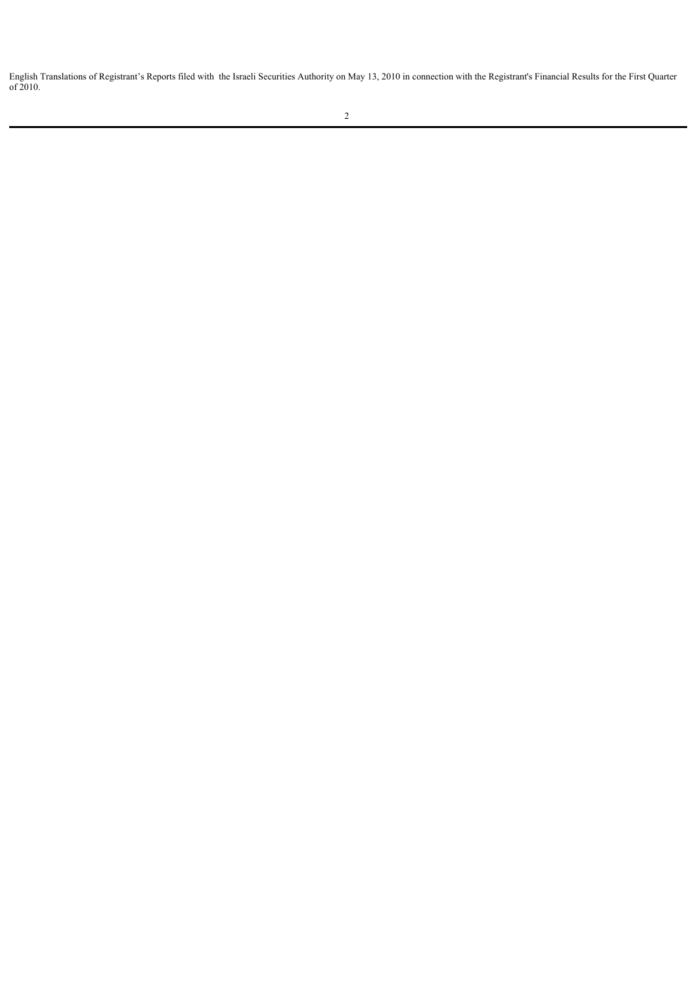English Translations of Registrant's Reports filed with the Israeli Securities Authority on May 13, 2010 in connection with the Registrant's Financial Results for the First Quarter of 2010.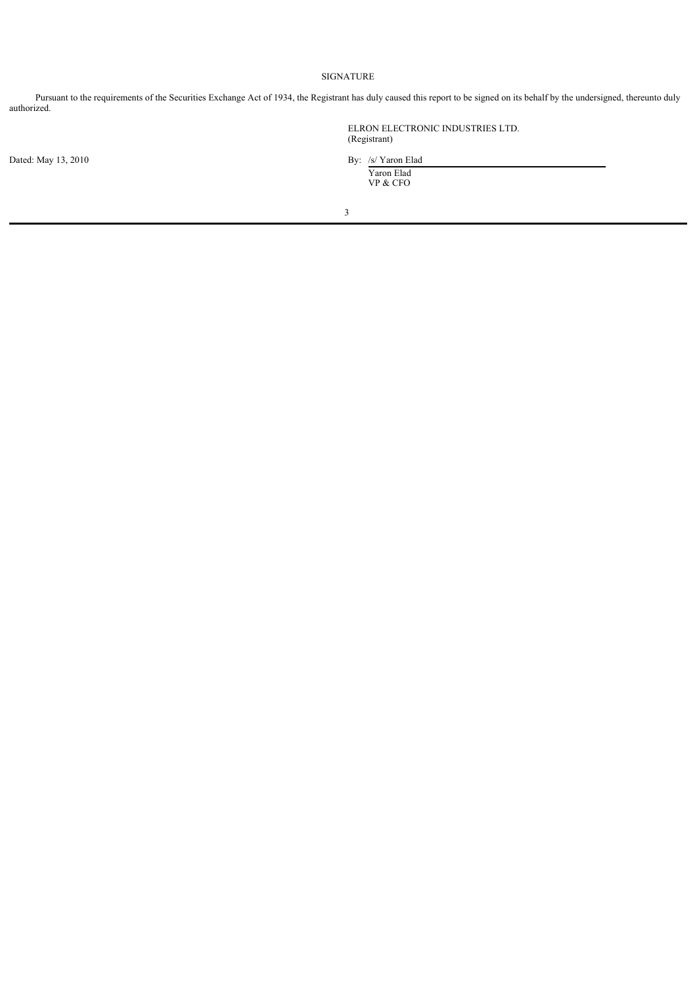## SIGNATURE

Pursuant to the requirements of the Securities Exchange Act of 1934, the Registrant has duly caused this report to be signed on its behalf by the undersigned, thereunto duly authorized.

ELRON ELECTRONIC INDUSTRIES LTD. (Registrant)

Dated: May 13, 2010 By: /s/ Yaron Elad Yaron Elad VP & CFO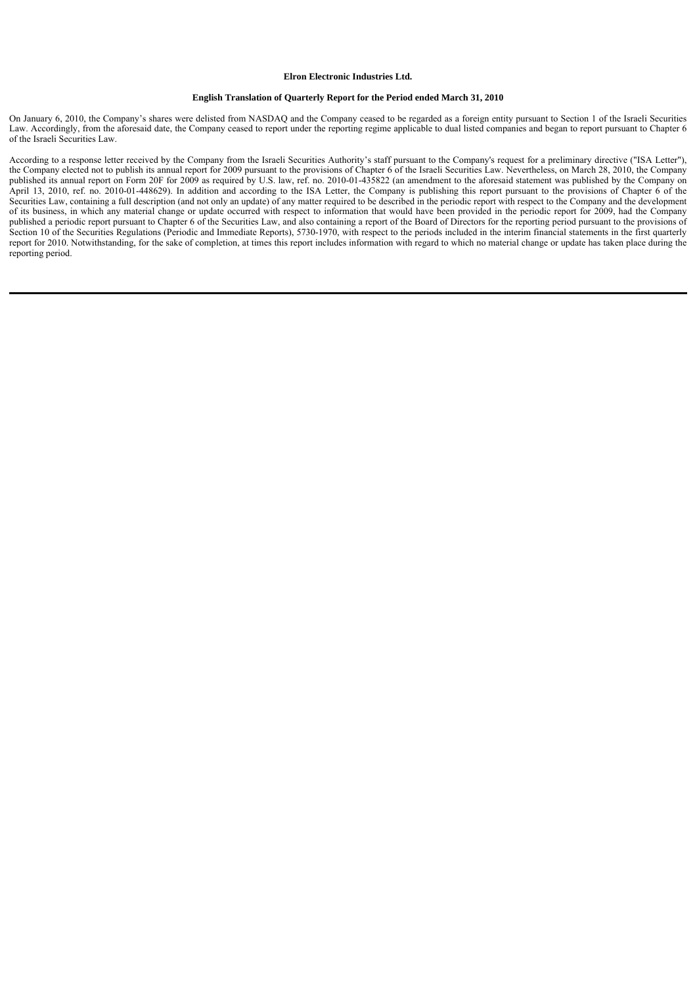#### **Elron Electronic Industries Ltd.**

#### **English Translation of Quarterly Report for the Period ended March 31, 2010**

On January 6, 2010, the Company's shares were delisted from NASDAQ and the Company ceased to be regarded as a foreign entity pursuant to Section 1 of the Israeli Securities Law. Accordingly, from the aforesaid date, the Company ceased to report under the reporting regime applicable to dual listed companies and began to report pursuant to Chapter 6 of the Israeli Securities Law.

According to a response letter received by the Company from the Israeli Securities Authority's staff pursuant to the Company's request for a preliminary directive ("ISA Letter"), the Company elected not to publish its annual report for 2009 pursuant to the provisions of Chapter 6 of the Israeli Securities Law. Nevertheless, on March 28, 2010, the Company published its annual report on Form 20F for 2009 as required by U.S. law, ref. no. 2010-01-435822 (an amendment to the aforesaid statement was published by the Company on April 13, 2010, ref. no. 2010-01-448629). In addition and according to the ISA Letter, the Company is publishing this report pursuant to the provisions of Chapter 6 of the Securities Law, containing a full description (and not only an update) of any matter required to be described in the periodic report with respect to the Company and the development of its business, in which any material change or update occurred with respect to information that would have been provided in the periodic report for 2009, had the Company published a periodic report pursuant to Chapter 6 of the Securities Law, and also containing a report of the Board of Directors for the reporting period pursuant to the provisions of Section 10 of the Securities Regulations (Periodic and Immediate Reports), 5730-1970, with respect to the periods included in the interim financial statements in the first quarterly report for 2010. Notwithstanding, for the sake of completion, at times this report includes information with regard to which no material change or update has taken place during the reporting period.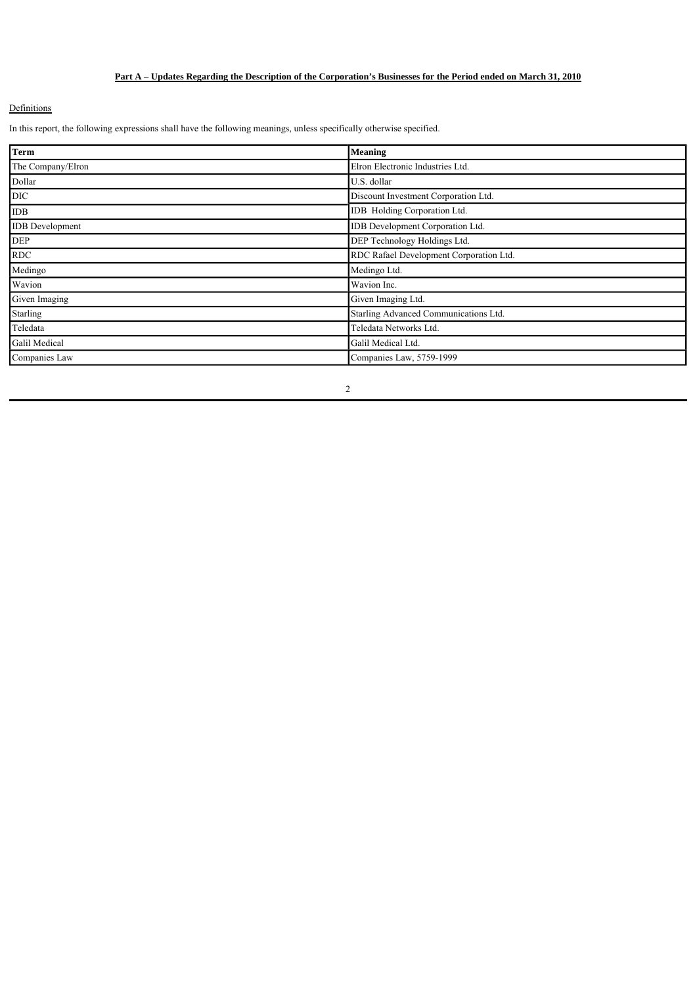# **Part A – Updates Regarding the Description of the Corporation's Businesses for the Period ended on March 31, 2010**

### **Definitions**

In this report, the following expressions shall have the following meanings, unless specifically otherwise specified.

| <b>Term</b>            | Meaning                                 |
|------------------------|-----------------------------------------|
| The Company/Elron      | Elron Electronic Industries Ltd.        |
| Dollar                 | U.S. dollar                             |
| <b>DIC</b>             | Discount Investment Corporation Ltd.    |
| <b>IDB</b>             | IDB Holding Corporation Ltd.            |
| <b>IDB</b> Development | IDB Development Corporation Ltd.        |
| <b>DEP</b>             | DEP Technology Holdings Ltd.            |
| <b>RDC</b>             | RDC Rafael Development Corporation Ltd. |
| Medingo                | Medingo Ltd.                            |
| Wavion                 | Wavion Inc.                             |
| Given Imaging          | Given Imaging Ltd.                      |
| Starling               | Starling Advanced Communications Ltd.   |
| Teledata               | Teledata Networks Ltd.                  |
| Galil Medical          | Galil Medical Ltd.                      |
| Companies Law          | Companies Law, 5759-1999                |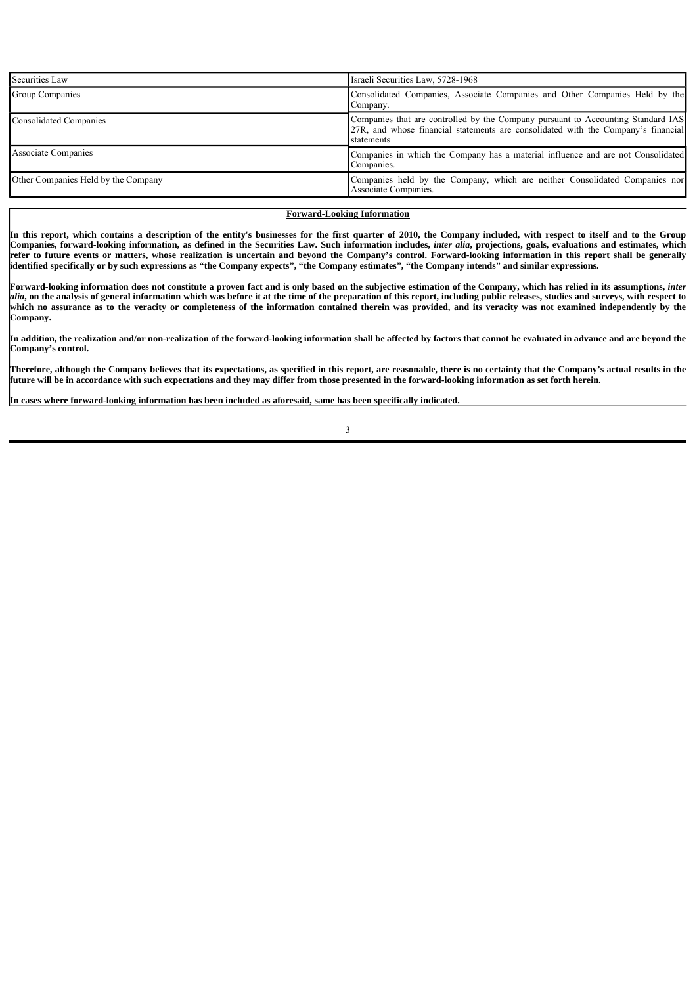| Securities Law                      | Israeli Securities Law, 5728-1968                                                                                                                                                   |
|-------------------------------------|-------------------------------------------------------------------------------------------------------------------------------------------------------------------------------------|
| Group Companies                     | Consolidated Companies, Associate Companies and Other Companies Held by the<br>Company.                                                                                             |
| <b>Consolidated Companies</b>       | Companies that are controlled by the Company pursuant to Accounting Standard IAS<br>27R, and whose financial statements are consolidated with the Company's financial<br>statements |
| <b>Associate Companies</b>          | Companies in which the Company has a material influence and are not Consolidated<br>Companies.                                                                                      |
| Other Companies Held by the Company | [Companies held by the Company, which are neither Consolidated Companies nor<br>Associate Companies.                                                                                |

# **Forward-Looking Information**

**In this report, which contains a description of the entity's businesses for the first quarter of 2010, the Company included, with respect to itself and to the Group Companies, forward-looking information, as defined in the Securities Law. Such information includes,** *inter alia***, projections, goals, evaluations and estimates, which refer to future events or matters, whose realization is uncertain and beyond the Company's control. Forward-looking information in this report shall be generally identified specifically or by such expressions as "the Company expects", "the Company estimates", "the Company intends" and similar expressions.**

Forward-looking information does not constitute a proven fact and is only based on the subjective estimation of the Company, which has relied in its assumptions, *inter alia***, on the analysis of general information which was before it at the time of the preparation of this report, including public releases, studies and surveys, with respect to which no assurance as to the veracity or completeness of the information contained therein was provided, and its veracity was not examined independently by the Company.**

**In addition, the realization and/or non-realization of the forward-looking information shall be affected by factors that cannot be evaluated in advance and are beyond the Company's control.**

**Therefore, although the Company believes that its expectations, as specified in this report, are reasonable, there is no certainty that the Company's actual results in the future will be in accordance with such expectations and they may differ from those presented in the forward-looking information as set forth herein.**

**In cases where forward-looking information has been included as aforesaid, same has been specifically indicated.**

 $\overline{\phantom{a}}$ 

 $\overline{\phantom{a}}$ 

 $\overline{\phantom{a}}$ 

 $\overline{\phantom{a}}$ 

 $\overline{\phantom{a}}$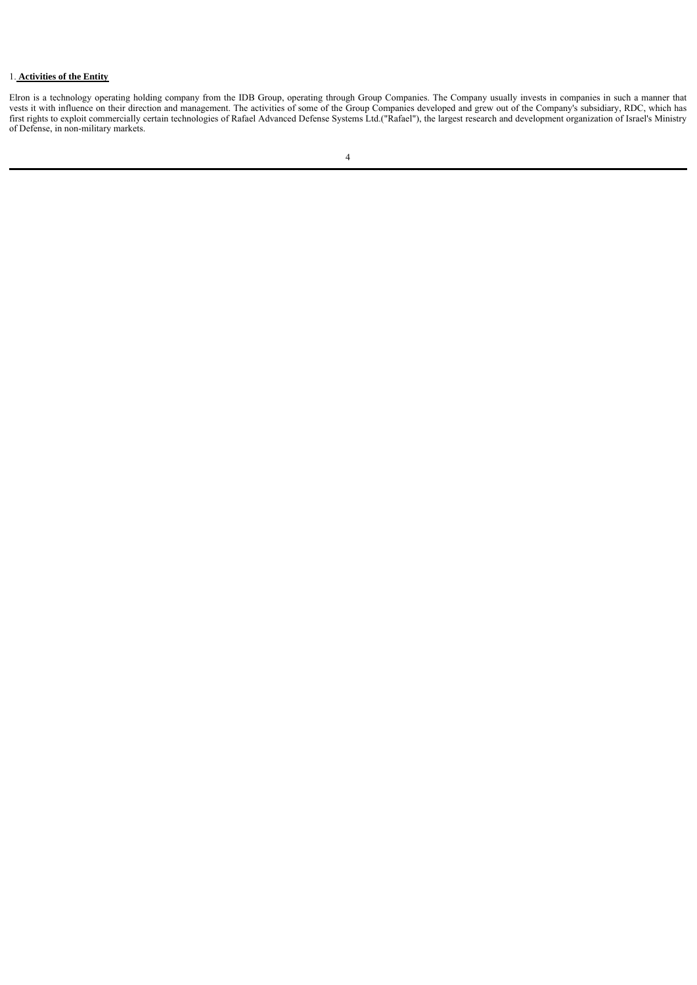#### 1. **Activities of the Entity**

Elron is a technology operating holding company from the IDB Group, operating through Group Companies. The Company usually invests in companies in such a manner that vests it with influence on their direction and management. The activities of some of the Group Companies developed and grew out of the Company's subsidiary, RDC, which has first rights to exploit commercially certain technologies of Rafael Advanced Defense Systems Ltd.("Rafael"), the largest research and development organization of Israel's Ministry of Defense, in non-military markets.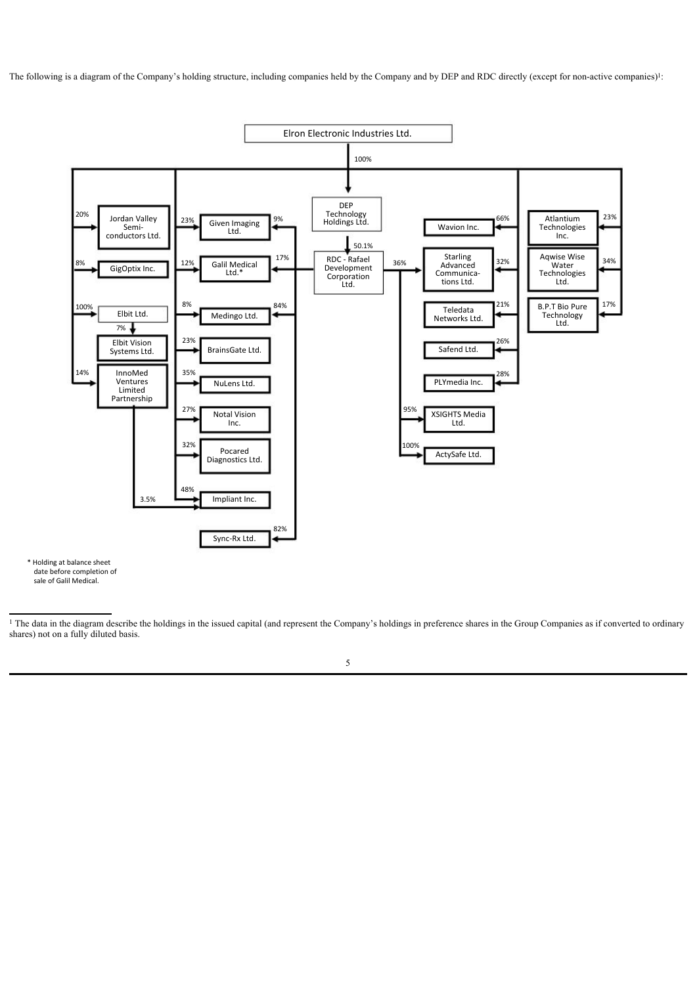The following is a diagram of the Company's holding structure, including companies held by the Company and by DEP and RDC directly (except for non-active companies)!



\* Holding at balance sheet date before completion of sale of Galil Medical.

<sup>1</sup> The data in the diagram describe the holdings in the issued capital (and represent the Company's holdings in preference shares in the Group Companies as if converted to ordinary shares) not on a fully diluted basis.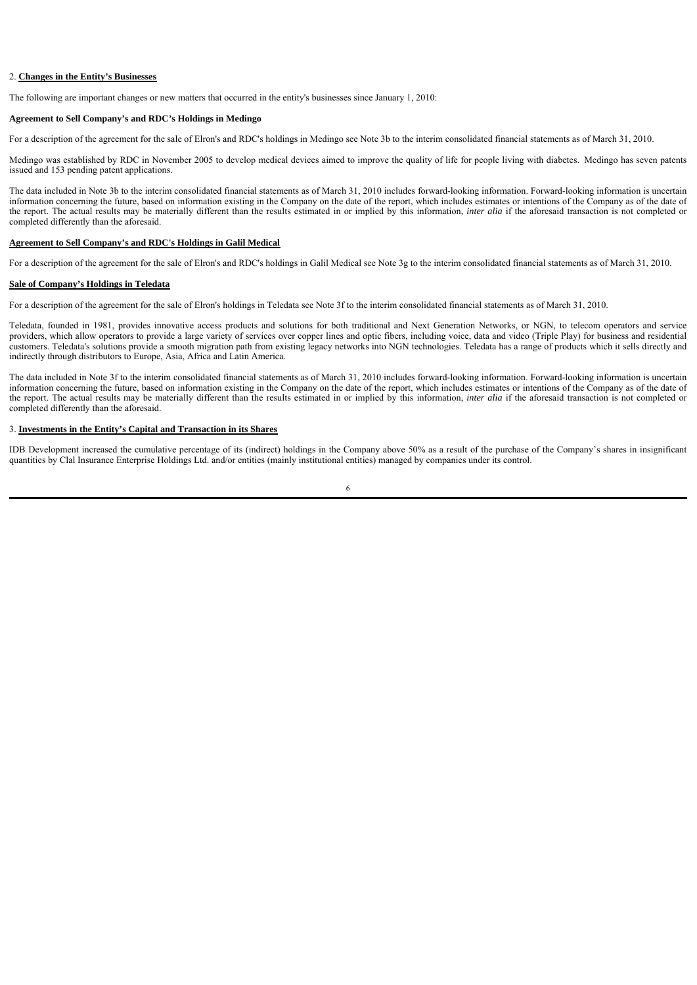# 2. **Changes in the Entity's Businesses**

The following are important changes or new matters that occurred in the entity's businesses since January 1, 2010:

### **Agreement to Sell Company's and RDC's Holdings in Medingo**

For a description of the agreement for the sale of Elron's and RDC's holdings in Medingo see Note 3b to the interim consolidated financial statements as of March 31, 2010.

Medingo was established by RDC in November 2005 to develop medical devices aimed to improve the quality of life for people living with diabetes. Medingo has seven patents issued and 153 pending patent applications.

The data included in Note 3b to the interim consolidated financial statements as of March 31, 2010 includes forward-looking information. Forward-looking information is uncertain information concerning the future, based on information existing in the Company on the date of the report, which includes estimates or intentions of the Company as of the date of the report. The actual results may be materially different than the results estimated in or implied by this information, *inter alia* if the aforesaid transaction is not completed or completed differently than the aforesaid.

### **Agreement to Sell Company's and RDC's Holdings in Galil Medical**

For a description of the agreement for the sale of Elron's and RDC's holdings in Galil Medical see Note 3g to the interim consolidated financial statements as of March 31, 2010.

#### **Sale of Company's Holdings in Teledata**

For a description of the agreement for the sale of Elron's holdings in Teledata see Note 3f to the interim consolidated financial statements as of March 31, 2010.

Teledata, founded in 1981, provides innovative access products and solutions for both traditional and Next Generation Networks, or NGN, to telecom operators and service providers, which allow operators to provide a large variety of services over copper lines and optic fibers, including voice, data and video (Triple Play) for business and residential customers. Teledata's solutions provide a smooth migration path from existing legacy networks into NGN technologies. Teledata has a range of products which it sells directly and indirectly through distributors to Europe, Asia, Africa and Latin America.

The data included in Note 3f to the interim consolidated financial statements as of March 31, 2010 includes forward-looking information. Forward-looking information is uncertain information concerning the future, based on information existing in the Company on the date of the report, which includes estimates or intentions of the Company as of the date of the report. The actual results may be materially different than the results estimated in or implied by this information, *inter alia* if the aforesaid transaction is not completed or completed differently than the aforesaid.

### 3. **Investments in the Entity's Capital and Transaction in its Shares**

IDB Development increased the cumulative percentage of its (indirect) holdings in the Company above 50% as a result of the purchase of the Company's shares in insignificant quantities by Clal Insurance Enterprise Holdings Ltd. and/or entities (mainly institutional entities) managed by companies under its control.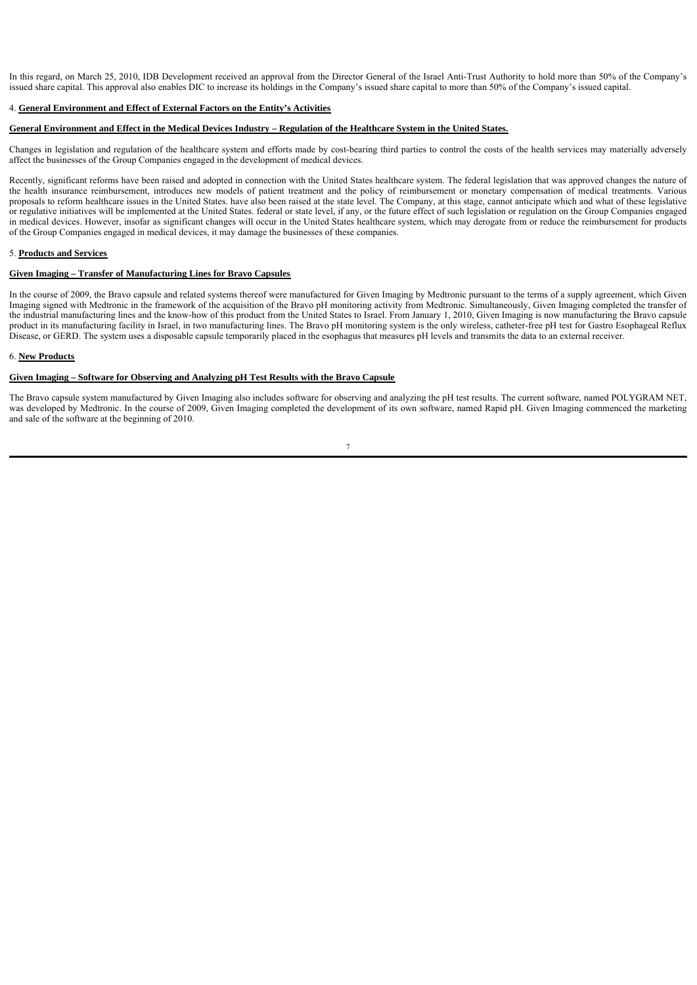In this regard, on March 25, 2010, IDB Development received an approval from the Director General of the Israel Anti-Trust Authority to hold more than 50% of the Company's issued share capital. This approval also enables DIC to increase its holdings in the Company's issued share capital to more than 50% of the Company's issued capital.

### 4. **General Environment and Effect of External Factors on the Entity's Activities**

#### **General Environment and Effect in the Medical Devices Industry – Regulation of the Healthcare System in the United States.**

Changes in legislation and regulation of the healthcare system and efforts made by cost-bearing third parties to control the costs of the health services may materially adversely affect the businesses of the Group Companies engaged in the development of medical devices.

Recently, significant reforms have been raised and adopted in connection with the United States healthcare system. The federal legislation that was approved changes the nature of the health insurance reimbursement, introduces new models of patient treatment and the policy of reimbursement or monetary compensation of medical treatments. Various proposals to reform healthcare issues in the United States. have also been raised at the state level. The Company, at this stage, cannot anticipate which and what of these legislative or regulative initiatives will be implemented at the United States. federal or state level, if any, or the future effect of such legislation or regulation on the Group Companies engaged in medical devices. However, insofar as significant changes will occur in the United States healthcare system, which may derogate from or reduce the reimbursement for products of the Group Companies engaged in medical devices, it may damage the businesses of these companies.

### 5. **Products and Services**

#### **Given Imaging – Transfer of Manufacturing Lines for Bravo Capsules**

In the course of 2009, the Bravo capsule and related systems thereof were manufactured for Given Imaging by Medtronic pursuant to the terms of a supply agreement, which Given Imaging signed with Medtronic in the framework of the acquisition of the Bravo pH monitoring activity from Medtronic. Simultaneously, Given Imaging completed the transfer of the industrial manufacturing lines and the know-how of this product from the United States to Israel. From January 1, 2010, Given Imaging is now manufacturing the Bravo capsule product in its manufacturing facility in Israel, in two manufacturing lines. The Bravo pH monitoring system is the only wireless, catheter-free pH test for Gastro Esophageal Reflux Disease, or GERD. The system uses a disposable capsule temporarily placed in the esophagus that measures pH levels and transmits the data to an external receiver.

#### 6. **New Products**

#### **Given Imaging – Software for Observing and Analyzing pH Test Results with the Bravo Capsule**

The Bravo capsule system manufactured by Given Imaging also includes software for observing and analyzing the pH test results. The current software, named POLYGRAM NET, was developed by Medtronic. In the course of 2009, Given Imaging completed the development of its own software, named Rapid pH. Given Imaging commenced the marketing and sale of the software at the beginning of 2010.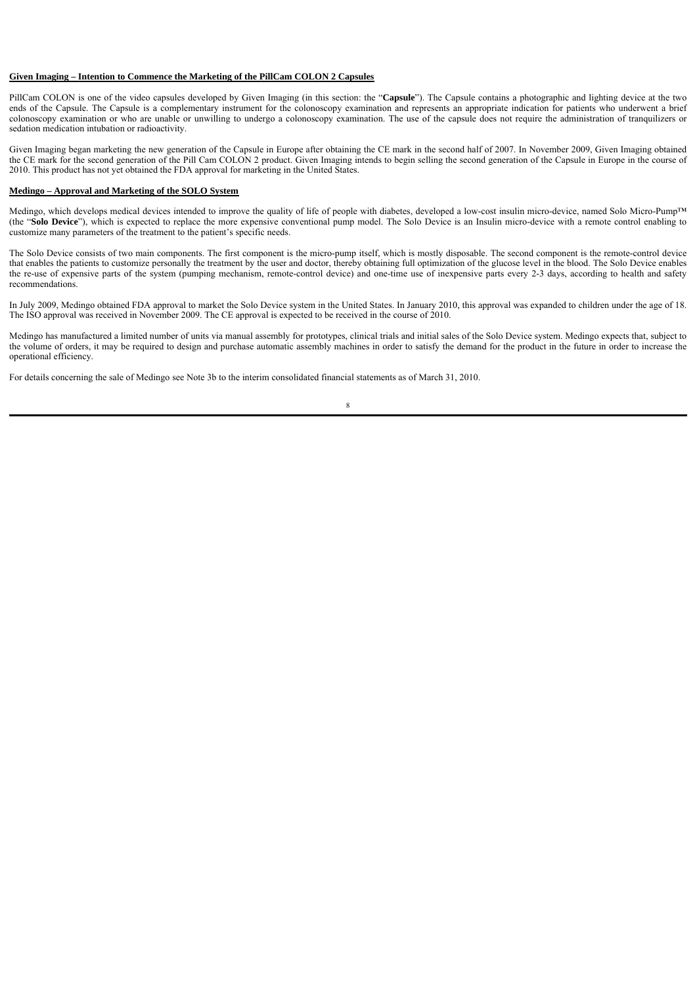### **Given Imaging – Intention to Commence the Marketing of the PillCam COLON 2 Capsules**

PillCam COLON is one of the video capsules developed by Given Imaging (in this section: the "**Capsule**"). The Capsule contains a photographic and lighting device at the two ends of the Capsule. The Capsule is a complementary instrument for the colonoscopy examination and represents an appropriate indication for patients who underwent a brief colonoscopy examination or who are unable or unwilling to undergo a colonoscopy examination. The use of the capsule does not require the administration of tranquilizers or sedation medication intubation or radioactivity.

Given Imaging began marketing the new generation of the Capsule in Europe after obtaining the CE mark in the second half of 2007. In November 2009, Given Imaging obtained the CE mark for the second generation of the Pill Cam COLON 2 product. Given Imaging intends to begin selling the second generation of the Capsule in Europe in the course of 2010. This product has not yet obtained the FDA approval for marketing in the United States.

#### **Medingo – Approval and Marketing of the SOLO System**

Medingo, which develops medical devices intended to improve the quality of life of people with diabetes, developed a low-cost insulin micro-device, named Solo Micro-Pump™ (the "**Solo Device**"), which is expected to replace the more expensive conventional pump model. The Solo Device is an Insulin micro-device with a remote control enabling to customize many parameters of the treatment to the patient's specific needs.

The Solo Device consists of two main components. The first component is the micro-pump itself, which is mostly disposable. The second component is the remote-control device that enables the patients to customize personally the treatment by the user and doctor, thereby obtaining full optimization of the glucose level in the blood. The Solo Device enables the re-use of expensive parts of the system (pumping mechanism, remote-control device) and one-time use of inexpensive parts every 2-3 days, according to health and safety recommendations.

In July 2009, Medingo obtained FDA approval to market the Solo Device system in the United States. In January 2010, this approval was expanded to children under the age of 18. The ISO approval was received in November 2009. The CE approval is expected to be received in the course of 2010.

Medingo has manufactured a limited number of units via manual assembly for prototypes, clinical trials and initial sales of the Solo Device system. Medingo expects that, subject to the volume of orders, it may be required to design and purchase automatic assembly machines in order to satisfy the demand for the product in the future in order to increase the operational efficiency.

For details concerning the sale of Medingo see Note 3b to the interim consolidated financial statements as of March 31, 2010.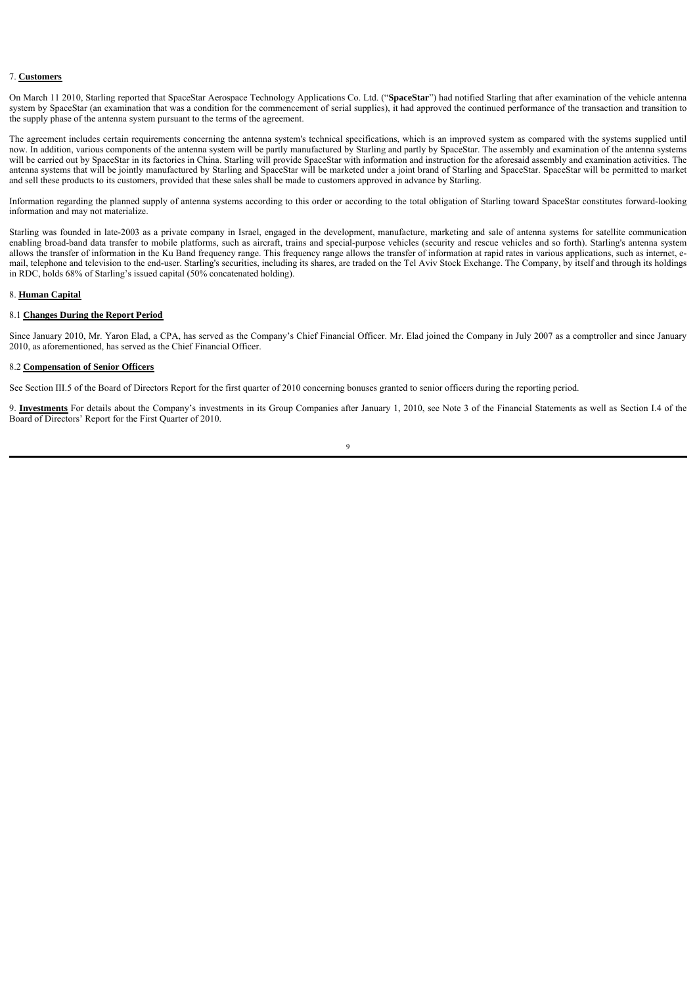#### 7. **Customers**

On March 11 2010, Starling reported that SpaceStar Aerospace Technology Applications Co. Ltd. ("**SpaceStar**") had notified Starling that after examination of the vehicle antenna system by SpaceStar (an examination that was a condition for the commencement of serial supplies), it had approved the continued performance of the transaction and transition to the supply phase of the antenna system pursuant to the terms of the agreement.

The agreement includes certain requirements concerning the antenna system's technical specifications, which is an improved system as compared with the systems supplied until now. In addition, various components of the antenna system will be partly manufactured by Starling and partly by SpaceStar. The assembly and examination of the antenna systems will be carried out by SpaceStar in its factories in China. Starling will provide SpaceStar with information and instruction for the aforesaid assembly and examination activities. The antenna systems that will be jointly manufactured by Starling and SpaceStar will be marketed under a joint brand of Starling and SpaceStar. SpaceStar will be permitted to market and sell these products to its customers, provided that these sales shall be made to customers approved in advance by Starling.

Information regarding the planned supply of antenna systems according to this order or according to the total obligation of Starling toward SpaceStar constitutes forward-looking information and may not materialize.

Starling was founded in late-2003 as a private company in Israel, engaged in the development, manufacture, marketing and sale of antenna systems for satellite communication enabling broad-band data transfer to mobile platforms, such as aircraft, trains and special-purpose vehicles (security and rescue vehicles and so forth). Starling's antenna system allows the transfer of information in the Ku Band frequency range. This frequency range allows the transfer of information at rapid rates in various applications, such as internet, email, telephone and television to the end-user. Starling's securities, including its shares, are traded on the Tel Aviv Stock Exchange. The Company, by itself and through its holdings in RDC, holds 68% of Starling's issued capital (50% concatenated holding).

#### 8. **Human Capital**

#### 8.1 **Changes During the Report Period**

Since January 2010, Mr. Yaron Elad, a CPA, has served as the Company's Chief Financial Officer. Mr. Elad joined the Company in July 2007 as a comptroller and since January 2010, as aforementioned, has served as the Chief Financial Officer.

#### 8.2 **Compensation of Senior Officers**

See Section III.5 of the Board of Directors Report for the first quarter of 2010 concerning bonuses granted to senior officers during the reporting period.

9. **Investments** For details about the Company's investments in its Group Companies after January 1, 2010, see Note 3 of the Financial Statements as well as Section I.4 of the Board of Directors' Report for the First Quarter of 2010.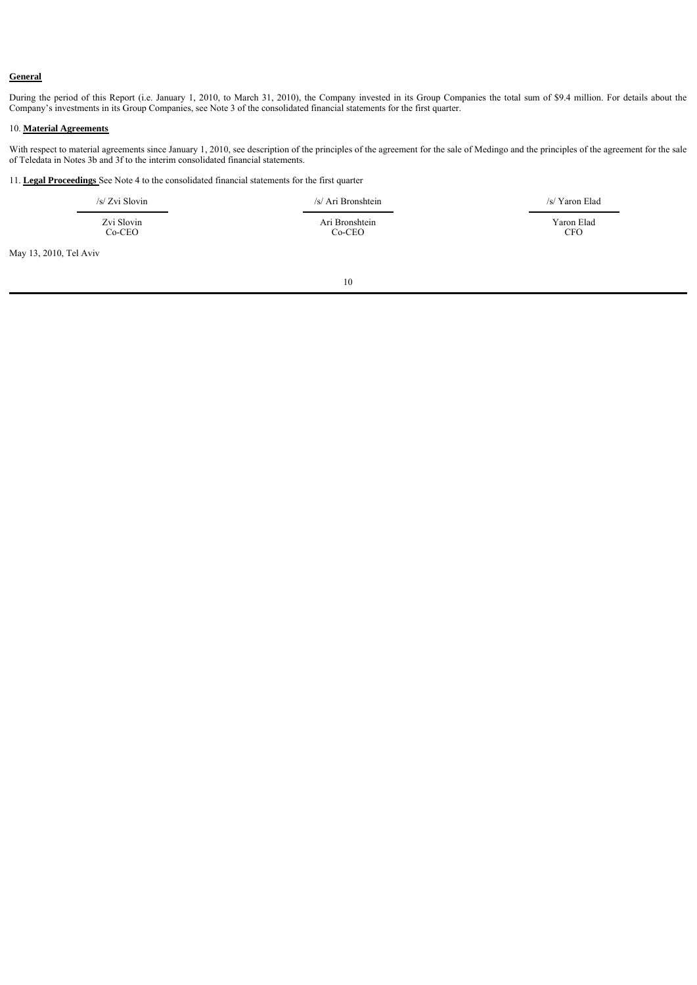## **General**

During the period of this Report (i.e. January 1, 2010, to March 31, 2010), the Company invested in its Group Companies the total sum of \$9.4 million. For details about the Company's investments in its Group Companies, see Note 3 of the consolidated financial statements for the first quarter.

#### 10. **Material Agreements**

With respect to material agreements since January 1, 2010, see description of the principles of the agreement for the sale of Medingo and the principles of the agreement for the sale of Teledata in Notes 3b and 3f to the interim consolidated financial statements.

11. **Legal Proceedings** See Note 4 to the consolidated financial statements for the first quarter

| $/s/ Zvi$ Slovin | /s/ Ari Bronshtein | /s/ Yaron Elad |
|------------------|--------------------|----------------|
| Zvi Slovin       | Ari Bronshtein     | Yaron Elad     |
| $Co-CEO$         | $Co-CEO$           | CFO            |

May 13, 2010, Tel Aviv

 $\blacksquare$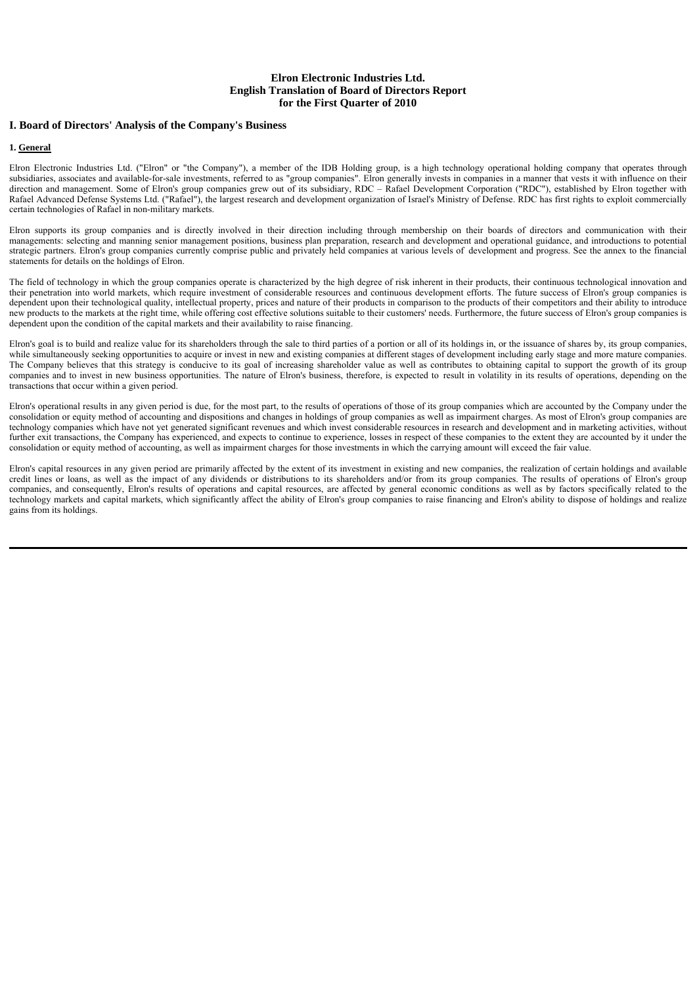# **I. Board of Directors' Analysis of the Company's Business**

#### **1. General**

Elron Electronic Industries Ltd. ("Elron" or "the Company"), a member of the IDB Holding group, is a high technology operational holding company that operates through subsidiaries, associates and available-for-sale investments, referred to as "group companies". Elron generally invests in companies in a manner that vests it with influence on their direction and management. Some of Elron's group companies grew out of its subsidiary, RDC – Rafael Development Corporation ("RDC"), established by Elron together with Rafael Advanced Defense Systems Ltd. ("Rafael"), the largest research and development organization of Israel's Ministry of Defense. RDC has first rights to exploit commercially certain technologies of Rafael in non-military markets.

Elron supports its group companies and is directly involved in their direction including through membership on their boards of directors and communication with their managements: selecting and manning senior management positions, business plan preparation, research and development and operational guidance, and introductions to potential strategic partners. Elron's group companies currently comprise public and privately held companies at various levels of development and progress. See the annex to the financial statements for details on the holdings of Elron.

The field of technology in which the group companies operate is characterized by the high degree of risk inherent in their products, their continuous technological innovation and their penetration into world markets, which require investment of considerable resources and continuous development efforts. The future success of Elron's group companies is dependent upon their technological quality, intellectual property, prices and nature of their products in comparison to the products of their competitors and their ability to introduce new products to the markets at the right time, while offering cost effective solutions suitable to their customers' needs. Furthermore, the future success of Elron's group companies is dependent upon the condition of the capital markets and their availability to raise financing.

Elron's goal is to build and realize value for its shareholders through the sale to third parties of a portion or all of its holdings in, or the issuance of shares by, its group companies, while simultaneously seeking opportunities to acquire or invest in new and existing companies at different stages of development including early stage and more mature companies. The Company believes that this strategy is conducive to its goal of increasing shareholder value as well as contributes to obtaining capital to support the growth of its group companies and to invest in new business opportunities. The nature of Elron's business, therefore, is expected to result in volatility in its results of operations, depending on the transactions that occur within a given period.

Elron's operational results in any given period is due, for the most part, to the results of operations of those of its group companies which are accounted by the Company under the consolidation or equity method of accounting and dispositions and changes in holdings of group companies as well as impairment charges. As most of Elron's group companies are technology companies which have not yet generated significant revenues and which invest considerable resources in research and development and in marketing activities, without further exit transactions, the Company has experienced, and expects to continue to experience, losses in respect of these companies to the extent they are accounted by it under the consolidation or equity method of accounting, as well as impairment charges for those investments in which the carrying amount will exceed the fair value.

Elron's capital resources in any given period are primarily affected by the extent of its investment in existing and new companies, the realization of certain holdings and available credit lines or loans, as well as the impact of any dividends or distributions to its shareholders and/or from its group companies. The results of operations of Elron's group companies, and consequently, Elron's results of operations and capital resources, are affected by general economic conditions as well as by factors specifically related to the technology markets and capital markets, which significantly affect the ability of Elron's group companies to raise financing and Elron's ability to dispose of holdings and realize gains from its holdings.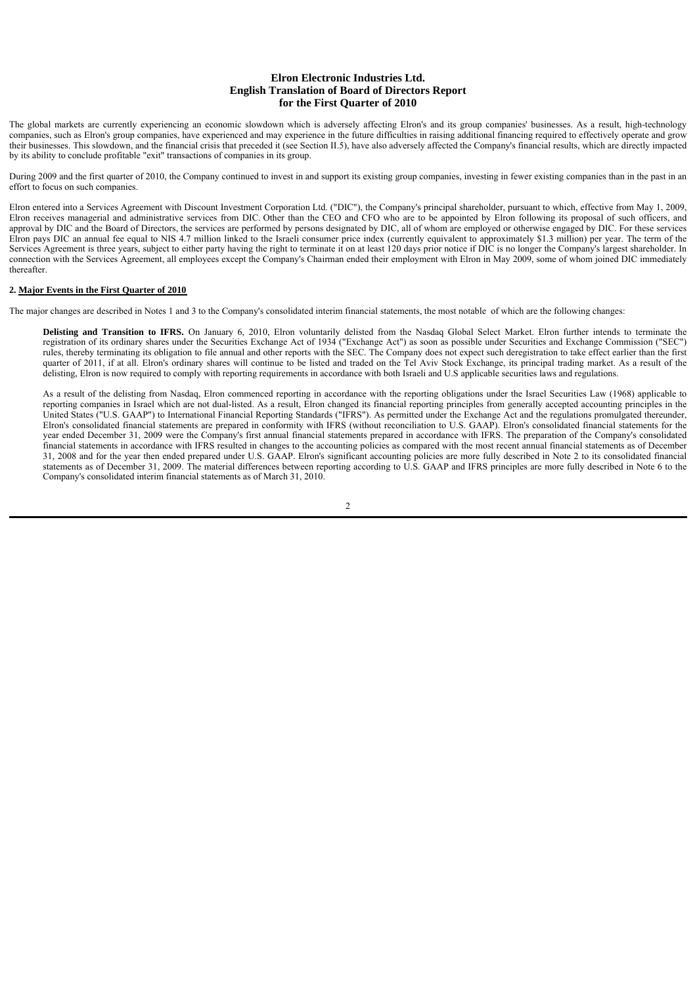The global markets are currently experiencing an economic slowdown which is adversely affecting Elron's and its group companies' businesses. As a result, high-technology companies, such as Elron's group companies, have experienced and may experience in the future difficulties in raising additional financing required to effectively operate and grow their businesses. This slowdown, and the financial crisis that preceded it (see Section II.5), have also adversely affected the Company's financial results, which are directly impacted by its ability to conclude profitable "exit" transactions of companies in its group.

During 2009 and the first quarter of 2010, the Company continued to invest in and support its existing group companies, investing in fewer existing companies than in the past in an effort to focus on such companies.

Elron entered into a Services Agreement with Discount Investment Corporation Ltd. ("DIC"), the Company's principal shareholder, pursuant to which, effective from May 1, 2009, Elron receives managerial and administrative services from DIC. Other than the CEO and CFO who are to be appointed by Elron following its proposal of such officers, and approval by DIC and the Board of Directors, the services are performed by persons designated by DIC, all of whom are employed or otherwise engaged by DIC. For these services Elron pays DIC an annual fee equal to NIS 4.7 million linked to the Israeli consumer price index (currently equivalent to approximately \$1.3 million) per year. The term of the Services Agreement is three years, subject to either party having the right to terminate it on at least 120 days prior notice if DIC is no longer the Company's largest shareholder. In connection with the Services Agreement, all employees except the Company's Chairman ended their employment with Elron in May 2009, some of whom joined DIC immediately thereafter.

#### **2. Major Events in the First Quarter of 2010**

The major changes are described in Notes 1 and 3 to the Company's consolidated interim financial statements, the most notable of which are the following changes:

**Delisting and Transition to IFRS.** On January 6, 2010, Elron voluntarily delisted from the Nasdaq Global Select Market. Elron further intends to terminate the registration of its ordinary shares under the Securities Exchange Act of 1934 ("Exchange Act") as soon as possible under Securities and Exchange Commission ("SEC") rules, thereby terminating its obligation to file annual and other reports with the SEC. The Company does not expect such deregistration to take effect earlier than the first quarter of 2011, if at all. Elron's ordinary shares will continue to be listed and traded on the Tel Aviv Stock Exchange, its principal trading market. As a result of the delisting, Elron is now required to comply with reporting requirements in accordance with both Israeli and U.S applicable securities laws and regulations.

As a result of the delisting from Nasdaq, Elron commenced reporting in accordance with the reporting obligations under the Israel Securities Law (1968) applicable to reporting companies in Israel which are not dual-listed. As a result, Elron changed its financial reporting principles from generally accepted accounting principles in the United States ("U.S. GAAP") to International Financial Reporting Standards ("IFRS"). As permitted under the Exchange Act and the regulations promulgated thereunder, Elron's consolidated financial statements are prepared in conformity with IFRS (without reconciliation to U.S. GAAP). Elron's consolidated financial statements for the year ended December 31, 2009 were the Company's first annual financial statements prepared in accordance with IFRS. The preparation of the Company's consolidated financial statements in accordance with IFRS resulted in changes to the accounting policies as compared with the most recent annual financial statements as of December 31, 2008 and for the year then ended prepared under U.S. GAAP. Elron's significant accounting policies are more fully described in Note 2 to its consolidated financial statements as of December 31, 2009. The material differences between reporting according to U.S. GAAP and IFRS principles are more fully described in Note 6 to the Company's consolidated interim financial statements as of March 31, 2010.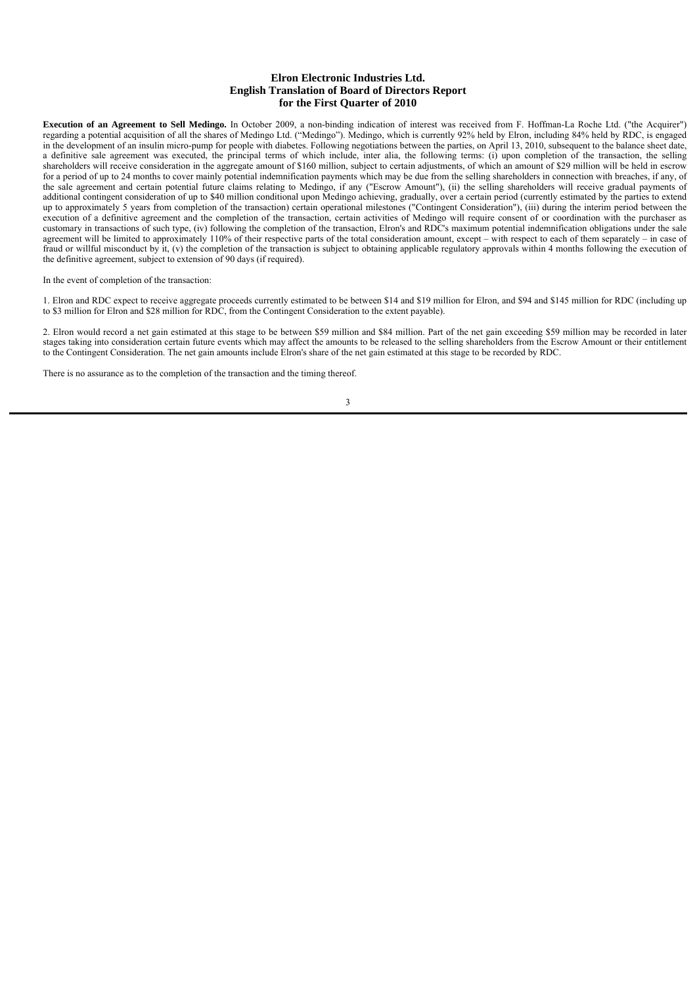**Execution of an Agreement to Sell Medingo.** In October 2009, a non-binding indication of interest was received from F. Hoffman-La Roche Ltd. ("the Acquirer") regarding a potential acquisition of all the shares of Medingo Ltd. ("Medingo"). Medingo, which is currently 92% held by Elron, including 84% held by RDC, is engaged in the development of an insulin micro-pump for people with diabetes. Following negotiations between the parties, on April 13, 2010, subsequent to the balance sheet date, a definitive sale agreement was executed, the principal terms of which include, inter alia, the following terms: (i) upon completion of the transaction, the selling shareholders will receive consideration in the aggregate amount of \$160 million, subject to certain adjustments, of which an amount of \$29 million will be held in escrow for a period of up to 24 months to cover mainly potential indemnification payments which may be due from the selling shareholders in connection with breaches, if any, of the sale agreement and certain potential future claims relating to Medingo, if any ("Escrow Amount"), (ii) the selling shareholders will receive gradual payments of additional contingent consideration of up to \$40 million conditional upon Medingo achieving, gradually, over a certain period (currently estimated by the parties to extend up to approximately 5 years from completion of the transaction) certain operational milestones ("Contingent Consideration"), (iii) during the interim period between the execution of a definitive agreement and the completion of the transaction, certain activities of Medingo will require consent of or coordination with the purchaser as customary in transactions of such type, (iv) following the completion of the transaction, Elron's and RDC's maximum potential indemnification obligations under the sale agreement will be limited to approximately 110% of their respective parts of the total consideration amount, except – with respect to each of them separately – in case of fraud or willful misconduct by it, (v) the completion of the transaction is subject to obtaining applicable regulatory approvals within 4 months following the execution of the definitive agreement, subject to extension of 90 days (if required).

In the event of completion of the transaction:

1. Elron and RDC expect to receive aggregate proceeds currently estimated to be between \$14 and \$19 million for Elron, and \$94 and \$145 million for RDC (including up to \$3 million for Elron and \$28 million for RDC, from the Contingent Consideration to the extent payable).

2. Elron would record a net gain estimated at this stage to be between \$59 million and \$84 million. Part of the net gain exceeding \$59 million may be recorded in later stages taking into consideration certain future events which may affect the amounts to be released to the selling shareholders from the Escrow Amount or their entitlement to the Contingent Consideration. The net gain amounts include Elron's share of the net gain estimated at this stage to be recorded by RDC.

There is no assurance as to the completion of the transaction and the timing thereof.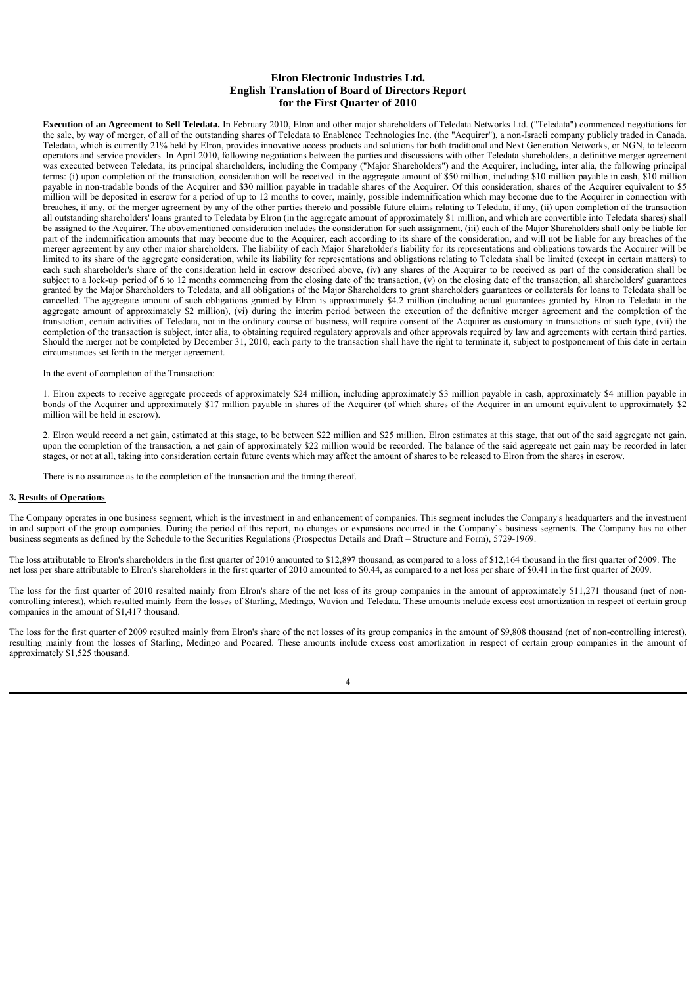**Execution of an Agreement to Sell Teledata.** In February 2010, Elron and other major shareholders of Teledata Networks Ltd. ("Teledata") commenced negotiations for the sale, by way of merger, of all of the outstanding shares of Teledata to Enablence Technologies Inc. (the "Acquirer"), a non-Israeli company publicly traded in Canada. Teledata, which is currently 21% held by Elron, provides innovative access products and solutions for both traditional and Next Generation Networks, or NGN, to telecom operators and service providers. In April 2010, following negotiations between the parties and discussions with other Teledata shareholders, a definitive merger agreement was executed between Teledata, its principal shareholders, including the Company ("Major Shareholders") and the Acquirer, including, inter alia, the following principal terms: (i) upon completion of the transaction, consideration will be received in the aggregate amount of \$50 million, including \$10 million payable in cash, \$10 million payable in non-tradable bonds of the Acquirer and \$30 million payable in tradable shares of the Acquirer. Of this consideration, shares of the Acquirer equivalent to \$5 million will be deposited in escrow for a period of up to 12 months to cover, mainly, possible indemnification which may become due to the Acquirer in connection with breaches, if any, of the merger agreement by any of the other parties thereto and possible future claims relating to Teledata, if any, (ii) upon completion of the transaction all outstanding shareholders' loans granted to Teledata by Elron (in the aggregate amount of approximately \$1 million, and which are convertible into Teledata shares) shall be assigned to the Acquirer. The abovementioned consideration includes the consideration for such assignment, (iii) each of the Major Shareholders shall only be liable for part of the indemnification amounts that may become due to the Acquirer, each according to its share of the consideration, and will not be liable for any breaches of the merger agreement by any other major shareholders. The liability of each Major Shareholder's liability for its representations and obligations towards the Acquirer will be limited to its share of the aggregate consideration, while its liability for representations and obligations relating to Teledata shall be limited (except in certain matters) to each such shareholder's share of the consideration held in escrow described above, (iv) any shares of the Acquirer to be received as part of the consideration shall be subject to a lock-up period of 6 to 12 months commencing from the closing date of the transaction, (v) on the closing date of the transaction, all shareholders' guarantees granted by the Major Shareholders to Teledata, and all obligations of the Major Shareholders to grant shareholders guarantees or collaterals for loans to Teledata shall be cancelled. The aggregate amount of such obligations granted by Elron is approximately \$4.2 million (including actual guarantees granted by Elron to Teledata in the aggregate amount of approximately \$2 million), (vi) during the interim period between the execution of the definitive merger agreement and the completion of the transaction, certain activities of Teledata, not in the ordinary course of business, will require consent of the Acquirer as customary in transactions of such type, (vii) the completion of the transaction is subject, inter alia, to obtaining required regulatory approvals and other approvals required by law and agreements with certain third parties. Should the merger not be completed by December 31, 2010, each party to the transaction shall have the right to terminate it, subject to postponement of this date in certain circumstances set forth in the merger agreement.

In the event of completion of the Transaction:

1. Elron expects to receive aggregate proceeds of approximately \$24 million, including approximately \$3 million payable in cash, approximately \$4 million payable in bonds of the Acquirer and approximately \$17 million payable in shares of the Acquirer (of which shares of the Acquirer in an amount equivalent to approximately \$2 million will be held in escrow).

2. Elron would record a net gain, estimated at this stage, to be between \$22 million and \$25 million. Elron estimates at this stage, that out of the said aggregate net gain, upon the completion of the transaction, a net gain of approximately \$22 million would be recorded. The balance of the said aggregate net gain may be recorded in later stages, or not at all, taking into consideration certain future events which may affect the amount of shares to be released to Elron from the shares in escrow.

There is no assurance as to the completion of the transaction and the timing thereof.

#### **3. Results of Operations**

The Company operates in one business segment, which is the investment in and enhancement of companies. This segment includes the Company's headquarters and the investment in and support of the group companies. During the period of this report, no changes or expansions occurred in the Company's business segments. The Company has no other business segments as defined by the Schedule to the Securities Regulations (Prospectus Details and Draft – Structure and Form), 5729-1969.

The loss attributable to Elron's shareholders in the first quarter of 2010 amounted to \$12,897 thousand, as compared to a loss of \$12,164 thousand in the first quarter of 2009. The net loss per share attributable to Elron's shareholders in the first quarter of 2010 amounted to \$0.44, as compared to a net loss per share of \$0.41 in the first quarter of 2009.

The loss for the first quarter of 2010 resulted mainly from Elron's share of the net loss of its group companies in the amount of approximately \$11,271 thousand (net of noncontrolling interest), which resulted mainly from the losses of Starling, Medingo, Wavion and Teledata. These amounts include excess cost amortization in respect of certain group companies in the amount of \$1,417 thousand.

The loss for the first quarter of 2009 resulted mainly from Elron's share of the net losses of its group companies in the amount of \$9,808 thousand (net of non-controlling interest), resulting mainly from the losses of Starling, Medingo and Pocared. These amounts include excess cost amortization in respect of certain group companies in the amount of approximately \$1,525 thousand.

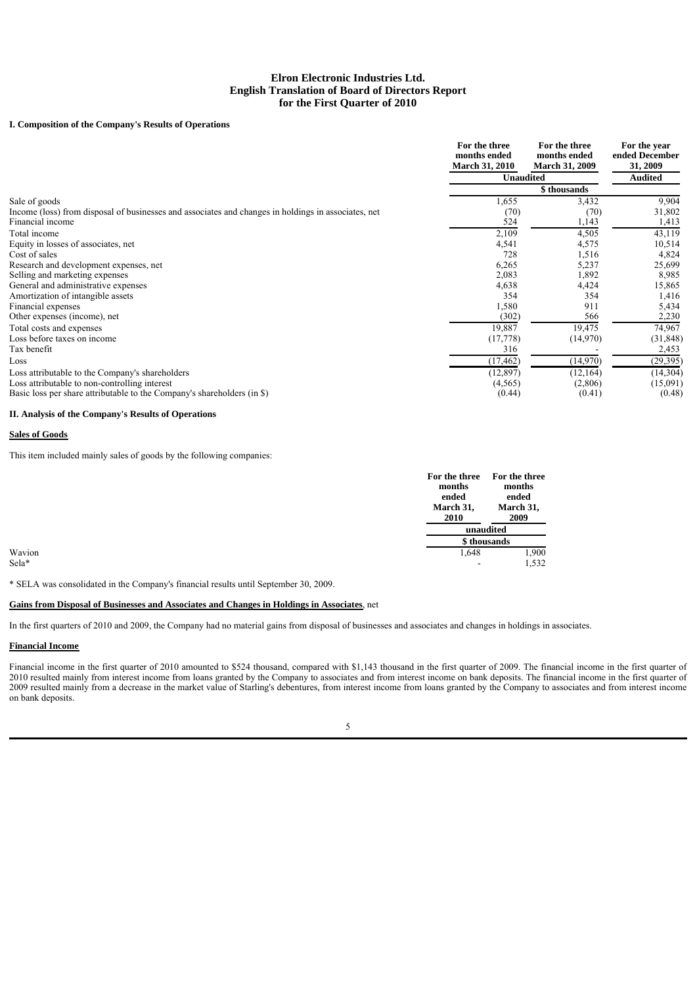# **I. Composition of the Company's Results of Operations**

|                                                                                                     | For the three<br>months ended<br><b>March 31, 2010</b> | For the three<br>months ended<br><b>March 31, 2009</b> | For the year<br>ended December<br>31, 2009 |
|-----------------------------------------------------------------------------------------------------|--------------------------------------------------------|--------------------------------------------------------|--------------------------------------------|
|                                                                                                     | <b>Unaudited</b>                                       |                                                        | <b>Audited</b>                             |
|                                                                                                     |                                                        | \$ thousands                                           |                                            |
| Sale of goods                                                                                       | 1,655                                                  | 3,432                                                  | 9,904                                      |
| Income (loss) from disposal of businesses and associates and changes in holdings in associates, net | (70)                                                   | (70)                                                   | 31,802                                     |
| Financial income                                                                                    | 524                                                    | 1,143                                                  | 1,413                                      |
| Total income                                                                                        | 2,109                                                  | 4,505                                                  | 43,119                                     |
| Equity in losses of associates, net                                                                 | 4,541                                                  | 4,575                                                  | 10,514                                     |
| Cost of sales                                                                                       | 728                                                    | 1,516                                                  | 4,824                                      |
| Research and development expenses, net                                                              | 6,265                                                  | 5,237                                                  | 25,699                                     |
| Selling and marketing expenses                                                                      | 2,083                                                  | 1,892                                                  | 8,985                                      |
| General and administrative expenses                                                                 | 4,638                                                  | 4,424                                                  | 15,865                                     |
| Amortization of intangible assets                                                                   | 354                                                    | 354                                                    | 1,416                                      |
| Financial expenses                                                                                  | 1,580                                                  | 911                                                    | 5,434                                      |
| Other expenses (income), net                                                                        | (302)                                                  | 566                                                    | 2,230                                      |
| Total costs and expenses                                                                            | 19,887                                                 | 19,475                                                 | 74,967                                     |
| Loss before taxes on income                                                                         | (17, 778)                                              | (14,970)                                               | (31, 848)                                  |
| Tax benefit                                                                                         | 316                                                    |                                                        | 2,453                                      |
| Loss                                                                                                | (17, 462)                                              | (14,970)                                               | (29, 395)                                  |
| Loss attributable to the Company's shareholders                                                     | (12, 897)                                              | (12, 164)                                              | (14, 304)                                  |
| Loss attributable to non-controlling interest                                                       | (4, 565)                                               | (2,806)                                                | (15,091)                                   |
| Basic loss per share attributable to the Company's shareholders (in \$)                             | (0.44)                                                 | (0.41)                                                 | (0.48)                                     |

### **II. Analysis of the Company's Results of Operations**

#### **Sales of Goods**

This item included mainly sales of goods by the following companies:

|        |           | For the three | For the three |
|--------|-----------|---------------|---------------|
|        | months    |               | months        |
|        | ended     |               | ended         |
|        | March 31, |               | March 31,     |
|        | 2010      |               | 2009          |
|        |           |               | unaudited     |
|        |           |               | \$ thousands  |
| Wavion |           | 1,648         | 1,900         |
| Sela*  |           | $\sim$        | 1,532         |

\* SELA was consolidated in the Company's financial results until September 30, 2009.

#### **Gains from Disposal of Businesses and Associates and Changes in Holdings in Associates**, net

In the first quarters of 2010 and 2009, the Company had no material gains from disposal of businesses and associates and changes in holdings in associates.

### **Financial Income**

Financial income in the first quarter of 2010 amounted to \$524 thousand, compared with \$1,143 thousand in the first quarter of 2009. The financial income in the first quarter of 2010 resulted mainly from interest income from loans granted by the Company to associates and from interest income on bank deposits. The financial income in the first quarter of 2009 resulted mainly from a decrease in the market value of Starling's debentures, from interest income from loans granted by the Company to associates and from interest income on bank deposits.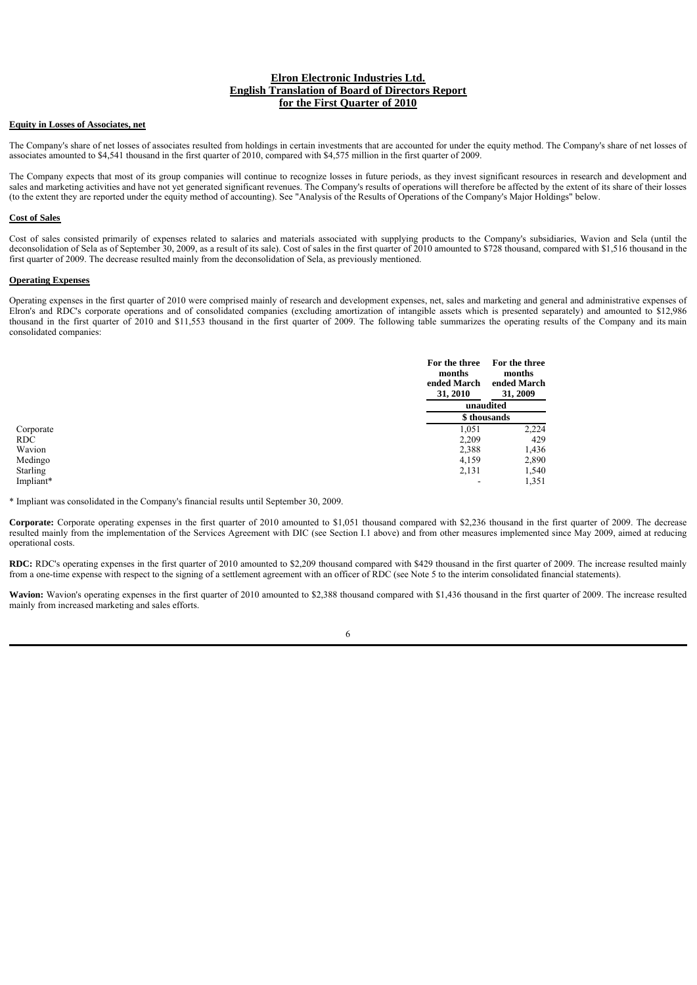### **Equity in Losses of Associates, net**

The Company's share of net losses of associates resulted from holdings in certain investments that are accounted for under the equity method. The Company's share of net losses of associates amounted to \$4,541 thousand in the first quarter of 2010, compared with \$4,575 million in the first quarter of 2009.

The Company expects that most of its group companies will continue to recognize losses in future periods, as they invest significant resources in research and development and sales and marketing activities and have not yet generated significant revenues. The Company's results of operations will therefore be affected by the extent of its share of their losses (to the extent they are reported under the equity method of accounting). See "Analysis of the Results of Operations of the Company's Major Holdings" below.

#### **Cost of Sales**

Cost of sales consisted primarily of expenses related to salaries and materials associated with supplying products to the Company's subsidiaries, Wavion and Sela (until the deconsolidation of Sela as of September 30, 2009, as a result of its sale). Cost of sales in the first quarter of 2010 amounted to \$728 thousand, compared with \$1,516 thousand in the first quarter of 2009. The decrease resulted mainly from the deconsolidation of Sela, as previously mentioned.

#### **Operating Expenses**

Operating expenses in the first quarter of 2010 were comprised mainly of research and development expenses, net, sales and marketing and general and administrative expenses of Elron's and RDC's corporate operations and of consolidated companies (excluding amortization of intangible assets which is presented separately) and amounted to \$12,986 thousand in the first quarter of 2010 and \$11,553 thousand in the first quarter of 2009. The following table summarizes the operating results of the Company and its main consolidated companies:

|            | For the three<br>months<br>ended March<br>31, 2010 | For the three<br>months<br>ended March<br>31, 2009 |
|------------|----------------------------------------------------|----------------------------------------------------|
|            |                                                    | unaudited                                          |
|            |                                                    | \$ thousands                                       |
| Corporate  | 1,051                                              | 2.224                                              |
| <b>RDC</b> | 2,209                                              | 429                                                |
| Wavion     | 2,388                                              | 1,436                                              |
| Medingo    | 4,159                                              | 2,890                                              |
| Starling   | 2,131                                              | 1,540                                              |
| Impliant*  | -                                                  | 1,351                                              |

\* Impliant was consolidated in the Company's financial results until September 30, 2009.

**Corporate:** Corporate operating expenses in the first quarter of 2010 amounted to \$1,051 thousand compared with \$2,236 thousand in the first quarter of 2009. The decrease resulted mainly from the implementation of the Services Agreement with DIC (see Section I.1 above) and from other measures implemented since May 2009, aimed at reducing operational costs.

**RDC:** RDC's operating expenses in the first quarter of 2010 amounted to \$2,209 thousand compared with \$429 thousand in the first quarter of 2009. The increase resulted mainly from a one-time expense with respect to the signing of a settlement agreement with an officer of RDC (see Note 5 to the interim consolidated financial statements).

Wavion: Wavion's operating expenses in the first quarter of 2010 amounted to \$2,388 thousand compared with \$1,436 thousand in the first quarter of 2009. The increase resulted mainly from increased marketing and sales efforts.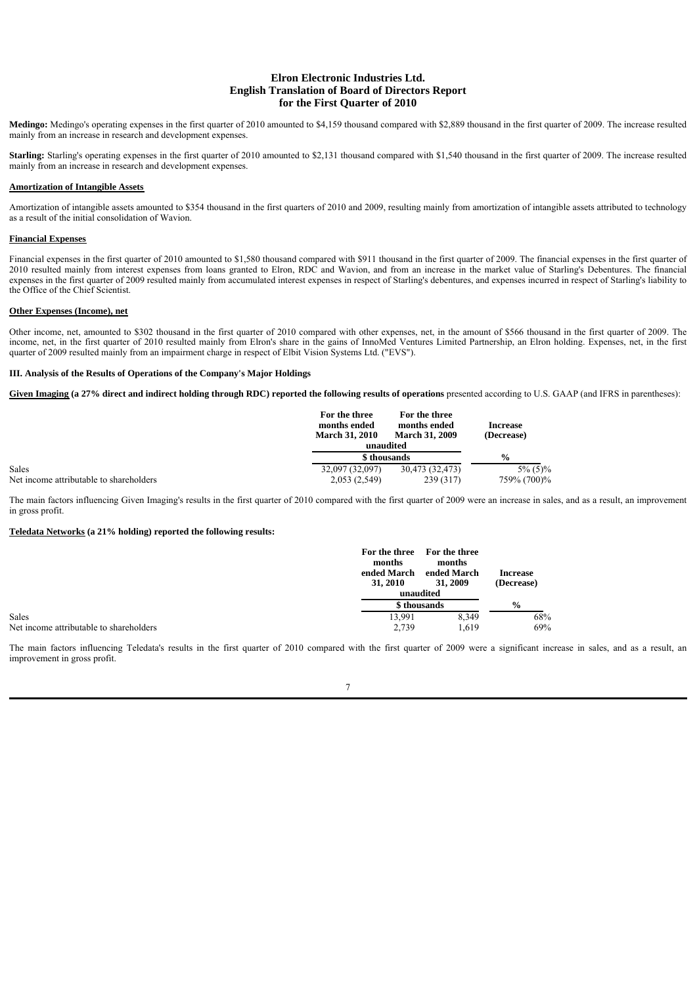**Medingo:** Medingo's operating expenses in the first quarter of 2010 amounted to \$4,159 thousand compared with \$2,889 thousand in the first quarter of 2009. The increase resulted mainly from an increase in research and development expenses.

Starling: Starling's operating expenses in the first quarter of 2010 amounted to \$2,131 thousand compared with \$1,540 thousand in the first quarter of 2009. The increase resulted mainly from an increase in research and development expenses.

## **Amortization of Intangible Assets**

Amortization of intangible assets amounted to \$354 thousand in the first quarters of 2010 and 2009, resulting mainly from amortization of intangible assets attributed to technology as a result of the initial consolidation of Wavion.

### **Financial Expenses**

Financial expenses in the first quarter of 2010 amounted to \$1,580 thousand compared with \$911 thousand in the first quarter of 2009. The financial expenses in the first quarter of 2010 resulted mainly from interest expenses from loans granted to Elron, RDC and Wavion, and from an increase in the market value of Starling's Debentures. The financial expenses in the first quarter of 2009 resulted mainly from accumulated interest expenses in respect of Starling's debentures, and expenses incurred in respect of Starling's liability to the Office of the Chief Scientist.

#### **Other Expenses (Income), net**

Other income, net, amounted to \$302 thousand in the first quarter of 2010 compared with other expenses, net, in the amount of \$566 thousand in the first quarter of 2009. The income, net, in the first quarter of 2010 resulted mainly from Elron's share in the gains of InnoMed Ventures Limited Partnership, an Elron holding. Expenses, net, in the first quarter of 2009 resulted mainly from an impairment charge in respect of Elbit Vision Systems Ltd. ("EVS").

#### **III. Analysis of the Results of Operations of the Company's Major Holdings**

Given Imaging (a 27% direct and indirect holding through RDC) reported the following results of operations presented according to U.S. GAAP (and IFRS in parentheses):

|                                         | For the three<br>months ended<br><b>March 31, 2010</b> | For the three<br>months ended<br><b>March 31, 2009</b> | <b>Increase</b><br>(Decrease) |
|-----------------------------------------|--------------------------------------------------------|--------------------------------------------------------|-------------------------------|
|                                         |                                                        | unaudited                                              |                               |
|                                         | \$ thousands                                           |                                                        | $\frac{0}{0}$                 |
| Sales                                   | 32,097 (32,097)                                        | 30,473 (32,473)                                        | $5\%$ (5)%                    |
| Net income attributable to shareholders | 2,053 (2,549)                                          | 239 (317)                                              | 759% (700)%                   |

The main factors influencing Given Imaging's results in the first quarter of 2010 compared with the first quarter of 2009 were an increase in sales, and as a result, an improvement in gross profit.

### **Teledata Networks (a 21% holding) reported the following results:**

|                                         | For the three<br>months<br>ended March<br>31, 2010 | For the three<br>months<br>ended March<br>31, 2009 | <b>Increase</b><br>(Decrease) |
|-----------------------------------------|----------------------------------------------------|----------------------------------------------------|-------------------------------|
|                                         | unaudited                                          |                                                    |                               |
|                                         | \$ thousands                                       |                                                    | $\frac{6}{6}$                 |
| Sales                                   | 13.991                                             | 8.349                                              | 68%                           |
| Net income attributable to shareholders | 2.739                                              | 1,619                                              | 69%                           |

The main factors influencing Teledata's results in the first quarter of 2010 compared with the first quarter of 2009 were a significant increase in sales, and as a result, an improvement in gross profit.

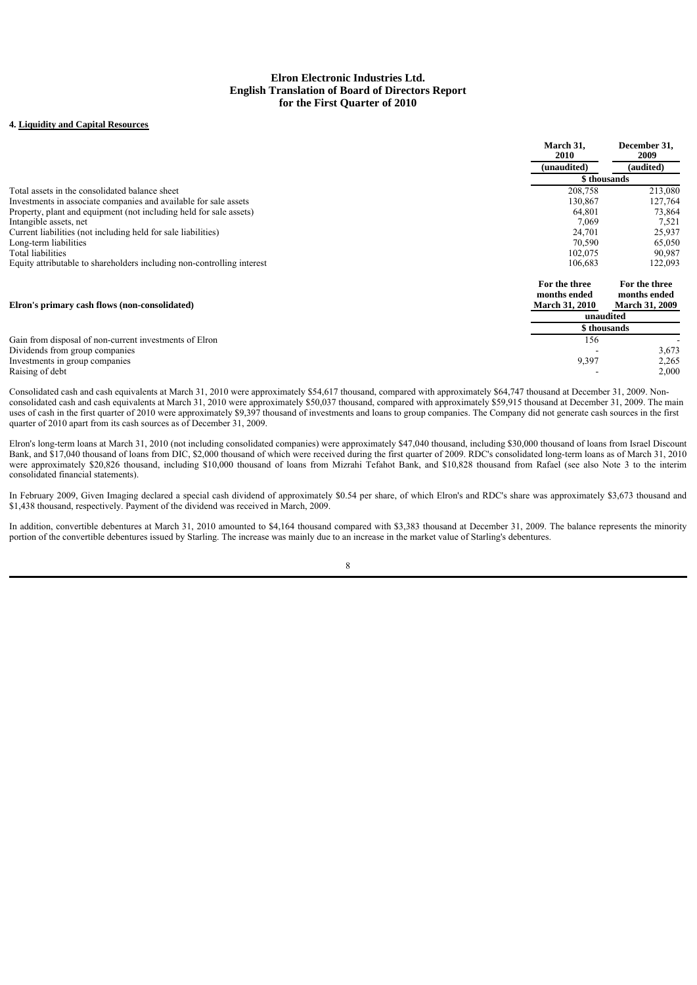# **4. Liquidity and Capital Resources**

|                                                                        | March 31,<br>2010                                      | December 31,<br>2009                                   |
|------------------------------------------------------------------------|--------------------------------------------------------|--------------------------------------------------------|
|                                                                        | (unaudited)                                            | (audited)                                              |
|                                                                        |                                                        | \$ thousands                                           |
| Total assets in the consolidated balance sheet                         | 208,758                                                | 213,080                                                |
| Investments in associate companies and available for sale assets       | 130,867                                                | 127,764                                                |
| Property, plant and equipment (not including held for sale assets)     | 64,801                                                 | 73,864                                                 |
| Intangible assets, net                                                 | 7,069                                                  | 7,521                                                  |
| Current liabilities (not including held for sale liabilities)          | 24,701                                                 | 25,937                                                 |
| Long-term liabilities                                                  | 70,590                                                 | 65,050                                                 |
| Total liabilities                                                      | 102,075                                                | 90,987                                                 |
| Equity attributable to shareholders including non-controlling interest | 106,683                                                | 122,093                                                |
| Elron's primary cash flows (non-consolidated)                          | For the three<br>months ended<br><b>March 31, 2010</b> | For the three<br>months ended<br><b>March 31, 2009</b> |
|                                                                        | unaudited                                              |                                                        |
|                                                                        |                                                        | \$ thousands                                           |
| Gain from disposal of non-current investments of Elron                 | 156                                                    |                                                        |
| Dividends from group companies                                         |                                                        | 3.673                                                  |
| Investments in group companies                                         | 9,397                                                  | 2,265                                                  |
| Raising of debt                                                        |                                                        | 2,000                                                  |

Consolidated cash and cash equivalents at March 31, 2010 were approximately \$54,617 thousand, compared with approximately \$64,747 thousand at December 31, 2009. Nonconsolidated cash and cash equivalents at March 31, 2010 were approximately \$50,037 thousand, compared with approximately \$59,915 thousand at December 31, 2009. The main uses of cash in the first quarter of 2010 were approximately \$9,397 thousand of investments and loans to group companies. The Company did not generate cash sources in the first quarter of 2010 apart from its cash sources as of December 31, 2009.

Elron's long-term loans at March 31, 2010 (not including consolidated companies) were approximately \$47,040 thousand, including \$30,000 thousand of loans from Israel Discount Bank, and \$17,040 thousand of loans from DIC, \$2,000 thousand of which were received during the first quarter of 2009. RDC's consolidated long-term loans as of March 31, 2010 were approximately \$20,826 thousand, including \$10,000 thousand of loans from Mizrahi Tefahot Bank, and \$10,828 thousand from Rafael (see also Note 3 to the interim consolidated financial statements).

In February 2009, Given Imaging declared a special cash dividend of approximately \$0.54 per share, of which Elron's and RDC's share was approximately \$3,673 thousand and \$1,438 thousand, respectively. Payment of the dividend was received in March, 2009.

In addition, convertible debentures at March 31, 2010 amounted to \$4,164 thousand compared with \$3,383 thousand at December 31, 2009. The balance represents the minority portion of the convertible debentures issued by Starling. The increase was mainly due to an increase in the market value of Starling's debentures.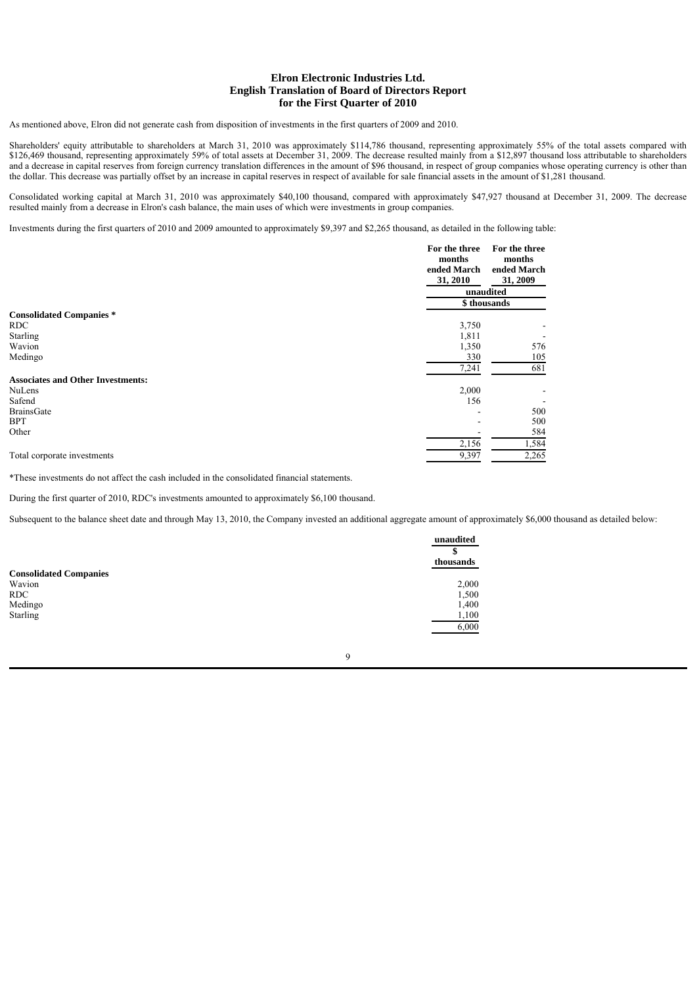As mentioned above, Elron did not generate cash from disposition of investments in the first quarters of 2009 and 2010.

Shareholders' equity attributable to shareholders at March 31, 2010 was approximately \$114,786 thousand, representing approximately 55% of the total assets compared with \$126,469 thousand, representing approximately 59% of total assets at December 31, 2009. The decrease resulted mainly from a \$12,897 thousand loss attributable to shareholders and a decrease in capital reserves from foreign currency translation differences in the amount of \$96 thousand, in respect of group companies whose operating currency is other than the dollar. This decrease was partially offset by an increase in capital reserves in respect of available for sale financial assets in the amount of \$1,281 thousand.

Consolidated working capital at March 31, 2010 was approximately \$40,100 thousand, compared with approximately \$47,927 thousand at December 31, 2009. The decrease resulted mainly from a decrease in Elron's cash balance, the main uses of which were investments in group companies.

Investments during the first quarters of 2010 and 2009 amounted to approximately \$9,397 and \$2,265 thousand, as detailed in the following table:

|                                          | For the three<br>months<br>ended March<br>31, 2010 | For the three<br>months<br>ended March<br>31, 2009 |
|------------------------------------------|----------------------------------------------------|----------------------------------------------------|
|                                          | unaudited                                          |                                                    |
|                                          | \$thousands                                        |                                                    |
| <b>Consolidated Companies*</b>           |                                                    |                                                    |
| RDC.                                     | 3,750                                              |                                                    |
| <b>Starling</b>                          | 1,811                                              |                                                    |
| Wavion                                   | 1,350                                              | 576                                                |
| Medingo                                  | 330                                                | 105                                                |
|                                          | 7,241                                              | 681                                                |
| <b>Associates and Other Investments:</b> |                                                    |                                                    |
| <b>NuLens</b>                            | 2,000                                              |                                                    |
| Safend                                   | 156                                                |                                                    |
| BrainsGate                               | ٠                                                  | 500                                                |
| <b>BPT</b>                               | $\overline{\phantom{a}}$                           | 500                                                |
| Other                                    |                                                    | 584                                                |
|                                          | 2,156                                              | 1,584                                              |
| Total corporate investments              | 9,397                                              | 2,265                                              |

\*These investments do not affect the cash included in the consolidated financial statements.

During the first quarter of 2010, RDC's investments amounted to approximately \$6,100 thousand.

Subsequent to the balance sheet date and through May 13, 2010, the Company invested an additional aggregate amount of approximately \$6,000 thousand as detailed below:

|                               | unaudited |
|-------------------------------|-----------|
|                               | \$        |
|                               | thousands |
| <b>Consolidated Companies</b> |           |
| Wavion                        | 2,000     |
| <b>RDC</b>                    | 1,500     |
| Medingo                       | 1,400     |
| <b>Starling</b>               | 1,100     |
|                               | 6,000     |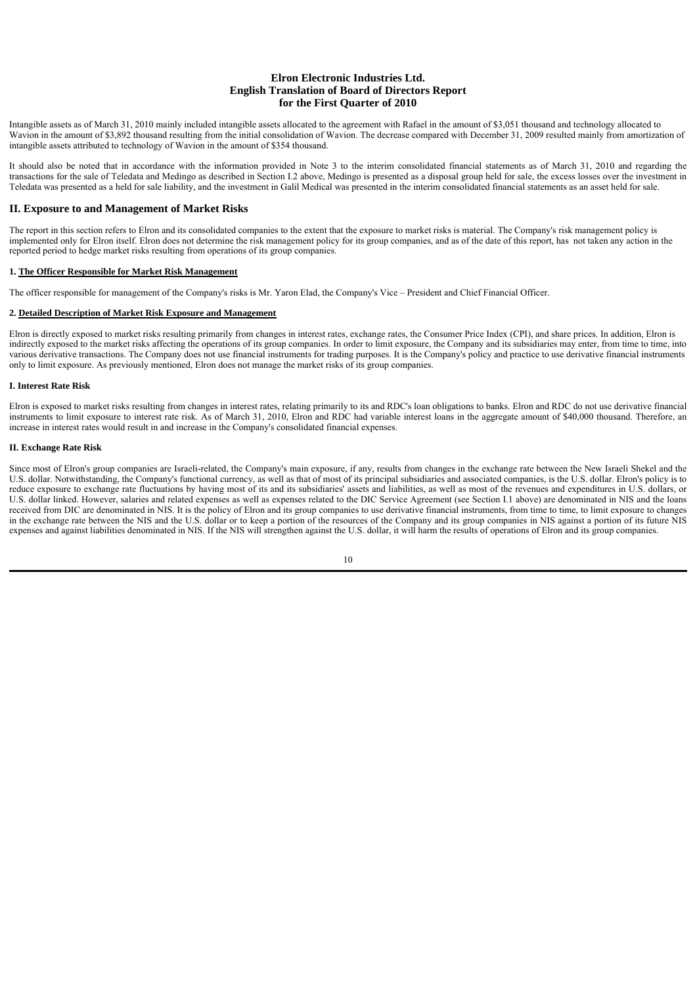Intangible assets as of March 31, 2010 mainly included intangible assets allocated to the agreement with Rafael in the amount of \$3,051 thousand and technology allocated to Wavion in the amount of \$3,892 thousand resulting from the initial consolidation of Wavion. The decrease compared with December 31, 2009 resulted mainly from amortization of intangible assets attributed to technology of Wavion in the amount of \$354 thousand.

It should also be noted that in accordance with the information provided in Note 3 to the interim consolidated financial statements as of March 31, 2010 and regarding the transactions for the sale of Teledata and Medingo as described in Section I.2 above, Medingo is presented as a disposal group held for sale, the excess losses over the investment in Teledata was presented as a held for sale liability, and the investment in Galil Medical was presented in the interim consolidated financial statements as an asset held for sale.

### **II. Exposure to and Management of Market Risks**

The report in this section refers to Elron and its consolidated companies to the extent that the exposure to market risks is material. The Company's risk management policy is implemented only for Elron itself. Elron does not determine the risk management policy for its group companies, and as of the date of this report, has not taken any action in the reported period to hedge market risks resulting from operations of its group companies.

#### **1. The Officer Responsible for Market Risk Management**

The officer responsible for management of the Company's risks is Mr. Yaron Elad, the Company's Vice – President and Chief Financial Officer.

### **2. Detailed Description of Market Risk Exposure and Management**

Elron is directly exposed to market risks resulting primarily from changes in interest rates, exchange rates, the Consumer Price Index (CPI), and share prices. In addition, Elron is indirectly exposed to the market risks affecting the operations of its group companies. In order to limit exposure, the Company and its subsidiaries may enter, from time to time, into various derivative transactions. The Company does not use financial instruments for trading purposes. It is the Company's policy and practice to use derivative financial instruments only to limit exposure. As previously mentioned, Elron does not manage the market risks of its group companies.

#### **I. Interest Rate Risk**

Elron is exposed to market risks resulting from changes in interest rates, relating primarily to its and RDC's loan obligations to banks. Elron and RDC do not use derivative financial instruments to limit exposure to interest rate risk. As of March 31, 2010, Elron and RDC had variable interest loans in the aggregate amount of \$40,000 thousand. Therefore, an increase in interest rates would result in and increase in the Company's consolidated financial expenses.

#### **II. Exchange Rate Risk**

Since most of Elron's group companies are Israeli-related, the Company's main exposure, if any, results from changes in the exchange rate between the New Israeli Shekel and the U.S. dollar. Notwithstanding, the Company's functional currency, as well as that of most of its principal subsidiaries and associated companies, is the U.S. dollar. Elron's policy is to reduce exposure to exchange rate fluctuations by having most of its and its subsidiaries' assets and liabilities, as well as most of the revenues and expenditures in U.S. dollars, or U.S. dollar linked. However, salaries and related expenses as well as expenses related to the DIC Service Agreement (see Section I.1 above) are denominated in NIS and the loans received from DIC are denominated in NIS. It is the policy of Elron and its group companies to use derivative financial instruments, from time to time, to limit exposure to changes in the exchange rate between the NIS and the U.S. dollar or to keep a portion of the resources of the Company and its group companies in NIS against a portion of its future NIS expenses and against liabilities denominated in NIS. If the NIS will strengthen against the U.S. dollar, it will harm the results of operations of Elron and its group companies.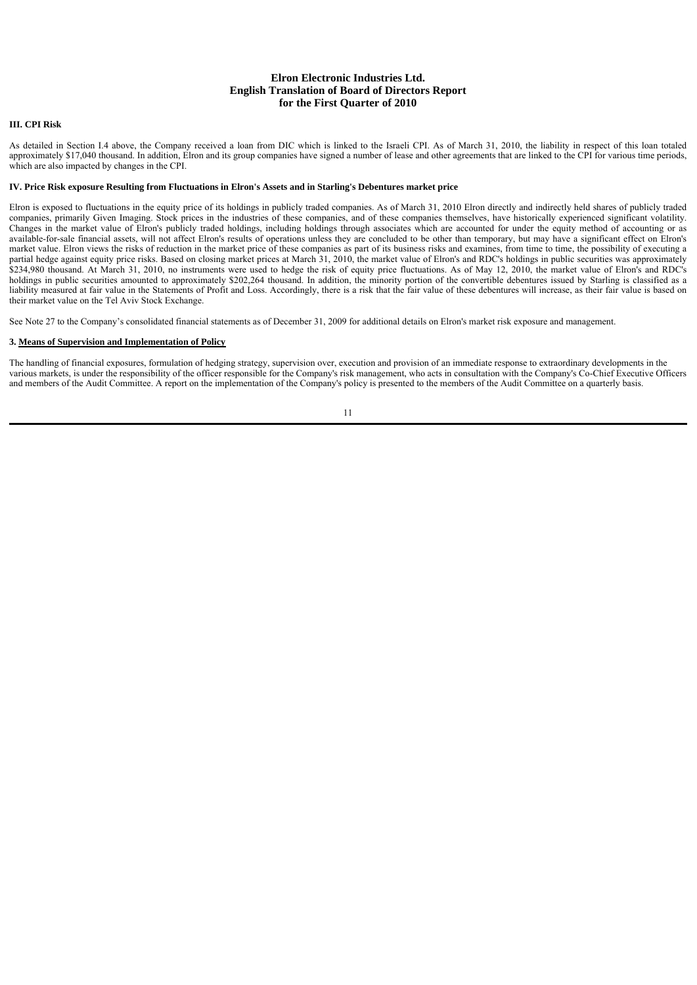### **III. CPI Risk**

As detailed in Section I.4 above, the Company received a loan from DIC which is linked to the Israeli CPI. As of March 31, 2010, the liability in respect of this loan totaled approximately \$17,040 thousand. In addition, Elron and its group companies have signed a number of lease and other agreements that are linked to the CPI for various time periods, which are also impacted by changes in the CPI.

### **IV. Price Risk exposure Resulting from Fluctuations in Elron's Assets and in Starling's Debentures market price**

Elron is exposed to fluctuations in the equity price of its holdings in publicly traded companies. As of March 31, 2010 Elron directly and indirectly held shares of publicly traded companies, primarily Given Imaging. Stock prices in the industries of these companies, and of these companies themselves, have historically experienced significant volatility. Changes in the market value of Elron's publicly traded holdings, including holdings through associates which are accounted for under the equity method of accounting or as available-for-sale financial assets, will not affect Elron's results of operations unless they are concluded to be other than temporary, but may have a significant effect on Elron's market value. Elron views the risks of reduction in the market price of these companies as part of its business risks and examines, from time to time, the possibility of executing a partial hedge against equity price risks. Based on closing market prices at March 31, 2010, the market value of Elron's and RDC's holdings in public securities was approximately \$234,980 thousand. At March 31, 2010, no instruments were used to hedge the risk of equity price fluctuations. As of May 12, 2010, the market value of Elron's and RDC's holdings in public securities amounted to approximately \$202,264 thousand. In addition, the minority portion of the convertible debentures issued by Starling is classified as a liability measured at fair value in the Statements of Profit and Loss. Accordingly, there is a risk that the fair value of these debentures will increase, as their fair value is based on their market value on the Tel Aviv Stock Exchange.

See Note 27 to the Company's consolidated financial statements as of December 31, 2009 for additional details on Elron's market risk exposure and management.

#### **3. Means of Supervision and Implementation of Policy**

The handling of financial exposures, formulation of hedging strategy, supervision over, execution and provision of an immediate response to extraordinary developments in the various markets, is under the responsibility of the officer responsible for the Company's risk management, who acts in consultation with the Company's Co-Chief Executive Officers and members of the Audit Committee. A report on the implementation of the Company's policy is presented to the members of the Audit Committee on a quarterly basis.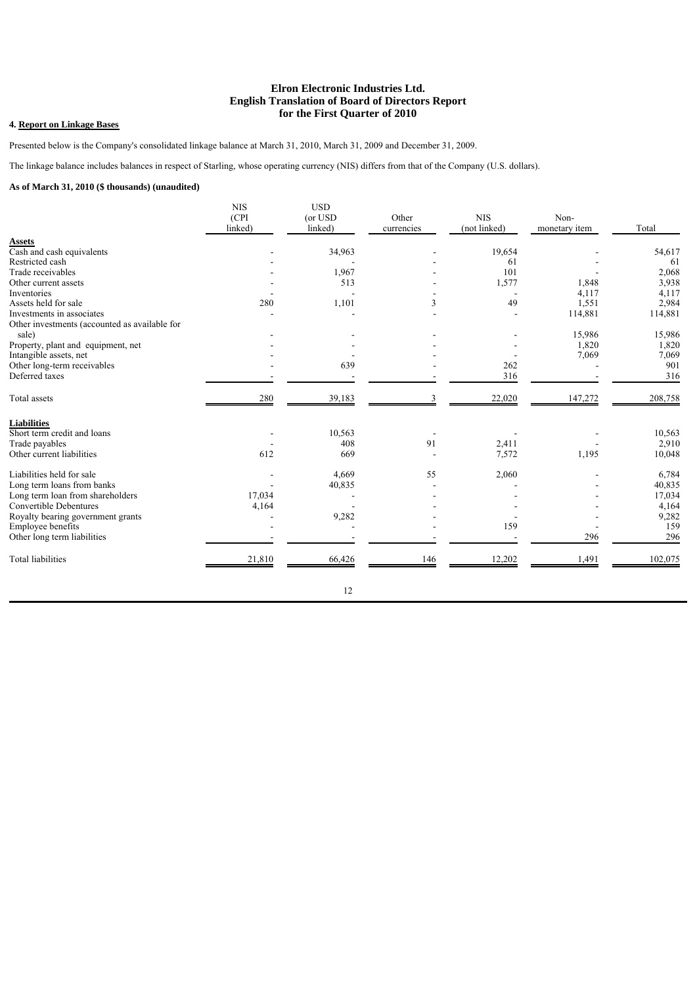# **4. Report on Linkage Bases**

Presented below is the Company's consolidated linkage balance at March 31, 2010, March 31, 2009 and December 31, 2009.

The linkage balance includes balances in respect of Starling, whose operating currency (NIS) differs from that of the Company (U.S. dollars).

# **As of March 31, 2010 (\$ thousands) (unaudited)**

|                                               | <b>NIS</b><br>(CPI<br>linked) | <b>USD</b><br>(or USD<br>linked) | Other<br>currencies | <b>NIS</b><br>(not linked) | Non-<br>monetary item | Total   |
|-----------------------------------------------|-------------------------------|----------------------------------|---------------------|----------------------------|-----------------------|---------|
| <b>Assets</b>                                 |                               |                                  |                     |                            |                       |         |
| Cash and cash equivalents                     |                               | 34,963                           |                     | 19,654                     |                       | 54,617  |
| Restricted cash                               |                               |                                  |                     | 61                         |                       | 61      |
| Trade receivables                             |                               | 1,967                            |                     | 101                        |                       | 2,068   |
| Other current assets                          |                               | 513                              |                     | 1,577                      | 1,848                 | 3,938   |
| Inventories                                   |                               |                                  |                     |                            | 4,117                 | 4,117   |
| Assets held for sale                          | 280                           | 1,101                            | 3                   | 49                         | 1,551                 | 2,984   |
| Investments in associates                     |                               |                                  |                     |                            | 114,881               | 114,881 |
| Other investments (accounted as available for |                               |                                  |                     |                            |                       |         |
| sale)                                         |                               |                                  |                     |                            | 15,986                | 15,986  |
| Property, plant and equipment, net            |                               |                                  |                     |                            | 1,820                 | 1,820   |
| Intangible assets, net                        |                               |                                  |                     |                            | 7,069                 | 7,069   |
| Other long-term receivables                   |                               | 639                              |                     | 262                        |                       | 901     |
| Deferred taxes                                |                               |                                  |                     | 316                        |                       | 316     |
| Total assets                                  | 280                           | 39,183                           |                     | 22,020                     | 147,272               | 208,758 |
| <b>Liabilities</b>                            |                               |                                  |                     |                            |                       |         |
| Short term credit and loans                   |                               | 10,563                           |                     |                            |                       | 10,563  |
| Trade payables                                |                               | 408                              | 91                  | 2,411                      |                       | 2,910   |
| Other current liabilities                     | 612                           | 669                              |                     | 7,572                      | 1,195                 | 10,048  |
| Liabilities held for sale                     |                               | 4,669                            | 55                  | 2,060                      |                       | 6,784   |
| Long term loans from banks                    |                               | 40,835                           |                     |                            |                       | 40,835  |
| Long term loan from shareholders              | 17,034                        |                                  |                     |                            |                       | 17,034  |
| Convertible Debentures                        | 4,164                         |                                  |                     |                            |                       | 4,164   |
| Royalty bearing government grants             |                               | 9,282                            |                     |                            |                       | 9,282   |
| Employee benefits                             |                               |                                  |                     | 159                        |                       | 159     |
| Other long term liabilities                   |                               |                                  |                     |                            | 296                   | 296     |
| <b>Total liabilities</b>                      | 21,810                        | 66,426                           | 146                 | 12,202                     | 1,491                 | 102,075 |
|                                               |                               | 12                               |                     |                            |                       |         |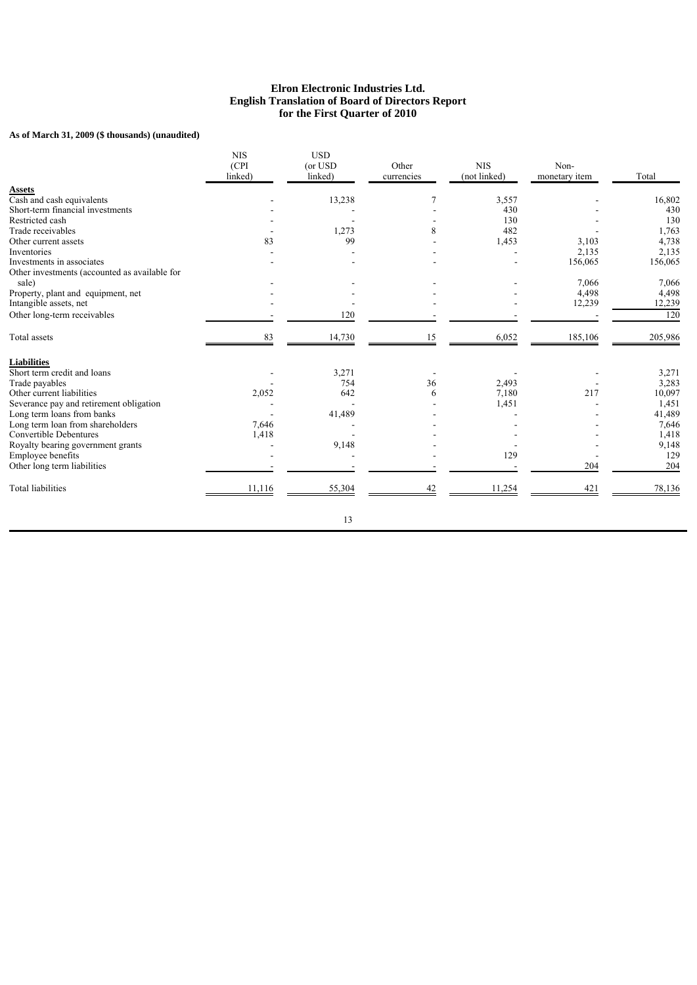# **As of March 31, 2009 (\$ thousands) (unaudited)**

|                                               | <b>NIS</b><br>(CPI)<br>linked) | <b>USD</b><br>(or USD<br>linked) | Other<br>currencies | <b>NIS</b><br>(not linked) | Non-<br>monetary item | Total   |
|-----------------------------------------------|--------------------------------|----------------------------------|---------------------|----------------------------|-----------------------|---------|
| <b>Assets</b>                                 |                                |                                  |                     |                            |                       |         |
| Cash and cash equivalents                     |                                | 13,238                           | $\overline{7}$      | 3,557                      |                       | 16,802  |
| Short-term financial investments              |                                |                                  |                     | 430                        |                       | 430     |
| Restricted cash                               |                                |                                  |                     | 130                        |                       | 130     |
| Trade receivables                             |                                | 1,273                            | 8                   | 482                        |                       | 1,763   |
| Other current assets                          | 83                             | 99                               |                     | 1,453                      | 3,103                 | 4,738   |
| Inventories                                   |                                |                                  |                     |                            | 2,135                 | 2,135   |
| Investments in associates                     |                                |                                  |                     |                            | 156,065               | 156,065 |
| Other investments (accounted as available for |                                |                                  |                     |                            |                       |         |
| sale)                                         |                                |                                  |                     |                            | 7,066                 | 7,066   |
| Property, plant and equipment, net            |                                |                                  |                     |                            | 4,498                 | 4,498   |
| Intangible assets, net                        |                                |                                  |                     |                            | 12,239                | 12,239  |
| Other long-term receivables                   |                                | 120                              |                     |                            |                       | 120     |
| Total assets                                  | 83                             | 14,730                           | 15                  | 6,052                      | 185,106               | 205,986 |
| <b>Liabilities</b>                            |                                |                                  |                     |                            |                       |         |
| Short term credit and loans                   |                                | 3,271                            |                     |                            |                       | 3,271   |
| Trade payables                                |                                | 754                              | 36                  | 2,493                      |                       | 3,283   |
| Other current liabilities                     | 2,052                          | 642                              | 6                   | 7,180                      | 217                   | 10,097  |
| Severance pay and retirement obligation       |                                |                                  |                     | 1,451                      |                       | 1,451   |
| Long term loans from banks                    |                                | 41,489                           |                     |                            |                       | 41,489  |
| Long term loan from shareholders              | 7,646                          |                                  |                     |                            |                       | 7,646   |
| <b>Convertible Debentures</b>                 | 1,418                          |                                  |                     |                            |                       | 1,418   |
| Royalty bearing government grants             |                                | 9,148                            |                     |                            |                       | 9,148   |
| Employee benefits                             |                                |                                  |                     | 129                        |                       | 129     |
| Other long term liabilities                   |                                |                                  |                     |                            | 204                   | 204     |
| <b>Total liabilities</b>                      | 11,116                         | 55,304                           | 42                  | 11,254                     | 421                   | 78,136  |
|                                               |                                | 13                               |                     |                            |                       |         |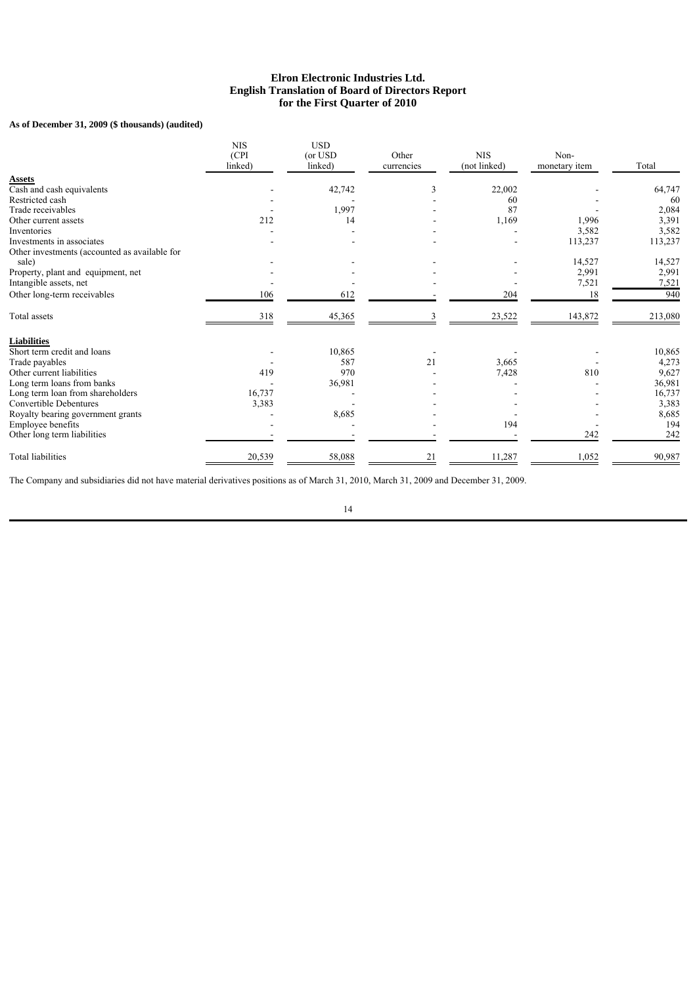# **As of December 31, 2009 (\$ thousands) (audited)**

|                                               | <b>NIS</b><br>(CPI)<br>linked) | <b>USD</b><br>(or USD<br>linked) | Other<br>currencies | <b>NIS</b><br>(not linked) | Non-<br>monetary item | Total   |
|-----------------------------------------------|--------------------------------|----------------------------------|---------------------|----------------------------|-----------------------|---------|
| <b>Assets</b>                                 |                                |                                  |                     |                            |                       |         |
| Cash and cash equivalents                     |                                | 42,742                           | 3                   | 22,002                     |                       | 64,747  |
| Restricted cash                               |                                |                                  |                     | 60                         |                       | 60      |
| Trade receivables                             |                                | 1,997                            |                     | 87                         |                       | 2,084   |
| Other current assets                          | 212                            | 14                               |                     | 1,169                      | 1,996                 | 3,391   |
| Inventories                                   |                                |                                  |                     |                            | 3,582                 | 3,582   |
| Investments in associates                     |                                |                                  |                     |                            | 113,237               | 113,237 |
| Other investments (accounted as available for |                                |                                  |                     |                            |                       |         |
| sale)                                         |                                |                                  |                     |                            | 14,527                | 14,527  |
| Property, plant and equipment, net            |                                |                                  |                     |                            | 2,991                 | 2,991   |
| Intangible assets, net                        |                                |                                  |                     |                            | 7,521                 | 7,521   |
| Other long-term receivables                   | 106                            | 612                              |                     | 204                        | 18                    | 940     |
| Total assets                                  | 318                            | 45,365                           |                     | 23,522                     | 143,872               | 213,080 |
| <b>Liabilities</b>                            |                                |                                  |                     |                            |                       |         |
| Short term credit and loans                   |                                | 10,865                           |                     |                            |                       | 10,865  |
| Trade payables                                |                                | 587                              | 21                  | 3,665                      |                       | 4,273   |
| Other current liabilities                     | 419                            | 970                              |                     | 7,428                      | 810                   | 9,627   |
| Long term loans from banks                    |                                | 36,981                           |                     |                            |                       | 36,981  |
| Long term loan from shareholders              | 16,737                         |                                  |                     |                            |                       | 16,737  |
| Convertible Debentures                        | 3,383                          |                                  |                     |                            |                       | 3,383   |
| Royalty bearing government grants             |                                | 8,685                            |                     |                            |                       | 8,685   |
| Employee benefits                             |                                |                                  |                     | 194                        |                       | 194     |
| Other long term liabilities                   |                                |                                  |                     |                            | 242                   | 242     |
| <b>Total liabilities</b>                      | 20,539                         | 58,088                           | 21                  | 11,287                     | 1,052                 | 90,987  |

The Company and subsidiaries did not have material derivatives positions as of March 31, 2010, March 31, 2009 and December 31, 2009.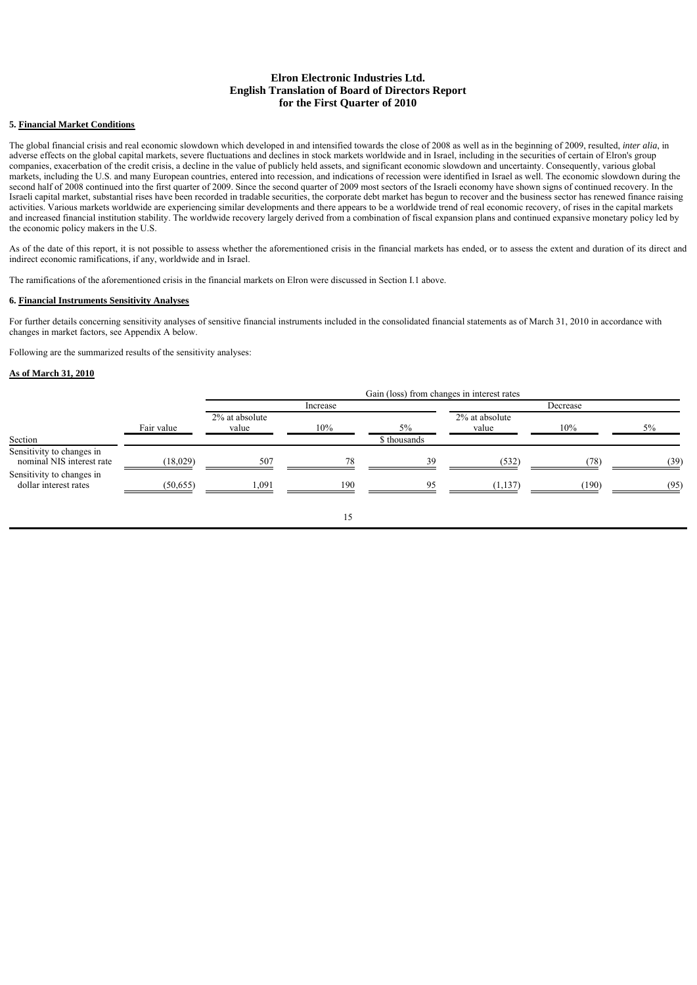# **5. Financial Market Conditions**

The global financial crisis and real economic slowdown which developed in and intensified towards the close of 2008 as well as in the beginning of 2009, resulted, *inter alia*, in adverse effects on the global capital markets, severe fluctuations and declines in stock markets worldwide and in Israel, including in the securities of certain of Elron's group companies, exacerbation of the credit crisis, a decline in the value of publicly held assets, and significant economic slowdown and uncertainty. Consequently, various global markets, including the U.S. and many European countries, entered into recession, and indications of recession were identified in Israel as well. The economic slowdown during the second half of 2008 continued into the first quarter of 2009. Since the second quarter of 2009 most sectors of the Israeli economy have shown signs of continued recovery. In the Israeli capital market, substantial rises have been recorded in tradable securities, the corporate debt market has begun to recover and the business sector has renewed finance raising activities. Various markets worldwide are experiencing similar developments and there appears to be a worldwide trend of real economic recovery, of rises in the capital markets and increased financial institution stability. The worldwide recovery largely derived from a combination of fiscal expansion plans and continued expansive monetary policy led by the economic policy makers in the U.S.

As of the date of this report, it is not possible to assess whether the aforementioned crisis in the financial markets has ended, or to assess the extent and duration of its direct and indirect economic ramifications, if any, worldwide and in Israel.

The ramifications of the aforementioned crisis in the financial markets on Elron were discussed in Section I.1 above.

### **6. Financial Instruments Sensitivity Analyses**

For further details concerning sensitivity analyses of sensitive financial instruments included in the consolidated financial statements as of March 31, 2010 in accordance with changes in market factors, see Appendix A below.

Following are the summarized results of the sensitivity analyses:

#### **As of March 31, 2010**

|                                                        |            | Gain (loss) from changes in interest rates |     |              |                         |       |      |
|--------------------------------------------------------|------------|--------------------------------------------|-----|--------------|-------------------------|-------|------|
|                                                        | Fair value | Increase                                   |     |              | Decrease                |       |      |
|                                                        |            | 2% at absolute<br>value                    | 10% | $5\%$        | 2% at absolute<br>value | 10%   | 5%   |
| Section                                                |            |                                            |     | \$ thousands |                         |       |      |
| Sensitivity to changes in<br>nominal NIS interest rate | (18,029)   | 507                                        | 70  | 39           | (532)                   | 78    | (39  |
| Sensitivity to changes in<br>dollar interest rates     | (50, 655)  | .091                                       | 190 | 05           | (1, 137)                | (190) | (95) |
|                                                        |            |                                            | 15  |              |                         |       |      |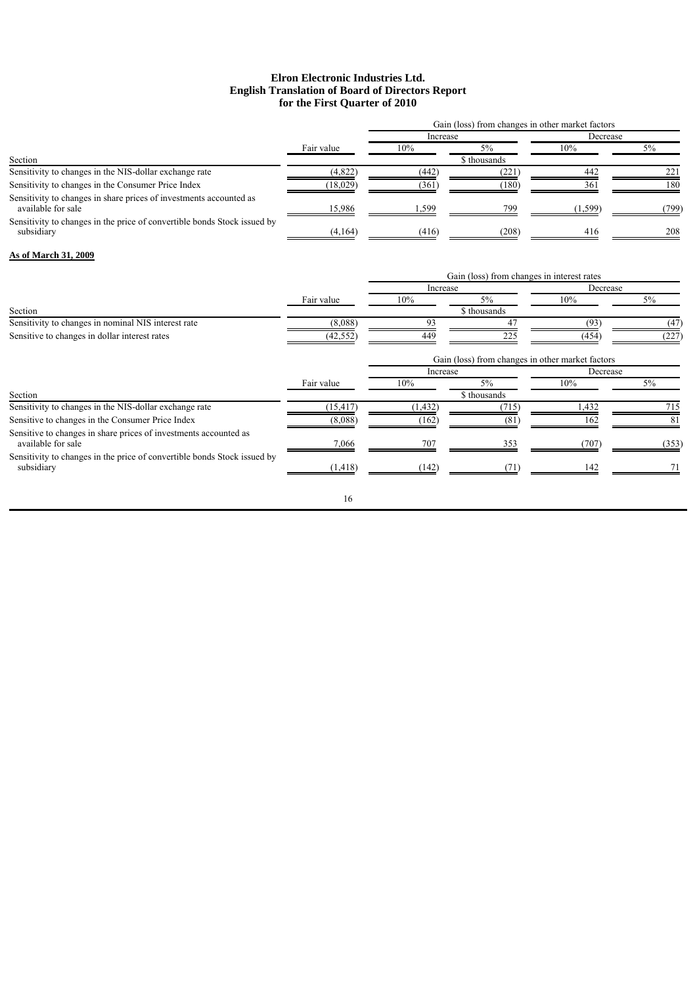|                                                                                          |            | Gain (loss) from changes in other market factors |                                                  |          |       |
|------------------------------------------------------------------------------------------|------------|--------------------------------------------------|--------------------------------------------------|----------|-------|
|                                                                                          | Fair value | Increase                                         |                                                  | Decrease |       |
|                                                                                          |            | 10%                                              | 5%                                               | 10%      | 5%    |
| Section                                                                                  |            |                                                  | \$ thousands                                     |          |       |
| Sensitivity to changes in the NIS-dollar exchange rate                                   | (4,822)    | (442)                                            | (221)                                            | 442      | 221   |
| Sensitivity to changes in the Consumer Price Index                                       | (18,029)   | (361)                                            | (180)                                            | 361      | 180   |
| Sensitivity to changes in share prices of investments accounted as<br>available for sale | 15,986     | 1,599                                            | 799                                              | (1, 599) | (799) |
| Sensitivity to changes in the price of convertible bonds Stock issued by<br>subsidiary   | (4,164)    | (416)                                            | (208)                                            | 416      | 208   |
| As of March 31, 2009                                                                     |            |                                                  |                                                  |          |       |
|                                                                                          |            | Gain (loss) from changes in interest rates       |                                                  |          |       |
|                                                                                          |            | Increase                                         |                                                  | Decrease |       |
|                                                                                          | Fair value | 10%                                              | 5%                                               | 10%      | 5%    |
| Section                                                                                  |            |                                                  | \$ thousands                                     |          |       |
| Sensitivity to changes in nominal NIS interest rate                                      | (8,088)    | 93                                               | 47                                               | (93)     | (47)  |
| Sensitive to changes in dollar interest rates                                            | (42, 552)  | 449                                              | 225                                              | (454)    | (227) |
|                                                                                          |            |                                                  | Gain (loss) from changes in other market factors |          |       |
|                                                                                          |            | Increase                                         |                                                  | Decrease |       |
| Section                                                                                  | Fair value | 10%                                              | 5%<br>\$ thousands                               | 10%      | 5%    |
| Sensitivity to changes in the NIS-dollar exchange rate                                   | (15, 417)  | (1, 432)                                         | (715)                                            | 1,432    | 715   |
| Sensitive to changes in the Consumer Price Index                                         | (8,088)    | (162)                                            | (81)                                             | 162      | 81    |
| Sensitive to changes in share prices of investments accounted as<br>available for sale   | 7,066      | 707                                              | 353                                              | (707)    | (353) |
| Sensitivity to changes in the price of convertible bonds Stock issued by<br>subsidiary   | (1, 418)   | (142)                                            | (71)                                             | 142      |       |
|                                                                                          | 16         |                                                  |                                                  |          |       |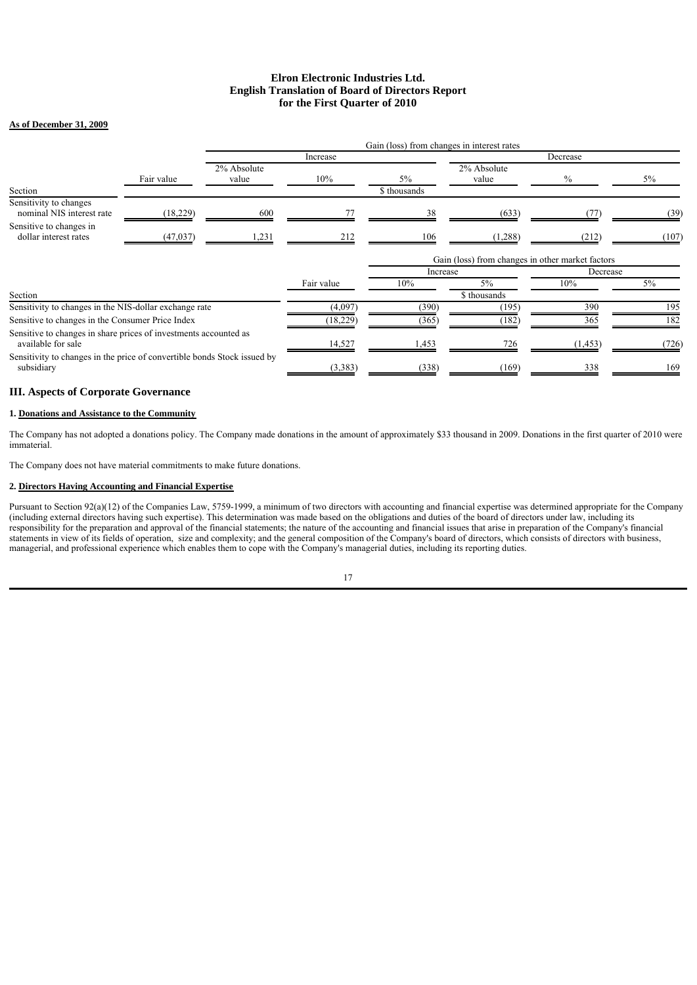### **As of December 31, 2009**

|                                                                                        |            |                      | Gain (loss) from changes in interest rates |                    |                                                  |          |       |  |
|----------------------------------------------------------------------------------------|------------|----------------------|--------------------------------------------|--------------------|--------------------------------------------------|----------|-------|--|
|                                                                                        |            |                      | Increase                                   |                    |                                                  | Decrease |       |  |
| Section                                                                                | Fair value | 2% Absolute<br>value | 10%                                        | 5%<br>\$ thousands | 2% Absolute<br>value                             | $\%$     | $5\%$ |  |
| Sensitivity to changes<br>nominal NIS interest rate                                    | (18, 229)  | 600                  |                                            |                    | (633)                                            |          | (39)  |  |
| Sensitive to changes in<br>dollar interest rates                                       | (47, 037)  | 231                  | 212                                        | 106                | (1,288)                                          | (212)    | (107) |  |
|                                                                                        |            |                      |                                            |                    | Gain (loss) from changes in other market factors |          |       |  |
|                                                                                        |            |                      |                                            | Increase           |                                                  | Decrease |       |  |
|                                                                                        |            |                      | Fair value                                 | 10%                | $5\%$                                            | 10%      | 5%    |  |
| Section                                                                                |            |                      |                                            | \$ thousands       |                                                  |          |       |  |
| Sensitivity to changes in the NIS-dollar exchange rate                                 |            |                      | (4,097)                                    | (390)              | (195)                                            | 390      | 195   |  |
| Sensitive to changes in the Consumer Price Index                                       |            |                      | (18, 229)                                  | (365)              | (182                                             | 365      | 182   |  |
| Sensitive to changes in share prices of investments accounted as<br>available for sale |            |                      | 14,527                                     | .453               | 726                                              | (1, 453) | (726  |  |
| Sensitivity to changes in the price of convertible bonds Stock issued by<br>subsidiary |            | (3,383)              | (338)                                      | (169)              | 338                                              | 169      |       |  |

# **III. Aspects of Corporate Governance**

## **1. Donations and Assistance to the Community**

The Company has not adopted a donations policy. The Company made donations in the amount of approximately \$33 thousand in 2009. Donations in the first quarter of 2010 were immaterial.

The Company does not have material commitments to make future donations.

### **2. Directors Having Accounting and Financial Expertise**

Pursuant to Section 92(a)(12) of the Companies Law, 5759-1999, a minimum of two directors with accounting and financial expertise was determined appropriate for the Company (including external directors having such expertise). This determination was made based on the obligations and duties of the board of directors under law, including its responsibility for the preparation and approval of the financial statements; the nature of the accounting and financial issues that arise in preparation of the Company's financial statements in view of its fields of operation, size and complexity; and the general composition of the Company's board of directors, which consists of directors with business, managerial, and professional experience which enables them to cope with the Company's managerial duties, including its reporting duties.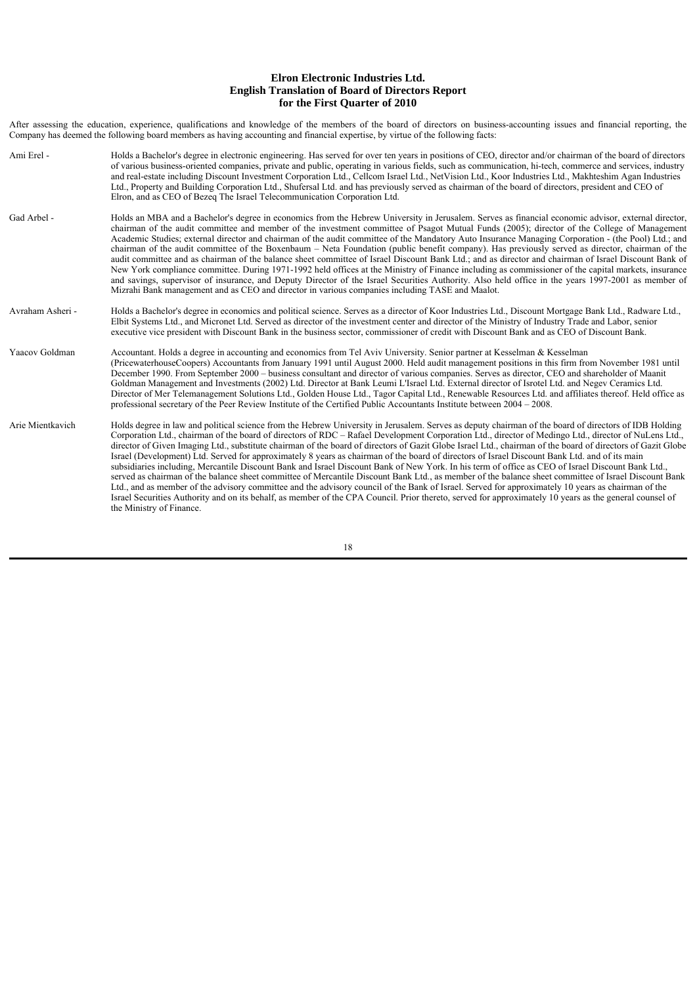After assessing the education, experience, qualifications and knowledge of the members of the board of directors on business-accounting issues and financial reporting, the Company has deemed the following board members as having accounting and financial expertise, by virtue of the following facts:

Ami Erel - Holds a Bachelor's degree in electronic engineering. Has served for over ten years in positions of CEO, director and/or chairman of the board of directors of various business-oriented companies, private and public, operating in various fields, such as communication, hi-tech, commerce and services, industry and real-estate including Discount Investment Corporation Ltd., Cellcom Israel Ltd., NetVision Ltd., Koor Industries Ltd., Makhteshim Agan Industries Ltd., Property and Building Corporation Ltd., Shufersal Ltd. and has previously served as chairman of the board of directors, president and CEO of Elron, and as CEO of Bezeq The Israel Telecommunication Corporation Ltd. Gad Arbel - Holds an MBA and a Bachelor's degree in economics from the Hebrew University in Jerusalem. Serves as financial economic advisor, external director, chairman of the audit committee and member of the investment committee of Psagot Mutual Funds (2005); director of the College of Management Academic Studies; external director and chairman of the audit committee of the Mandatory Auto Insurance Managing Corporation - (the Pool) Ltd.; and chairman of the audit committee of the Boxenbaum – Neta Foundation (public benefit company). Has previously served as director, chairman of the audit committee and as chairman of the balance sheet committee of Israel Discount Bank Ltd.; and as director and chairman of Israel Discount Bank of New York compliance committee. During 1971-1992 held offices at the Ministry of Finance including as commissioner of the capital markets, insurance and savings, supervisor of insurance, and Deputy Director of the Israel Securities Authority. Also held office in the years 1997-2001 as member of Mizrahi Bank management and as CEO and director in various companies including TASE and Maalot. Avraham Asheri - Holds a Bachelor's degree in economics and political science. Serves as a director of Koor Industries Ltd., Discount Mortgage Bank Ltd., Radware Ltd., Elbit Systems Ltd., and Micronet Ltd. Served as director of the investment center and director of the Ministry of Industry Trade and Labor, senior executive vice president with Discount Bank in the business sector, commissioner of credit with Discount Bank and as CEO of Discount Bank. Yaacov Goldman Accountant. Holds a degree in accounting and economics from Tel Aviv University. Senior partner at Kesselman & Kesselman (PricewaterhouseCoopers) Accountants from January 1991 until August 2000. Held audit management positions in this firm from November 1981 until December 1990. From September 2000 – business consultant and director of various companies. Serves as director, CEO and shareholder of Maanit Goldman Management and Investments (2002) Ltd. Director at Bank Leumi L'Israel Ltd. External director of Isrotel Ltd. and Negev Ceramics Ltd. Director of Mer Telemanagement Solutions Ltd., Golden House Ltd., Tagor Capital Ltd., Renewable Resources Ltd. and affiliates thereof. Held office as professional secretary of the Peer Review Institute of the Certified Public Accountants Institute between 2004 – 2008. Arie Mientkavich Holds degree in law and political science from the Hebrew University in Jerusalem. Serves as deputy chairman of the board of directors of IDB Holding Corporation Ltd., chairman of the board of directors of RDC – Rafael Development Corporation Ltd., director of Medingo Ltd., director of NuLens Ltd., director of Given Imaging Ltd., substitute chairman of the board of directors of Gazit Globe Israel Ltd., chairman of the board of directors of Gazit Globe Israel (Development) Ltd. Served for approximately 8 years as chairman of the board of directors of Israel Discount Bank Ltd. and of its main subsidiaries including, Mercantile Discount Bank and Israel Discount Bank of New York. In his term of office as CEO of Israel Discount Bank Ltd., served as chairman of the balance sheet committee of Mercantile Discount Bank Ltd., as member of the balance sheet committee of Israel Discount Bank Ltd., and as member of the advisory committee and the advisory council of the Bank of Israel. Served for approximately 10 years as chairman of the Israel Securities Authority and on its behalf, as member of the CPA Council. Prior thereto, served for approximately 10 years as the general counsel of the Ministry of Finance.

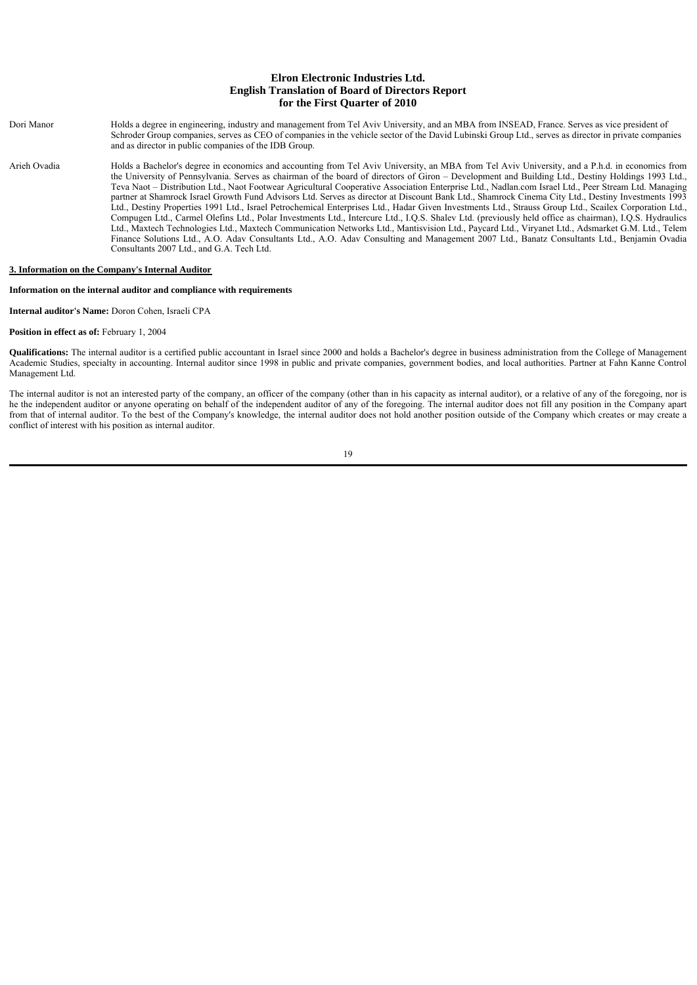| Dori Manor   | Holds a degree in engineering, industry and management from Tel Aviv University, and an MBA from INSEAD, France. Serves as vice president of<br>Schroder Group companies, serves as CEO of companies in the vehicle sector of the David Lubinski Group Ltd., serves as director in private companies<br>and as director in public companies of the IDB Group.                                                                                                                                                                                                                                                                                                                                                                                                                                                                                                                                                                                                                                                                                                                                                                                                                                                                                                                           |
|--------------|-----------------------------------------------------------------------------------------------------------------------------------------------------------------------------------------------------------------------------------------------------------------------------------------------------------------------------------------------------------------------------------------------------------------------------------------------------------------------------------------------------------------------------------------------------------------------------------------------------------------------------------------------------------------------------------------------------------------------------------------------------------------------------------------------------------------------------------------------------------------------------------------------------------------------------------------------------------------------------------------------------------------------------------------------------------------------------------------------------------------------------------------------------------------------------------------------------------------------------------------------------------------------------------------|
| Arieh Ovadia | Holds a Bachelor's degree in economics and accounting from Tel Aviv University, an MBA from Tel Aviv University, and a P.h.d. in economics from<br>the University of Pennsylvania. Serves as chairman of the board of directors of Giron – Development and Building Ltd., Destiny Holdings 1993 Ltd.,<br>Teva Naot – Distribution Ltd., Naot Footwear Agricultural Cooperative Association Enterprise Ltd., Nadlan.com Israel Ltd., Peer Stream Ltd. Managing<br>partner at Shamrock Israel Growth Fund Advisors Ltd. Serves as director at Discount Bank Ltd., Shamrock Cinema City Ltd., Destiny Investments 1993<br>Ltd., Destiny Properties 1991 Ltd., Israel Petrochemical Enterprises Ltd., Hadar Given Investments Ltd., Strauss Group Ltd., Scailex Corporation Ltd.,<br>Compugen Ltd., Carmel Olefins Ltd., Polar Investments Ltd., Intercure Ltd., I.Q.S. Shalev Ltd. (previously held office as chairman), I.Q.S. Hydraulics<br>Ltd., Maxtech Technologies Ltd., Maxtech Communication Networks Ltd., Mantisvision Ltd., Paycard Ltd., Viryanet Ltd., Adsmarket G.M. Ltd., Telem<br>Finance Solutions Ltd., A.O. Adav Consultants Ltd., A.O. Adav Consulting and Management 2007 Ltd., Banatz Consultants Ltd., Benjamin Ovadia<br>Consultants 2007 Ltd., and G.A. Tech Ltd. |

## **3. Information on the Company's Internal Auditor**

### **Information on the internal auditor and compliance with requirements**

**Internal auditor's Name:** Doron Cohen, Israeli CPA

#### **Position in effect as of:** February 1, 2004

Qualifications: The internal auditor is a certified public accountant in Israel since 2000 and holds a Bachelor's degree in business administration from the College of Management Academic Studies, specialty in accounting. Internal auditor since 1998 in public and private companies, government bodies, and local authorities. Partner at Fahn Kanne Control Management Ltd.

The internal auditor is not an interested party of the company, an officer of the company (other than in his capacity as internal auditor), or a relative of any of the foregoing, nor is he the independent auditor or anyone operating on behalf of the independent auditor of any of the foregoing. The internal auditor does not fill any position in the Company apart from that of internal auditor. To the best of the Company's knowledge, the internal auditor does not hold another position outside of the Company which creates or may create a conflict of interest with his position as internal auditor.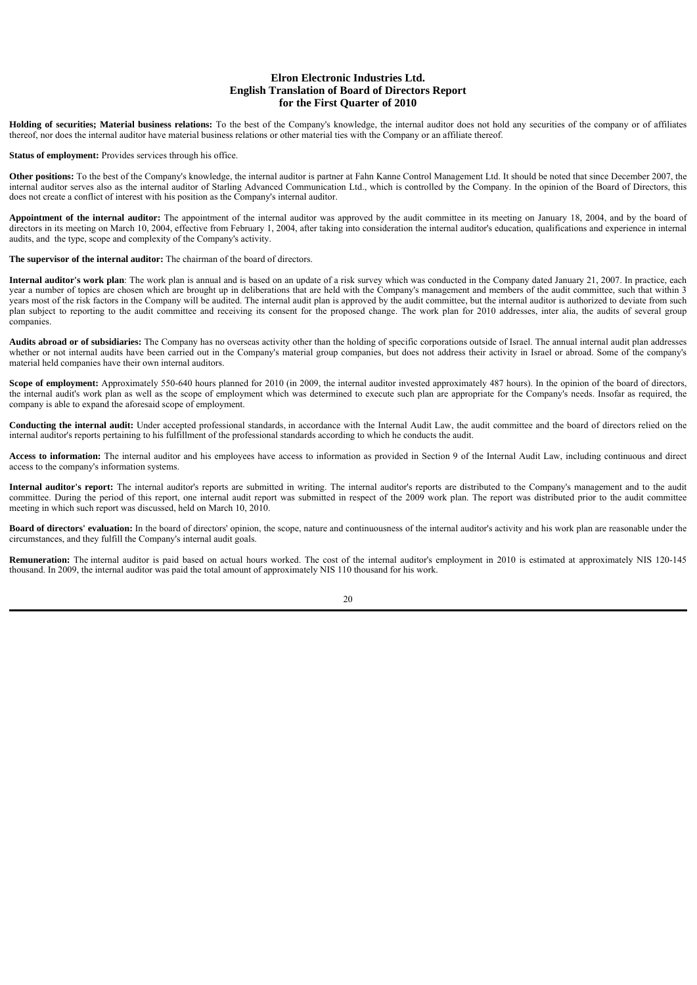**Holding of securities; Material business relations:** To the best of the Company's knowledge, the internal auditor does not hold any securities of the company or of affiliates thereof, nor does the internal auditor have material business relations or other material ties with the Company or an affiliate thereof.

**Status of employment:** Provides services through his office.

**Other positions:** To the best of the Company's knowledge, the internal auditor is partner at Fahn Kanne Control Management Ltd. It should be noted that since December 2007, the internal auditor serves also as the internal auditor of Starling Advanced Communication Ltd., which is controlled by the Company. In the opinion of the Board of Directors, this does not create a conflict of interest with his position as the Company's internal auditor.

Appointment of the internal auditor: The appointment of the internal auditor was approved by the audit committee in its meeting on January 18, 2004, and by the board of directors in its meeting on March 10, 2004, effective from February 1, 2004, after taking into consideration the internal auditor's education, qualifications and experience in internal audits, and the type, scope and complexity of the Company's activity.

**The supervisor of the internal auditor:** The chairman of the board of directors.

Internal auditor's work plan: The work plan is annual and is based on an update of a risk survey which was conducted in the Company dated January 21, 2007. In practice, each year a number of topics are chosen which are brought up in deliberations that are held with the Company's management and members of the audit committee, such that within 3 years most of the risk factors in the Company will be audited. The internal audit plan is approved by the audit committee, but the internal auditor is authorized to deviate from such plan subject to reporting to the audit committee and receiving its consent for the proposed change. The work plan for 2010 addresses, inter alia, the audits of several group companies.

**Audits abroad or of subsidiaries:** The Company has no overseas activity other than the holding of specific corporations outside of Israel. The annual internal audit plan addresses whether or not internal audits have been carried out in the Company's material group companies, but does not address their activity in Israel or abroad. Some of the company's material held companies have their own internal auditors.

Scope of employment: Approximately 550-640 hours planned for 2010 (in 2009, the internal auditor invested approximately 487 hours). In the opinion of the board of directors, the internal audit's work plan as well as the scope of employment which was determined to execute such plan are appropriate for the Company's needs. Insofar as required, the company is able to expand the aforesaid scope of employment.

**Conducting the internal audit:** Under accepted professional standards, in accordance with the Internal Audit Law, the audit committee and the board of directors relied on the internal auditor's reports pertaining to his fulfillment of the professional standards according to which he conducts the audit.

**Access to information:** The internal auditor and his employees have access to information as provided in Section 9 of the Internal Audit Law, including continuous and direct access to the company's information systems.

**Internal auditor's report:** The internal auditor's reports are submitted in writing. The internal auditor's reports are distributed to the Company's management and to the audit committee. During the period of this report, one internal audit report was submitted in respect of the 2009 work plan. The report was distributed prior to the audit committee meeting in which such report was discussed, held on March 10, 2010.

**Board of directors' evaluation:** In the board of directors' opinion, the scope, nature and continuousness of the internal auditor's activity and his work plan are reasonable under the circumstances, and they fulfill the Company's internal audit goals.

**Remuneration:** The internal auditor is paid based on actual hours worked. The cost of the internal auditor's employment in 2010 is estimated at approximately NIS 120-145 thousand. In 2009, the internal auditor was paid the total amount of approximately NIS 110 thousand for his work.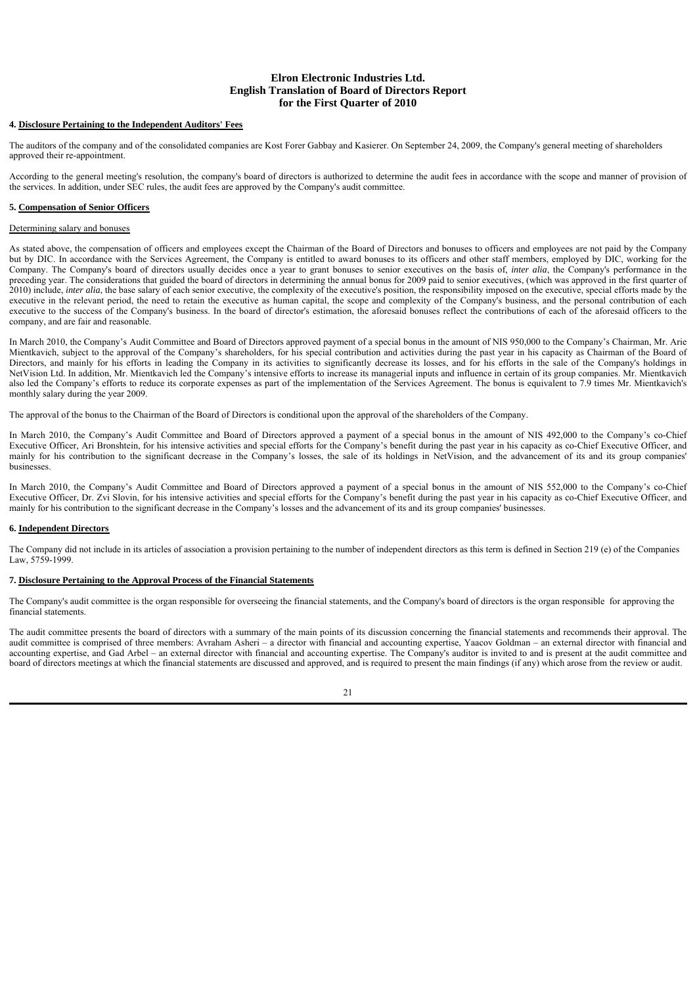### **4. Disclosure Pertaining to the Independent Auditors' Fees**

The auditors of the company and of the consolidated companies are Kost Forer Gabbay and Kasierer. On September 24, 2009, the Company's general meeting of shareholders approved their re-appointment.

According to the general meeting's resolution, the company's board of directors is authorized to determine the audit fees in accordance with the scope and manner of provision of the services. In addition, under SEC rules, the audit fees are approved by the Company's audit committee.

### **5. Compensation of Senior Officers**

# Determining salary and bonuses

As stated above, the compensation of officers and employees except the Chairman of the Board of Directors and bonuses to officers and employees are not paid by the Company but by DIC. In accordance with the Services Agreement, the Company is entitled to award bonuses to its officers and other staff members, employed by DIC, working for the Company. The Company's board of directors usually decides once a year to grant bonuses to senior executives on the basis of, *inter alia*, the Company's performance in the preceding year. The considerations that guided the board of directors in determining the annual bonus for 2009 paid to senior executives, (which was approved in the first quarter of 2010) include, *inter alia*, the base salary of each senior executive, the complexity of the executive's position, the responsibility imposed on the executive, special efforts made by the executive in the relevant period, the need to retain the executive as human capital, the scope and complexity of the Company's business, and the personal contribution of each executive to the success of the Company's business. In the board of director's estimation, the aforesaid bonuses reflect the contributions of each of the aforesaid officers to the company, and are fair and reasonable.

In March 2010, the Company's Audit Committee and Board of Directors approved payment of a special bonus in the amount of NIS 950,000 to the Company's Chairman, Mr. Arie Mientkavich, subject to the approval of the Company's shareholders, for his special contribution and activities during the past year in his capacity as Chairman of the Board of Directors, and mainly for his efforts in leading the Company in its activities to significantly decrease its losses, and for his efforts in the sale of the Company's holdings in NetVision Ltd. In addition, Mr. Mientkavich led the Company's intensive efforts to increase its managerial inputs and influence in certain of its group companies. Mr. Mientkavich also led the Company's efforts to reduce its corporate expenses as part of the implementation of the Services Agreement. The bonus is equivalent to 7.9 times Mr. Mientkavich's monthly salary during the year 2009.

The approval of the bonus to the Chairman of the Board of Directors is conditional upon the approval of the shareholders of the Company.

In March 2010, the Company's Audit Committee and Board of Directors approved a payment of a special bonus in the amount of NIS 492,000 to the Company's co-Chief Executive Officer, Ari Bronshtein, for his intensive activities and special efforts for the Company's benefit during the past year in his capacity as co-Chief Executive Officer, and mainly for his contribution to the significant decrease in the Company's losses, the sale of its holdings in NetVision, and the advancement of its and its group companies' businesses.

In March 2010, the Company's Audit Committee and Board of Directors approved a payment of a special bonus in the amount of NIS 552,000 to the Company's co-Chief Executive Officer, Dr. Zvi Slovin, for his intensive activities and special efforts for the Company's benefit during the past year in his capacity as co-Chief Executive Officer, and mainly for his contribution to the significant decrease in the Company's losses and the advancement of its and its group companies' businesses.

### **6. Independent Directors**

The Company did not include in its articles of association a provision pertaining to the number of independent directors as this term is defined in Section 219 (e) of the Companies Law, 5759-1999.

### **7. Disclosure Pertaining to the Approval Process of the Financial Statements**

The Company's audit committee is the organ responsible for overseeing the financial statements, and the Company's board of directors is the organ responsible for approving the financial statements.

The audit committee presents the board of directors with a summary of the main points of its discussion concerning the financial statements and recommends their approval. The audit committee is comprised of three members: Avraham Asheri – a director with financial and accounting expertise, Yaacov Goldman – an external director with financial and accounting expertise, and Gad Arbel – an external director with financial and accounting expertise. The Company's auditor is invited to and is present at the audit committee and board of directors meetings at which the financial statements are discussed and approved, and is required to present the main findings (if any) which arose from the review or audit.

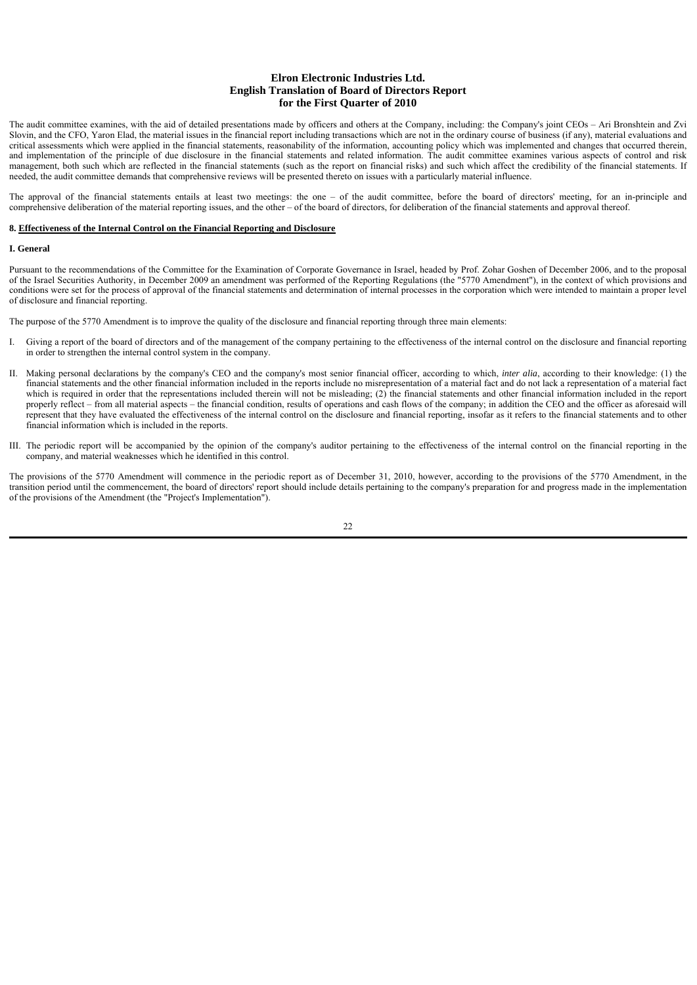The audit committee examines, with the aid of detailed presentations made by officers and others at the Company, including: the Company's joint CEOs – Ari Bronshtein and Zvi Slovin, and the CFO, Yaron Elad, the material issues in the financial report including transactions which are not in the ordinary course of business (if any), material evaluations and critical assessments which were applied in the financial statements, reasonability of the information, accounting policy which was implemented and changes that occurred therein, and implementation of the principle of due disclosure in the financial statements and related information. The audit committee examines various aspects of control and risk management, both such which are reflected in the financial statements (such as the report on financial risks) and such which affect the credibility of the financial statements. If needed, the audit committee demands that comprehensive reviews will be presented thereto on issues with a particularly material influence.

The approval of the financial statements entails at least two meetings: the one – of the audit committee, before the board of directors' meeting, for an in-principle and comprehensive deliberation of the material reporting issues, and the other – of the board of directors, for deliberation of the financial statements and approval thereof.

#### **8. Effectiveness of the Internal Control on the Financial Reporting and Disclosure**

#### **I. General**

Pursuant to the recommendations of the Committee for the Examination of Corporate Governance in Israel, headed by Prof. Zohar Goshen of December 2006, and to the proposal of the Israel Securities Authority, in December 2009 an amendment was performed of the Reporting Regulations (the "5770 Amendment"), in the context of which provisions and conditions were set for the process of approval of the financial statements and determination of internal processes in the corporation which were intended to maintain a proper level of disclosure and financial reporting.

The purpose of the 5770 Amendment is to improve the quality of the disclosure and financial reporting through three main elements:

- I. Giving a report of the board of directors and of the management of the company pertaining to the effectiveness of the internal control on the disclosure and financial reporting in order to strengthen the internal control system in the company.
- II. Making personal declarations by the company's CEO and the company's most senior financial officer, according to which, *inter alia*, according to their knowledge: (1) the financial statements and the other financial information included in the reports include no misrepresentation of a material fact and do not lack a representation of a material fact which is required in order that the representations included therein will not be misleading; (2) the financial statements and other financial information included in the report properly reflect – from all material aspects – the financial condition, results of operations and cash flows of the company; in addition the CEO and the officer as aforesaid will represent that they have evaluated the effectiveness of the internal control on the disclosure and financial reporting, insofar as it refers to the financial statements and to other financial information which is included in the reports.
- III. The periodic report will be accompanied by the opinion of the company's auditor pertaining to the effectiveness of the internal control on the financial reporting in the company, and material weaknesses which he identified in this control.

The provisions of the 5770 Amendment will commence in the periodic report as of December 31, 2010, however, according to the provisions of the 5770 Amendment, in the transition period until the commencement, the board of directors' report should include details pertaining to the company's preparation for and progress made in the implementation of the provisions of the Amendment (the "Project's Implementation").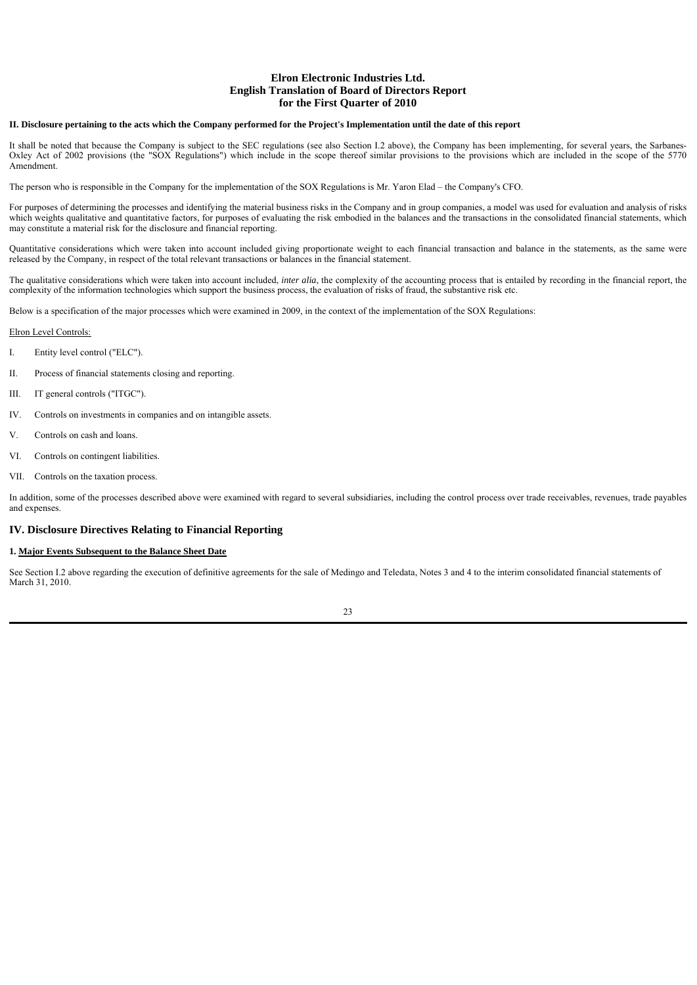### **II. Disclosure pertaining to the acts which the Company performed for the Project's Implementation until the date of this report**

It shall be noted that because the Company is subject to the SEC regulations (see also Section I.2 above), the Company has been implementing, for several years, the Sarbanes-Oxley Act of 2002 provisions (the "SOX Regulations") which include in the scope thereof similar provisions to the provisions which are included in the scope of the 5770 Amendment.

The person who is responsible in the Company for the implementation of the SOX Regulations is Mr. Yaron Elad – the Company's CFO.

For purposes of determining the processes and identifying the material business risks in the Company and in group companies, a model was used for evaluation and analysis of risks which weights qualitative and quantitative factors, for purposes of evaluating the risk embodied in the balances and the transactions in the consolidated financial statements, which may constitute a material risk for the disclosure and financial reporting.

Quantitative considerations which were taken into account included giving proportionate weight to each financial transaction and balance in the statements, as the same were released by the Company, in respect of the total relevant transactions or balances in the financial statement.

The qualitative considerations which were taken into account included, *inter alia*, the complexity of the accounting process that is entailed by recording in the financial report, the complexity of the information technologies which support the business process, the evaluation of risks of fraud, the substantive risk etc.

Below is a specification of the major processes which were examined in 2009, in the context of the implementation of the SOX Regulations:

#### Elron Level Controls:

- $\overline{L}$ Entity level control ("ELC").
- II. Process of financial statements closing and reporting.
- III. IT general controls ("ITGC").
- IV. Controls on investments in companies and on intangible assets.
- V. Controls on cash and loans.
- VI. Controls on contingent liabilities.
- VII. Controls on the taxation process.

In addition, some of the processes described above were examined with regard to several subsidiaries, including the control process over trade receivables, revenues, trade payables and expenses.

# **IV. Disclosure Directives Relating to Financial Reporting**

### **1. Major Events Subsequent to the Balance Sheet Date**

See Section I.2 above regarding the execution of definitive agreements for the sale of Medingo and Teledata, Notes 3 and 4 to the interim consolidated financial statements of March 31, 2010.

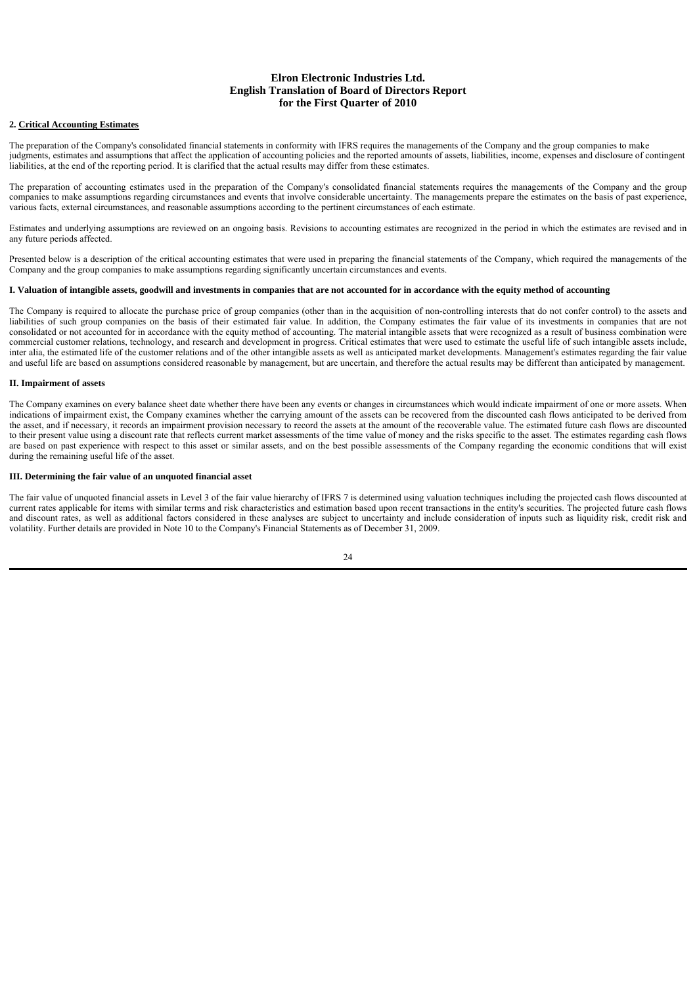### **2. Critical Accounting Estimates**

The preparation of the Company's consolidated financial statements in conformity with IFRS requires the managements of the Company and the group companies to make judgments, estimates and assumptions that affect the application of accounting policies and the reported amounts of assets, liabilities, income, expenses and disclosure of contingent liabilities, at the end of the reporting period. It is clarified that the actual results may differ from these estimates.

The preparation of accounting estimates used in the preparation of the Company's consolidated financial statements requires the managements of the Company and the group companies to make assumptions regarding circumstances and events that involve considerable uncertainty. The managements prepare the estimates on the basis of past experience, various facts, external circumstances, and reasonable assumptions according to the pertinent circumstances of each estimate.

Estimates and underlying assumptions are reviewed on an ongoing basis. Revisions to accounting estimates are recognized in the period in which the estimates are revised and in any future periods affected.

Presented below is a description of the critical accounting estimates that were used in preparing the financial statements of the Company, which required the managements of the Company and the group companies to make assumptions regarding significantly uncertain circumstances and events.

### **I. Valuation of intangible assets, goodwill and investments in companies that are not accounted for in accordance with the equity method of accounting**

The Company is required to allocate the purchase price of group companies (other than in the acquisition of non-controlling interests that do not confer control) to the assets and liabilities of such group companies on the basis of their estimated fair value. In addition, the Company estimates the fair value of its investments in companies that are not consolidated or not accounted for in accordance with the equity method of accounting. The material intangible assets that were recognized as a result of business combination were commercial customer relations, technology, and research and development in progress. Critical estimates that were used to estimate the useful life of such intangible assets include, inter alia, the estimated life of the customer relations and of the other intangible assets as well as anticipated market developments. Management's estimates regarding the fair value and useful life are based on assumptions considered reasonable by management, but are uncertain, and therefore the actual results may be different than anticipated by management.

### **II. Impairment of assets**

The Company examines on every balance sheet date whether there have been any events or changes in circumstances which would indicate impairment of one or more assets. When indications of impairment exist, the Company examines whether the carrying amount of the assets can be recovered from the discounted cash flows anticipated to be derived from the asset, and if necessary, it records an impairment provision necessary to record the assets at the amount of the recoverable value. The estimated future cash flows are discounted to their present value using a discount rate that reflects current market assessments of the time value of money and the risks specific to the asset. The estimates regarding cash flows are based on past experience with respect to this asset or similar assets, and on the best possible assessments of the Company regarding the economic conditions that will exist during the remaining useful life of the asset.

### **III. Determining the fair value of an unquoted financial asset**

The fair value of unquoted financial assets in Level 3 of the fair value hierarchy of IFRS 7 is determined using valuation techniques including the projected cash flows discounted at current rates applicable for items with similar terms and risk characteristics and estimation based upon recent transactions in the entity's securities. The projected future cash flows and discount rates, as well as additional factors considered in these analyses are subject to uncertainty and include consideration of inputs such as liquidity risk, credit risk and volatility. Further details are provided in Note 10 to the Company's Financial Statements as of December 31, 2009.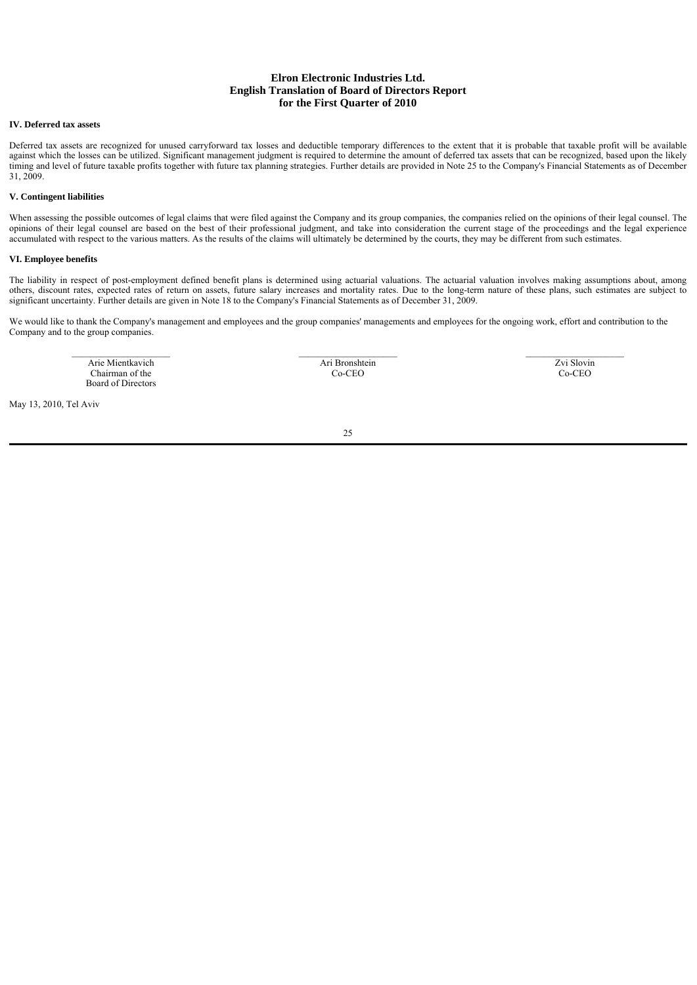### **IV. Deferred tax assets**

Deferred tax assets are recognized for unused carryforward tax losses and deductible temporary differences to the extent that it is probable that taxable profit will be available against which the losses can be utilized. Significant management judgment is required to determine the amount of deferred tax assets that can be recognized, based upon the likely timing and level of future taxable profits together with future tax planning strategies. Further details are provided in Note 25 to the Company's Financial Statements as of December 31, 2009.

### **V. Contingent liabilities**

When assessing the possible outcomes of legal claims that were filed against the Company and its group companies, the companies relied on the opinions of their legal counsel. The opinions of their legal counsel are based on the best of their professional judgment, and take into consideration the current stage of the proceedings and the legal experience accumulated with respect to the various matters. As the results of the claims will ultimately be determined by the courts, they may be different from such estimates.

### **VI. Employee benefits**

The liability in respect of post-employment defined benefit plans is determined using actuarial valuations. The actuarial valuation involves making assumptions about, among others, discount rates, expected rates of return on assets, future salary increases and mortality rates. Due to the long-term nature of these plans, such estimates are subject to significant uncertainty. Further details are given in Note 18 to the Company's Financial Statements as of December 31, 2009.

We would like to thank the Company's management and employees and the group companies' managements and employees for the ongoing work, effort and contribution to the Company and to the group companies.

 $\_$  , and the state of the state of the state of the state of the state of the state of the state of the state of the state of the state of the state of the state of the state of the state of the state of the state of the Arie Mientkavich Chairman of the Board of Directors

Ari Bronshtein Co-CEO

Zvi Slovin Co-CEO

May 13, 2010, Tel Aviv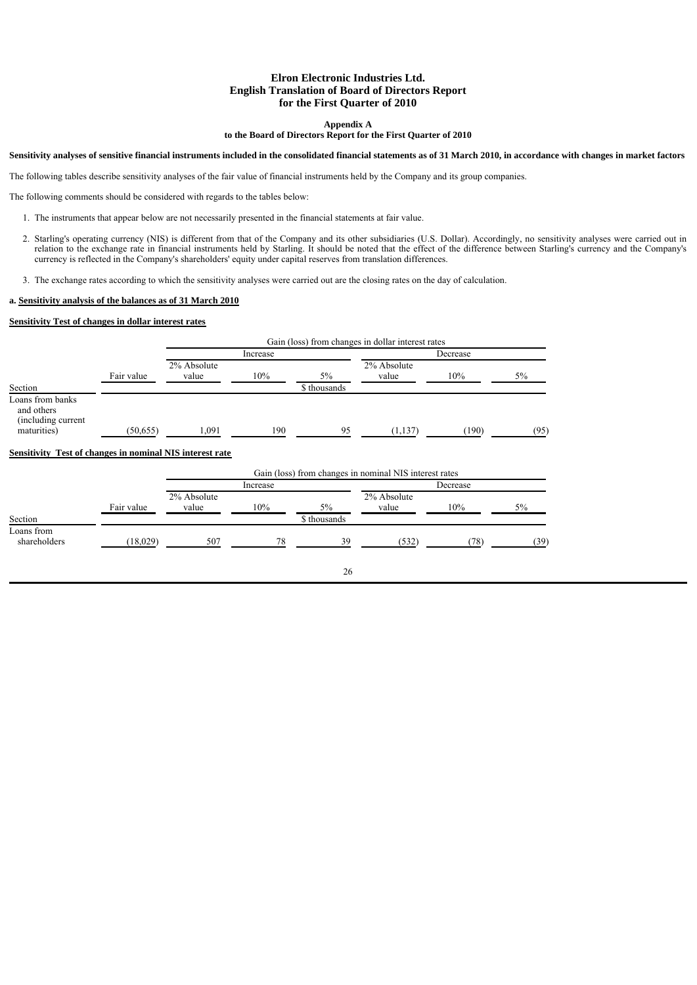### **Appendix A**

#### **to the Board of Directors Report for the First Quarter of 2010**

### **Sensitivity analyses of sensitive financial instruments included in the consolidated financial statements as of 31 March 2010, in accordance with changes in market factors**

The following tables describe sensitivity analyses of the fair value of financial instruments held by the Company and its group companies.

The following comments should be considered with regards to the tables below:

- 1. The instruments that appear below are not necessarily presented in the financial statements at fair value.
- 2. Starling's operating currency (NIS) is different from that of the Company and its other subsidiaries (U.S. Dollar). Accordingly, no sensitivity analyses were carried out in relation to the exchange rate in financial instruments held by Starling. It should be noted that the effect of the difference between Starling's currency and the Company's currency is reflected in the Company's shareholders' equity under capital reserves from translation differences.

26

3. The exchange rates according to which the sensitivity analyses were carried out are the closing rates on the day of calculation.

# **a. Sensitivity analysis of the balances as of 31 March 2010**

### **Sensitivity Test of changes in dollar interest rates**

|                                                                                                                                  |            |                      | Gain (loss) from changes in dollar interest rates |              |                                                        |          |      |
|----------------------------------------------------------------------------------------------------------------------------------|------------|----------------------|---------------------------------------------------|--------------|--------------------------------------------------------|----------|------|
|                                                                                                                                  |            |                      | Increase                                          |              |                                                        | Decrease |      |
|                                                                                                                                  |            | 2% Absolute          |                                                   |              | 2% Absolute                                            |          |      |
|                                                                                                                                  | Fair value | value                | 10%                                               | 5%           | value                                                  | 10%      | 5%   |
| Section                                                                                                                          |            |                      |                                                   | \$ thousands |                                                        |          |      |
| Loans from banks<br>and others<br>(including current)<br>maturities)<br>Sensitivity Test of changes in nominal NIS interest rate | (50, 655)  | 1,091                | 190                                               | 95           | (1, 137)                                               | (190)    | (95) |
|                                                                                                                                  |            |                      |                                                   |              | Gain (loss) from changes in nominal NIS interest rates |          |      |
|                                                                                                                                  |            |                      | Increase                                          |              |                                                        | Decrease |      |
|                                                                                                                                  | Fair value | 2% Absolute<br>value | 10%                                               | $5\%$        | 2% Absolute<br>value                                   | 10%      | 5%   |
| Section                                                                                                                          |            |                      |                                                   | \$ thousands |                                                        |          |      |
| Loans from<br>shareholders                                                                                                       | (18,029)   | 507                  | 78                                                | 39           | (532)                                                  | (78)     | (39) |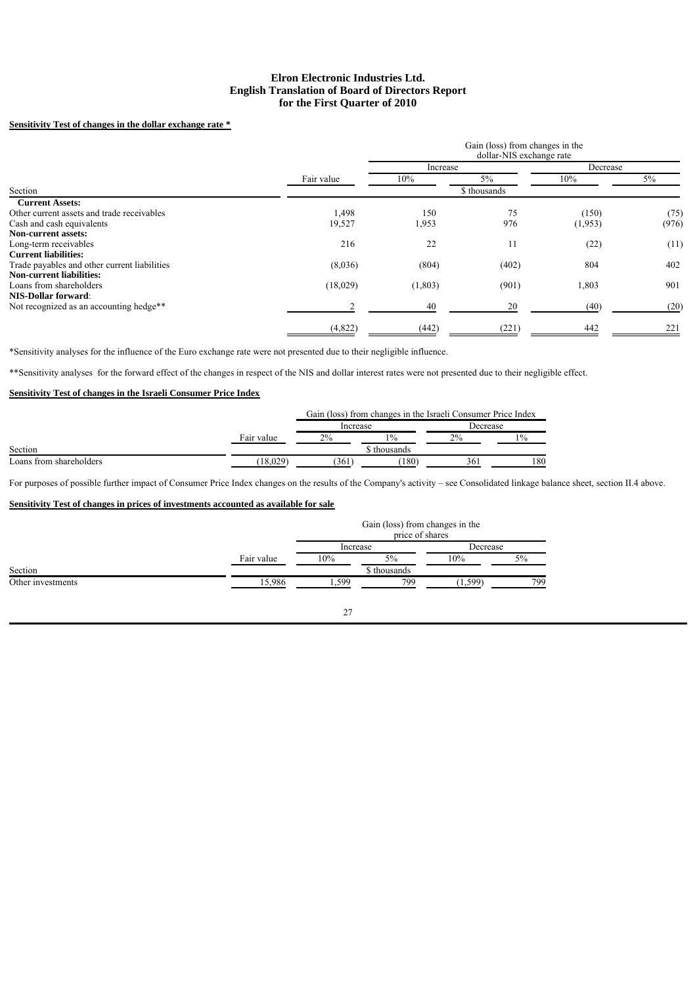# **Sensitivity Test of changes in the dollar exchange rate \***

|                                              |            | Increase |              | Decrease |       |
|----------------------------------------------|------------|----------|--------------|----------|-------|
|                                              | Fair value | 10%      | $5\%$        | 10%      | 5%    |
| Section                                      |            |          | \$ thousands |          |       |
| <b>Current Assets:</b>                       |            |          |              |          |       |
| Other current assets and trade receivables   | 1,498      | 150      | 75           | (150)    | (75)  |
| Cash and cash equivalents                    | 19,527     | 1,953    | 976          | (1,953)  | (976) |
| <b>Non-current assets:</b>                   |            |          |              |          |       |
| Long-term receivables                        | 216        | 22       | 11           | (22)     | (11)  |
| <b>Current liabilities:</b>                  |            |          |              |          |       |
| Trade payables and other current liabilities | (8,036)    | (804)    | (402)        | 804      | 402   |
| <b>Non-current liabilities:</b>              |            |          |              |          |       |
| Loans from shareholders                      | (18,029)   | (1,803)  | (901)        | 1,803    | 901   |
| <b>NIS-Dollar forward:</b>                   |            |          |              |          |       |
| Not recognized as an accounting hedge**      |            | 40       | 20           | (40)     | (20)  |
|                                              | (4,822)    | (442)    | (221)        | 442      | 221   |

\*Sensitivity analyses for the influence of the Euro exchange rate were not presented due to their negligible influence.

\*\*Sensitivity analyses for the forward effect of the changes in respect of the NIS and dollar interest rates were not presented due to their negligible effect.

# **Sensitivity Test of changes in the Israeli Consumer Price Index**

|                         |            | Gain (loss) from changes in the Israeli Consumer Price Index |             |          |      |  |
|-------------------------|------------|--------------------------------------------------------------|-------------|----------|------|--|
|                         |            | Increase                                                     |             | Decrease |      |  |
|                         | Fair value | 2%                                                           | $1\%$       | 2%       | 19/6 |  |
| Section                 |            |                                                              | thousands ہ |          |      |  |
| Loans from shareholders | 18,029     | (361                                                         | (180)       | 361      | 180  |  |

For purposes of possible further impact of Consumer Price Index changes on the results of the Company's activity – see Consolidated linkage balance sheet, section II.4 above.

27

# **Sensitivity Test of changes in prices of investments accounted as available for sale**

|                   |            | Gain (loss) from changes in the<br>price of shares |              |          |     |
|-------------------|------------|----------------------------------------------------|--------------|----------|-----|
|                   |            | Increase                                           |              | Decrease |     |
|                   | Fair value | 10%                                                | 5%           | 10%      | 5%  |
| Section           |            |                                                    | \$ thousands |          |     |
| Other investments | 15,986     | .599                                               | 799          | (1, 599) | 799 |
|                   |            |                                                    |              |          |     |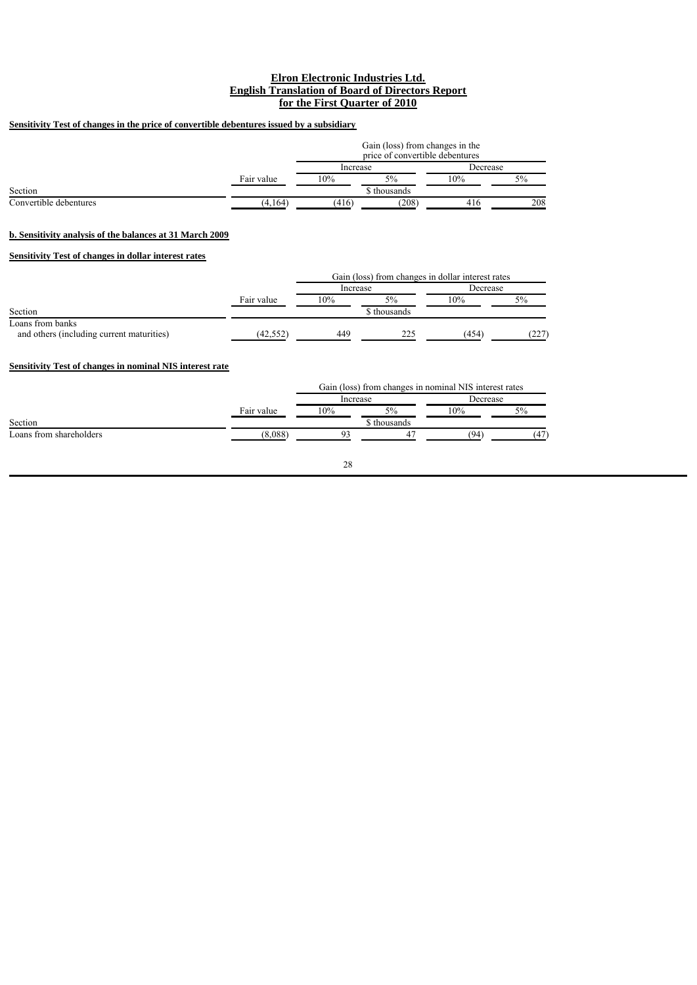# **Sensitivity Test of changes in the price of convertible debentures issued by a subsidiary**

|                        |            | Gain (loss) from changes in the<br>price of convertible debentures |              |          |    |  |
|------------------------|------------|--------------------------------------------------------------------|--------------|----------|----|--|
|                        | Increase   |                                                                    |              | Decrease |    |  |
|                        | Fair value | 10%                                                                | 5%           | 10%      | 5% |  |
| Section                |            |                                                                    | \$ thousands |          |    |  |
| Convertible debentures | (4,164)    | (208)<br>(416)<br>416                                              |              |          |    |  |

### **b. Sensitivity analysis of the balances at 31 March 2009**

### **Sensitivity Test of changes in dollar interest rates**

|                                                               |            | Gain (loss) from changes in dollar interest rates |             |          |       |
|---------------------------------------------------------------|------------|---------------------------------------------------|-------------|----------|-------|
|                                                               |            | Increase                                          |             | Decrease |       |
|                                                               | Fair value | 10%                                               | 5%          | 10%      | 5%    |
| Section                                                       |            |                                                   | ; thousands |          |       |
| Loans from banks<br>and others (including current maturities) | (42, 552)  | 449                                               | 225         | (454     | (227) |

# **Sensitivity Test of changes in nominal NIS interest rate**

|                         |            | Gain (loss) from changes in nominal NIS interest rates |             |          |     |  |
|-------------------------|------------|--------------------------------------------------------|-------------|----------|-----|--|
|                         |            | Increase                                               |             | Decrease |     |  |
|                         | Fair value | 10%                                                    | 5%          | 10%      | 5%  |  |
| Section                 |            |                                                        | , thousands |          |     |  |
| Loans from shareholders | (8.088)    |                                                        |             | (94)     | (47 |  |
|                         |            |                                                        |             |          |     |  |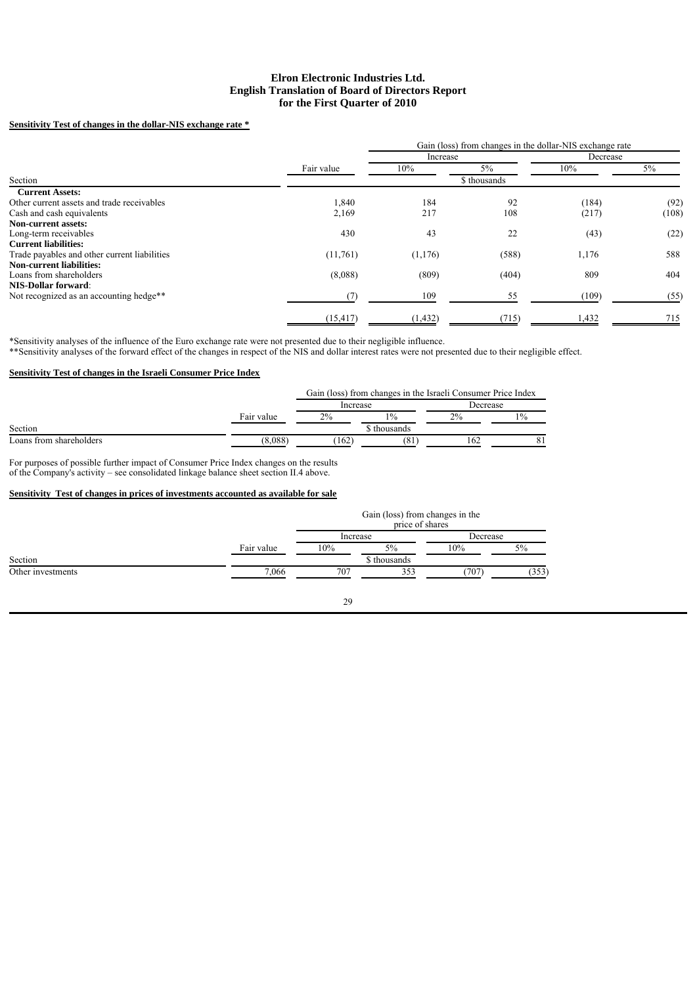## **Sensitivity Test of changes in the dollar-NIS exchange rate \***

|                                              |            |          | Gain (loss) from changes in the dollar-NIS exchange rate |          |       |
|----------------------------------------------|------------|----------|----------------------------------------------------------|----------|-------|
|                                              |            | Increase |                                                          | Decrease |       |
|                                              | Fair value | 10%      | $5\%$                                                    | 10%      | 5%    |
| Section                                      |            |          | \$ thousands                                             |          |       |
| <b>Current Assets:</b>                       |            |          |                                                          |          |       |
| Other current assets and trade receivables   | 1,840      | 184      | 92                                                       | (184)    | (92)  |
| Cash and cash equivalents                    | 2,169      | 217      | 108                                                      | (217)    | (108) |
| Non-current assets:                          |            |          |                                                          |          |       |
| Long-term receivables                        | 430        | 43       | 22                                                       | (43)     | (22)  |
| <b>Current liabilities:</b>                  |            |          |                                                          |          |       |
| Trade payables and other current liabilities | (11,761)   | (1,176)  | (588)                                                    | 1,176    | 588   |
| <b>Non-current liabilities:</b>              |            |          |                                                          |          |       |
| Loans from shareholders                      | (8,088)    | (809)    | (404)                                                    | 809      | 404   |
| <b>NIS-Dollar forward:</b>                   |            |          |                                                          |          |       |
| Not recognized as an accounting hedge**      |            | 109      | 55                                                       | (109)    | (55)  |
|                                              | (15, 417)  | (1, 432) | (715)                                                    | 1,432    | 715   |

\*Sensitivity analyses of the influence of the Euro exchange rate were not presented due to their negligible influence. \*\*Sensitivity analyses of the forward effect of the changes in respect of the NIS and dollar interest rates were not presented due to their negligible effect.

### **Sensitivity Test of changes in the Israeli Consumer Price Index**

|                         |            | Gain (loss) from changes in the Israeli Consumer Price Index |            |          |      |  |
|-------------------------|------------|--------------------------------------------------------------|------------|----------|------|--|
|                         |            | Increase                                                     |            | Decrease |      |  |
|                         | Fair value | $2\%$                                                        | 10/0       | 2%       | 10/0 |  |
| Section                 |            |                                                              | √thousands |          |      |  |
| Loans from shareholders | 8.088      | 162                                                          | (81        | 162      |      |  |

For purposes of possible further impact of Consumer Price Index changes on the results of the Company's activity – see consolidated linkage balance sheet section II.4 above.

### **Sensitivity Test of changes in prices of investments accounted as available for sale**

|                   |            | Gain (loss) from changes in the<br>price of shares |              |          |       |
|-------------------|------------|----------------------------------------------------|--------------|----------|-------|
|                   |            | Increase                                           |              | Decrease |       |
|                   | Fair value | 10%                                                | 5%           | 10%      | 5%    |
| Section           |            |                                                    | \$ thousands |          |       |
| Other investments | 7,066      | 707                                                | 353          | 707      | (353) |
|                   |            |                                                    |              |          |       |

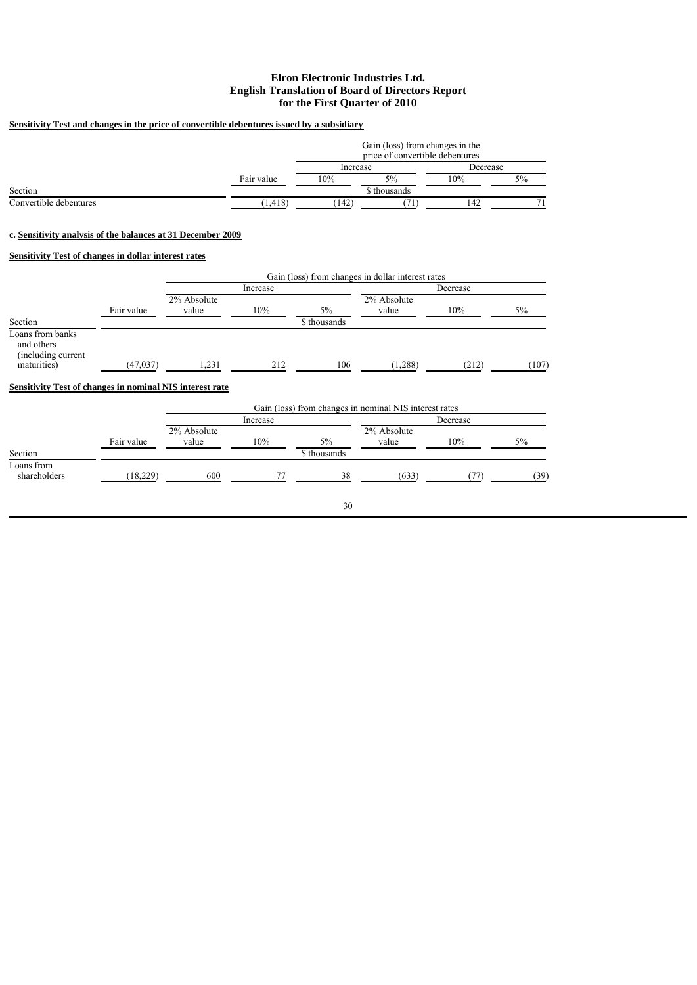# **Sensitivity Test and changes in the price of convertible debentures issued by a subsidiary**

|                        |            | Gain (loss) from changes in the<br>price of convertible debentures |              |     |          |  |
|------------------------|------------|--------------------------------------------------------------------|--------------|-----|----------|--|
|                        |            | Increase                                                           |              |     | Decrease |  |
|                        | Fair value | 10%                                                                | $5\%$        | 10% | 5%       |  |
| Section                |            |                                                                    | \$ thousands |     |          |  |
| Convertible debentures | (1, 418)   | (142)                                                              |              | 142 |          |  |

### **c. Sensitivity analysis of the balances at 31 December 2009**

# **Sensitivity Test of changes in dollar interest rates**

|                                                                     |            | Gain (loss) from changes in dollar interest rates |          |              |                      |          |       |  |
|---------------------------------------------------------------------|------------|---------------------------------------------------|----------|--------------|----------------------|----------|-------|--|
|                                                                     |            |                                                   | Increase |              |                      | Decrease |       |  |
|                                                                     | Fair value | 2% Absolute<br>value                              | 10%      | 5%           | 2% Absolute<br>value | 10%      | 5%    |  |
| Section                                                             |            |                                                   |          | \$ thousands |                      |          |       |  |
| Loans from banks<br>and others<br>(including current<br>maturities) | (47, 037)  | 1,231                                             | 212      | 106          | (1,288)              | (212)    | (107) |  |
| Sensitivity Test of changes in nominal NIS interest rate            |            |                                                   |          |              |                      |          |       |  |

|                            |            | Gain (loss) from changes in nominal NIS interest rates |          |                    |                      |     |      |  |  |
|----------------------------|------------|--------------------------------------------------------|----------|--------------------|----------------------|-----|------|--|--|
| Section                    |            |                                                        | Increase |                    | Decrease             |     |      |  |  |
|                            | Fair value | 2% Absolute<br>value                                   | 10%      | 5%<br>\$ thousands | 2% Absolute<br>value | 10% | 5%   |  |  |
| Loans from<br>shareholders | (18, 229)  | 600                                                    |          | 38                 | (633)                |     | (39) |  |  |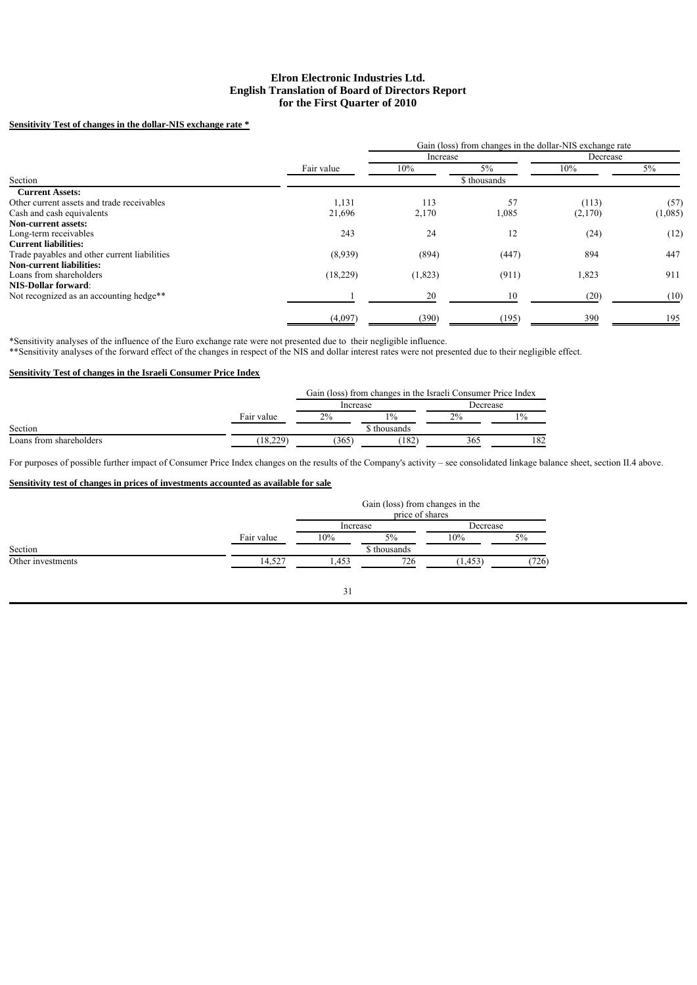# **Sensitivity Test of changes in the dollar-NIS exchange rate \***

|                                              |            |          |              | Gain (loss) from changes in the dollar-NIS exchange rate |         |
|----------------------------------------------|------------|----------|--------------|----------------------------------------------------------|---------|
|                                              |            | Increase |              | Decrease                                                 |         |
|                                              | Fair value | 10%      | $5\%$        | 10%                                                      | 5%      |
| Section                                      |            |          | \$ thousands |                                                          |         |
| <b>Current Assets:</b>                       |            |          |              |                                                          |         |
| Other current assets and trade receivables   | 1,131      | 113      | 57           | (113)                                                    | (57)    |
| Cash and cash equivalents                    | 21,696     | 2,170    | 1,085        | (2,170)                                                  | (1,085) |
| Non-current assets:                          |            |          |              |                                                          |         |
| Long-term receivables                        | 243        | 24       | 12           | (24)                                                     | (12)    |
| <b>Current liabilities:</b>                  |            |          |              |                                                          |         |
| Trade payables and other current liabilities | (8,939)    | (894)    | (447)        | 894                                                      | 447     |
| <b>Non-current liabilities:</b>              |            |          |              |                                                          |         |
| Loans from shareholders                      | (18,229)   | (1,823)  | (911)        | 1,823                                                    | 911     |
| <b>NIS-Dollar forward:</b>                   |            |          |              |                                                          |         |
| Not recognized as an accounting hedge**      |            | 20       | 10           | (20)                                                     | (10)    |
|                                              | (4,097)    | (390)    | (195)        | 390                                                      | 195     |

\*Sensitivity analyses of the influence of the Euro exchange rate were not presented due to their negligible influence.

\*\*Sensitivity analyses of the forward effect of the changes in respect of the NIS and dollar interest rates were not presented due to their negligible effect.

# **Sensitivity Test of changes in the Israeli Consumer Price Index**

|                         |            | Gain (loss) from changes in the Israeli Consumer Price Index |             |          |      |  |
|-------------------------|------------|--------------------------------------------------------------|-------------|----------|------|--|
|                         |            | Increase                                                     |             | Decrease |      |  |
|                         | Fair value | $2\%$                                                        | 10/0        | 2%       | 10/2 |  |
| Section                 |            |                                                              | s thousands |          |      |  |
| Loans from shareholders | 18.229     | 365                                                          | 182         | 365      | 182  |  |

For purposes of possible further impact of Consumer Price Index changes on the results of the Company's activity – see consolidated linkage balance sheet, section II.4 above.

# **Sensitivity test of changes in prices of investments accounted as available for sale**

|                   |            | Gain (loss) from changes in the<br>price of shares |              |          |       |
|-------------------|------------|----------------------------------------------------|--------------|----------|-------|
|                   |            | Increase                                           |              | Decrease |       |
|                   | Fair value | 10%                                                | 5%           | 10%      | 5%    |
| Section           |            |                                                    | \$ thousands |          |       |
| Other investments | 14,527     | 1,453                                              | 726          | (1, 453) | (726) |
|                   |            |                                                    |              |          |       |
|                   |            | $\sim$                                             |              |          |       |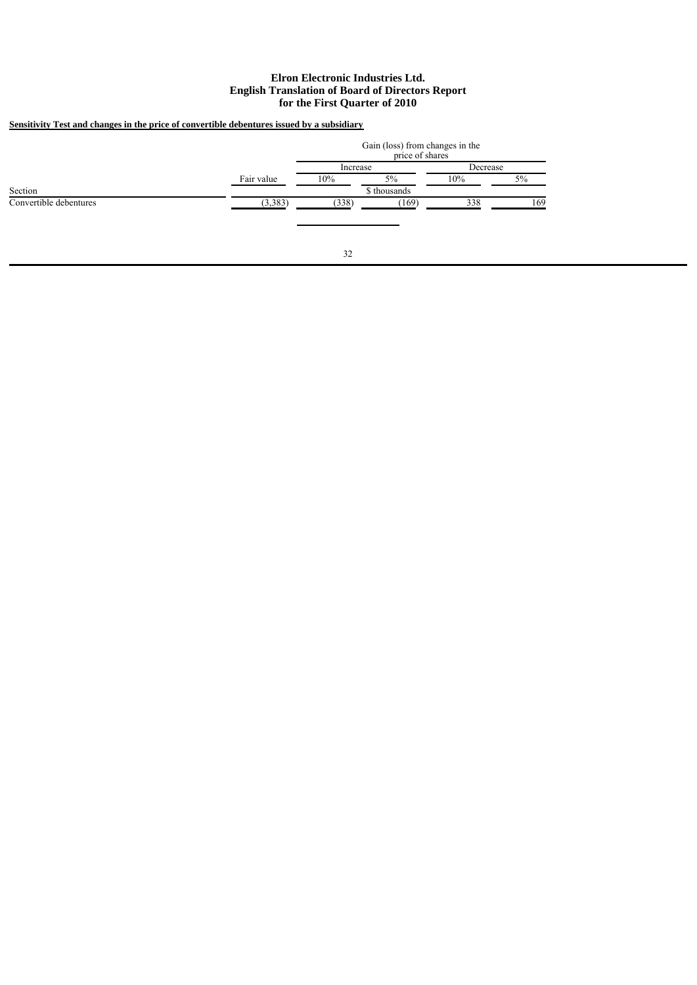# **Sensitivity Test and changes in the price of convertible debentures issued by a subsidiary**

|                        |            | Gain (loss) from changes in the<br>price of shares |              |          |       |  |
|------------------------|------------|----------------------------------------------------|--------------|----------|-------|--|
|                        |            | Increase                                           |              | Decrease |       |  |
|                        | Fair value | 10%                                                | $5\%$        | 10%      | $5\%$ |  |
| Section                |            |                                                    | \$ thousands |          |       |  |
| Convertible debentures | (3,383)    | (338)                                              | (169)        | 338      | 169   |  |
|                        |            |                                                    |              |          |       |  |
|                        |            |                                                    |              |          |       |  |
|                        |            |                                                    |              |          |       |  |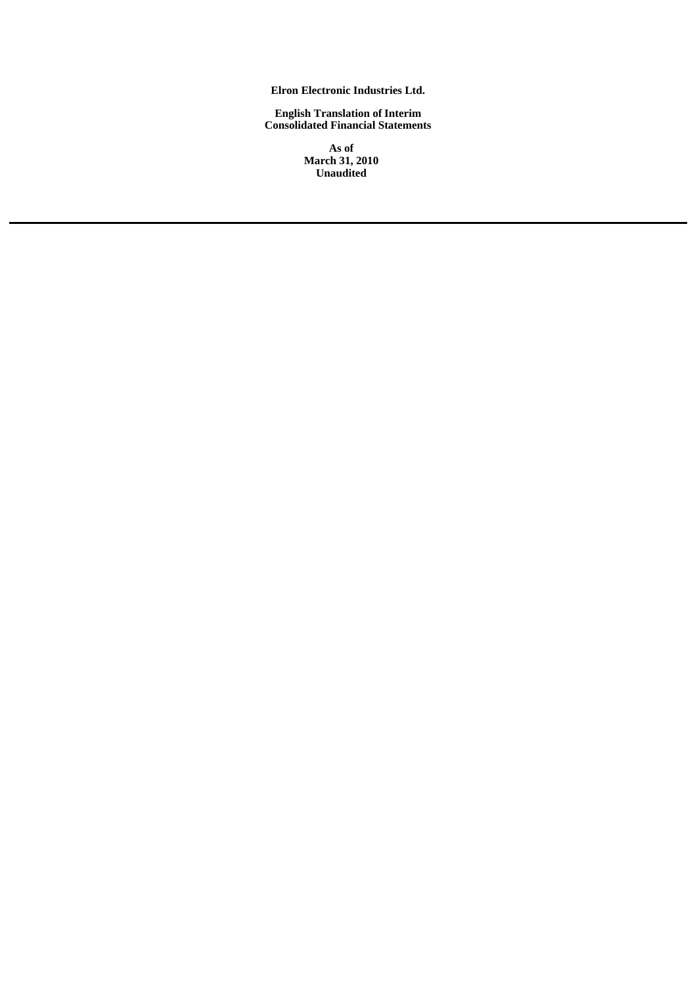**Elron Electronic Industries Ltd.**

**English Translation of Interim Consolidated Financial Statements**

> **As of March 31, 2010 Unaudited**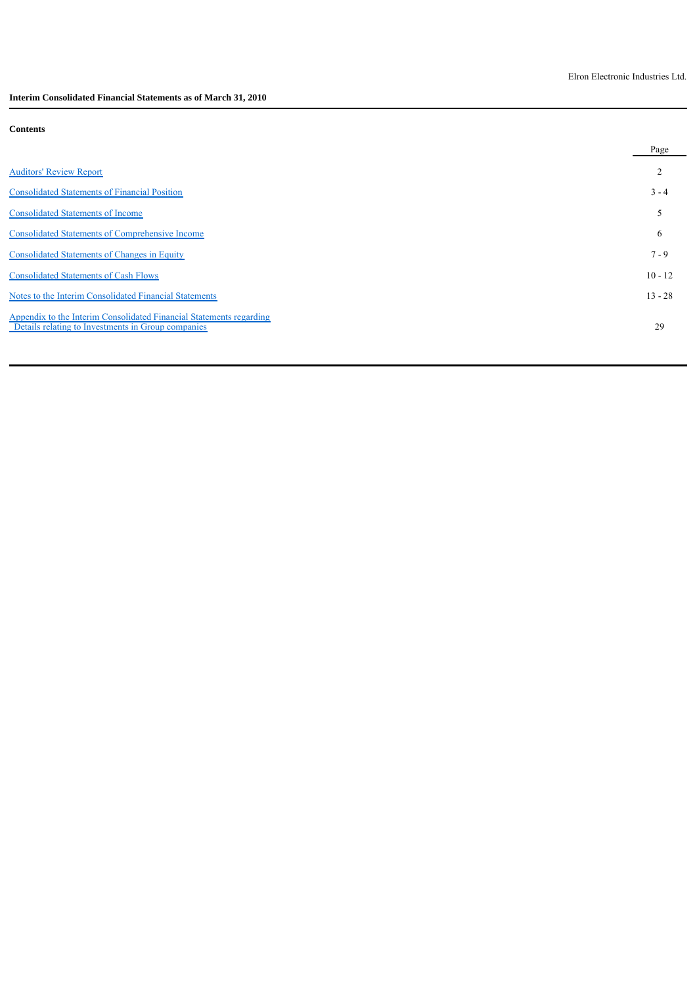**Interim Consolidated Financial Statements as of March 31, 2010**

# **Contents**

|                                                                                                                           | Page      |
|---------------------------------------------------------------------------------------------------------------------------|-----------|
| <b>Auditors' Review Report</b>                                                                                            |           |
| <b>Consolidated Statements of Financial Position</b>                                                                      | $3 - 4$   |
| <b>Consolidated Statements of Income</b>                                                                                  | 5         |
| <b>Consolidated Statements of Comprehensive Income</b>                                                                    | 6         |
| <b>Consolidated Statements of Changes in Equity</b>                                                                       | $7 - 9$   |
| <b>Consolidated Statements of Cash Flows</b>                                                                              | $10 - 12$ |
| Notes to the Interim Consolidated Financial Statements                                                                    | $13 - 28$ |
| Appendix to the Interim Consolidated Financial Statements regarding<br>Details relating to Investments in Group companies | 29        |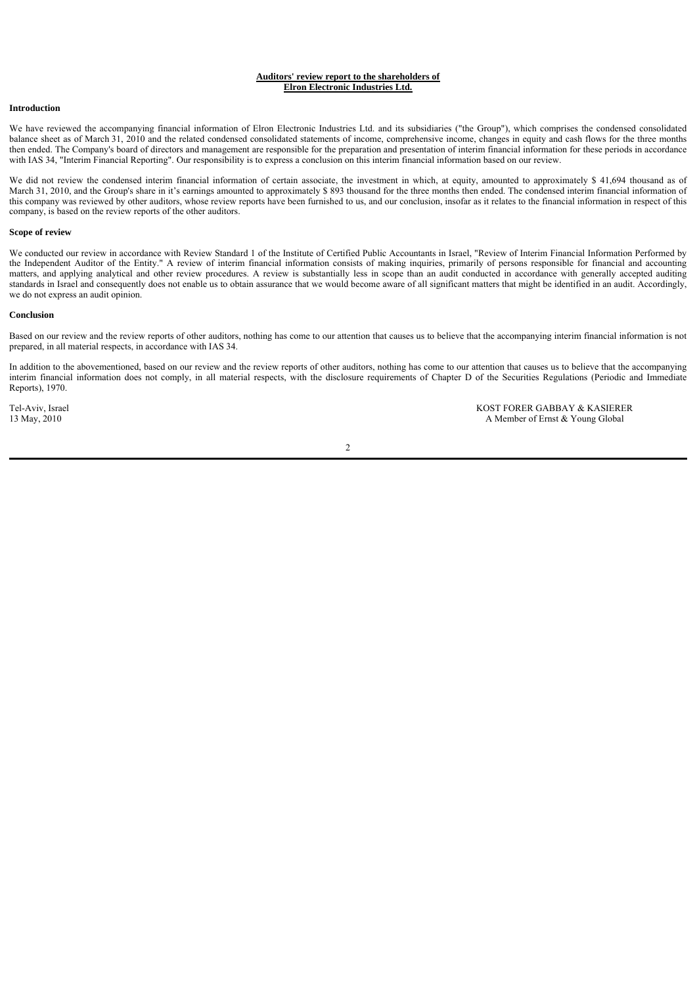### **Auditors' review report to the shareholders of Elron Electronic Industries Ltd.**

### **Introduction**

We have reviewed the accompanying financial information of Elron Electronic Industries Ltd. and its subsidiaries ("the Group"), which comprises the condensed consolidated balance sheet as of March 31, 2010 and the related condensed consolidated statements of income, comprehensive income, changes in equity and cash flows for the three months then ended. The Company's board of directors and management are responsible for the preparation and presentation of interim financial information for these periods in accordance with IAS 34, "Interim Financial Reporting". Our responsibility is to express a conclusion on this interim financial information based on our review.

We did not review the condensed interim financial information of certain associate, the investment in which, at equity, amounted to approximately \$ 41,694 thousand as of March 31, 2010, and the Group's share in it's earnings amounted to approximately \$ 893 thousand for the three months then ended. The condensed interim financial information of this company was reviewed by other auditors, whose review reports have been furnished to us, and our conclusion, insofar as it relates to the financial information in respect of this company, is based on the review reports of the other auditors.

#### **Scope of review**

We conducted our review in accordance with Review Standard 1 of the Institute of Certified Public Accountants in Israel, "Review of Interim Financial Information Performed by the Independent Auditor of the Entity." A review of interim financial information consists of making inquiries, primarily of persons responsible for financial and accounting matters, and applying analytical and other review procedures. A review is substantially less in scope than an audit conducted in accordance with generally accepted auditing standards in Israel and consequently does not enable us to obtain assurance that we would become aware of all significant matters that might be identified in an audit. Accordingly, we do not express an audit opinion.

#### **Conclusion**

Based on our review and the review reports of other auditors, nothing has come to our attention that causes us to believe that the accompanying interim financial information is not prepared, in all material respects, in accordance with IAS 34.

In addition to the abovementioned, based on our review and the review reports of other auditors, nothing has come to our attention that causes us to believe that the accompanying interim financial information does not comply, in all material respects, with the disclosure requirements of Chapter D of the Securities Regulations (Periodic and Immediate Reports), 1970.

Tel-Aviv, Israel **KOST FORER GABBAY & KASIERER**<br>13 May, 2010 **A Member of Ernst & Young Global** A Member of Ernst & Young Global

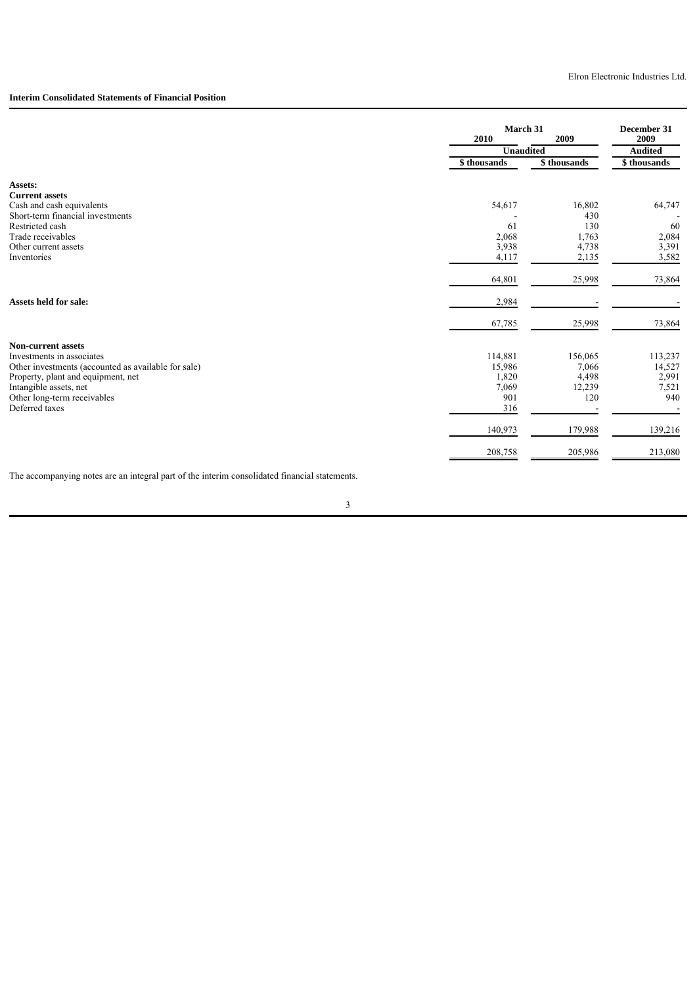### **Interim Consolidated Statements of Financial Position**

|                                                     |                          | March 31     |                        |  |
|-----------------------------------------------------|--------------------------|--------------|------------------------|--|
|                                                     | 2010<br><b>Unaudited</b> | 2009         | 2009<br><b>Audited</b> |  |
|                                                     | \$ thousands             | \$ thousands | \$thousands            |  |
| Assets:                                             |                          |              |                        |  |
| <b>Current assets</b>                               |                          |              |                        |  |
| Cash and cash equivalents                           | 54,617                   | 16,802       | 64,747                 |  |
| Short-term financial investments                    |                          | 430          |                        |  |
| Restricted cash                                     | 61                       | 130          | 60                     |  |
| Trade receivables                                   | 2,068                    | 1,763        | 2,084                  |  |
| Other current assets                                | 3,938                    | 4,738        | 3,391                  |  |
| Inventories                                         | 4,117                    | 2,135        | 3,582                  |  |
|                                                     | 64,801                   | 25,998       | 73,864                 |  |
| <b>Assets held for sale:</b>                        | 2,984                    |              |                        |  |
|                                                     | 67,785                   | 25,998       | 73,864                 |  |
| <b>Non-current assets</b>                           |                          |              |                        |  |
| Investments in associates                           | 114,881                  | 156,065      | 113,237                |  |
| Other investments (accounted as available for sale) | 15,986                   | 7,066        | 14,527                 |  |
| Property, plant and equipment, net                  | 1,820                    | 4,498        | 2,991                  |  |
| Intangible assets, net                              | 7,069                    | 12,239       | 7,521                  |  |
| Other long-term receivables                         | 901                      | 120          | 940                    |  |
| Deferred taxes                                      | 316                      |              |                        |  |
|                                                     | 140,973                  | 179,988      | 139,216                |  |
|                                                     | 208,758                  | 205,986      | 213,080                |  |

The accompanying notes are an integral part of the interim consolidated financial statements.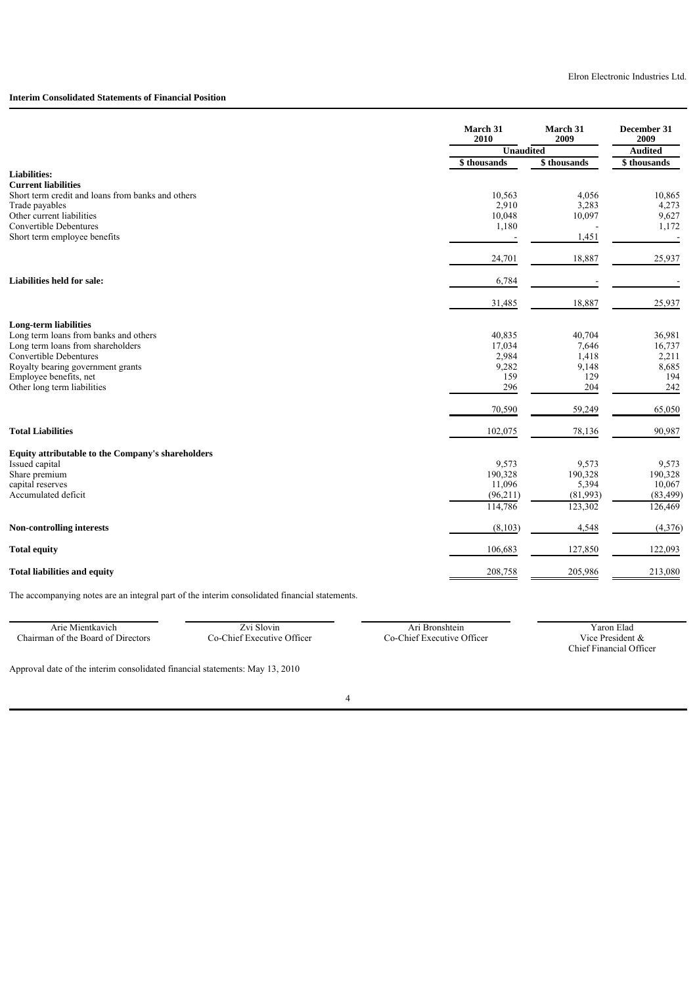### **Interim Consolidated Statements of Financial Position**

|                                                                                 | March 31<br>March 31<br>2009<br>2010 |                  | December 31<br>2009 |
|---------------------------------------------------------------------------------|--------------------------------------|------------------|---------------------|
|                                                                                 | <b>Unaudited</b>                     |                  | <b>Audited</b>      |
|                                                                                 | \$ thousands                         | \$ thousands     | \$ thousands        |
| <b>Liabilities:</b>                                                             |                                      |                  |                     |
| <b>Current liabilities</b><br>Short term credit and loans from banks and others | 10,563                               | 4,056            | 10,865              |
| Trade payables                                                                  | 2,910                                | 3,283            | 4,273               |
| Other current liabilities                                                       | 10,048                               | 10,097           | 9,627               |
| Convertible Debentures                                                          | 1,180                                |                  | 1,172               |
| Short term employee benefits                                                    |                                      | 1,451            |                     |
|                                                                                 | 24,701                               | 18,887           | 25,937              |
| Liabilities held for sale:                                                      | 6,784                                |                  |                     |
|                                                                                 | 31,485                               | 18,887           | 25,937              |
| <b>Long-term liabilities</b>                                                    |                                      |                  |                     |
| Long term loans from banks and others                                           | 40,835                               | 40,704           | 36,981              |
| Long term loans from shareholders                                               | 17,034                               | 7,646            | 16,737              |
| Convertible Debentures                                                          | 2,984                                | 1,418            | 2,211               |
| Royalty bearing government grants                                               | 9,282                                | 9,148            | 8,685               |
| Employee benefits, net<br>Other long term liabilities                           | 159<br>296                           | 129<br>204       | 194<br>242          |
|                                                                                 |                                      |                  |                     |
|                                                                                 | 70,590                               | 59,249           | 65,050              |
| <b>Total Liabilities</b>                                                        | 102,075                              | 78,136           | 90,987              |
| <b>Equity attributable to the Company's shareholders</b>                        |                                      |                  |                     |
| Issued capital                                                                  | 9,573                                | 9,573            | 9,573               |
| Share premium<br>capital reserves                                               | 190,328<br>11,096                    | 190,328<br>5,394 | 190,328<br>10,067   |
| Accumulated deficit                                                             | (96,211)                             | (81,993)         | (83, 499)           |
|                                                                                 | 114,786                              | 123,302          | 126,469             |
| Non-controlling interests                                                       | (8,103)                              | 4,548            | (4,376)             |
| <b>Total equity</b>                                                             | 106,683                              | 127,850          | 122,093             |
| <b>Total liabilities and equity</b>                                             | 208,758                              | 205,986          | 213,080             |

The accompanying notes are an integral part of the interim consolidated financial statements.

Arie Mientkavich Zvi Slovin Zvi Slovin Ari Bronshtein Yaron Elad Yaron Elad Co-Chief Executive Officer Ari Bronshtein Yaron Elad Co-Chief Executive Officer Vice President & Chairman of the Board of Directors

Chief Financial Officer

Approval date of the interim consolidated financial statements: May 13, 2010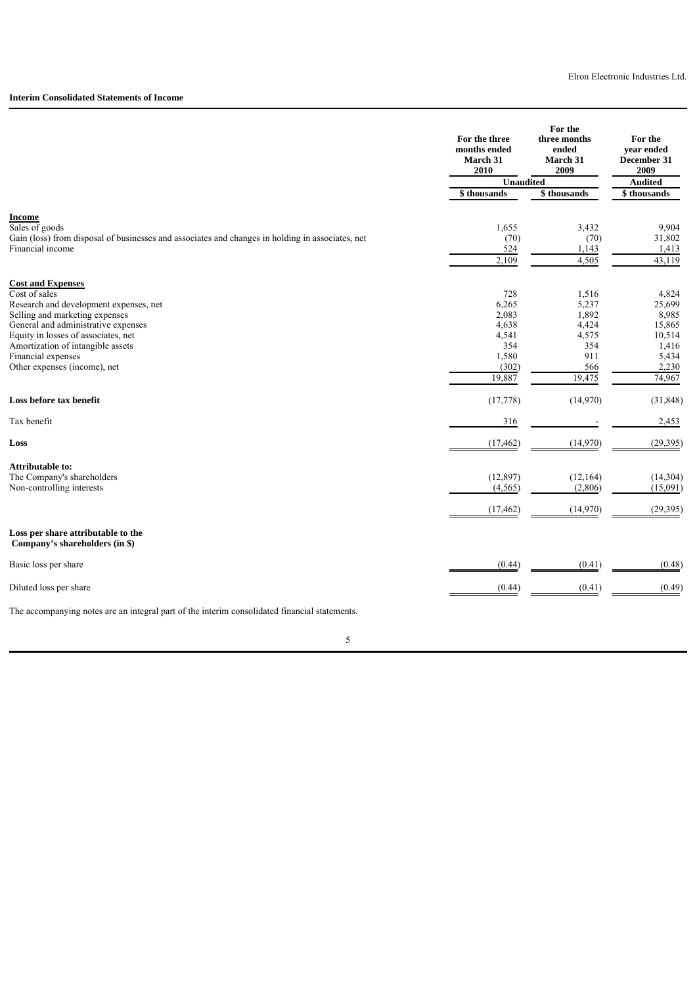#### **Interim Consolidated Statements of Income**

|                                                                                                  | For the three<br>months ended<br>March 31<br>2010 | For the<br>three months<br>ended<br>March 31<br>2009 | For the<br>vear ended<br>December 31<br>2009 |
|--------------------------------------------------------------------------------------------------|---------------------------------------------------|------------------------------------------------------|----------------------------------------------|
|                                                                                                  | <b>Unaudited</b>                                  |                                                      | <b>Audited</b>                               |
|                                                                                                  | \$ thousands                                      | \$ thousands                                         | $\sqrt{$$thousands}$                         |
| <b>Income</b>                                                                                    |                                                   |                                                      |                                              |
| Sales of goods                                                                                   | 1,655                                             | 3,432                                                | 9,904                                        |
| Gain (loss) from disposal of businesses and associates and changes in holding in associates, net | (70)                                              | (70)                                                 | 31,802                                       |
| Financial income                                                                                 | 524                                               | 1,143                                                | 1,413                                        |
|                                                                                                  | 2,109                                             | 4,505                                                | 43,119                                       |
| <b>Cost and Expenses</b>                                                                         |                                                   |                                                      |                                              |
| Cost of sales                                                                                    | 728                                               | 1,516                                                | 4,824                                        |
| Research and development expenses, net                                                           | 6,265                                             | 5,237                                                | 25,699                                       |
| Selling and marketing expenses                                                                   | 2,083                                             | 1,892                                                | 8,985                                        |
| General and administrative expenses                                                              | 4,638                                             | 4,424                                                | 15,865                                       |
| Equity in losses of associates, net                                                              | 4,541                                             | 4,575                                                | 10,514                                       |
| Amortization of intangible assets                                                                | 354                                               | 354                                                  | 1,416                                        |
| Financial expenses                                                                               | 1,580                                             | 911                                                  | 5,434                                        |
| Other expenses (income), net                                                                     | (302)                                             | 566                                                  | 2,230                                        |
|                                                                                                  | 19,887                                            | 19,475                                               | 74,967                                       |
| Loss before tax benefit                                                                          | (17, 778)                                         | (14,970)                                             | (31, 848)                                    |
| Tax benefit                                                                                      | 316                                               |                                                      | 2,453                                        |
| Loss                                                                                             | (17, 462)                                         | (14,970)                                             | (29, 395)                                    |
|                                                                                                  |                                                   |                                                      |                                              |
| <b>Attributable to:</b><br>The Company's shareholders                                            | (12, 897)                                         | (12, 164)                                            | (14,304)                                     |
| Non-controlling interests                                                                        | (4, 565)                                          | (2,806)                                              | (15,091)                                     |
|                                                                                                  |                                                   |                                                      |                                              |
|                                                                                                  | (17, 462)                                         | (14,970)                                             | (29, 395)                                    |
| Loss per share attributable to the<br>Company's shareholders (in \$)                             |                                                   |                                                      |                                              |
| Basic loss per share                                                                             | (0.44)                                            | (0.41)                                               | (0.48)                                       |
| Diluted loss per share                                                                           | (0.44)                                            | (0.41)                                               | (0.49)                                       |
| The accompanying notes are an integral part of the interim consolidated financial statements.    |                                                   |                                                      |                                              |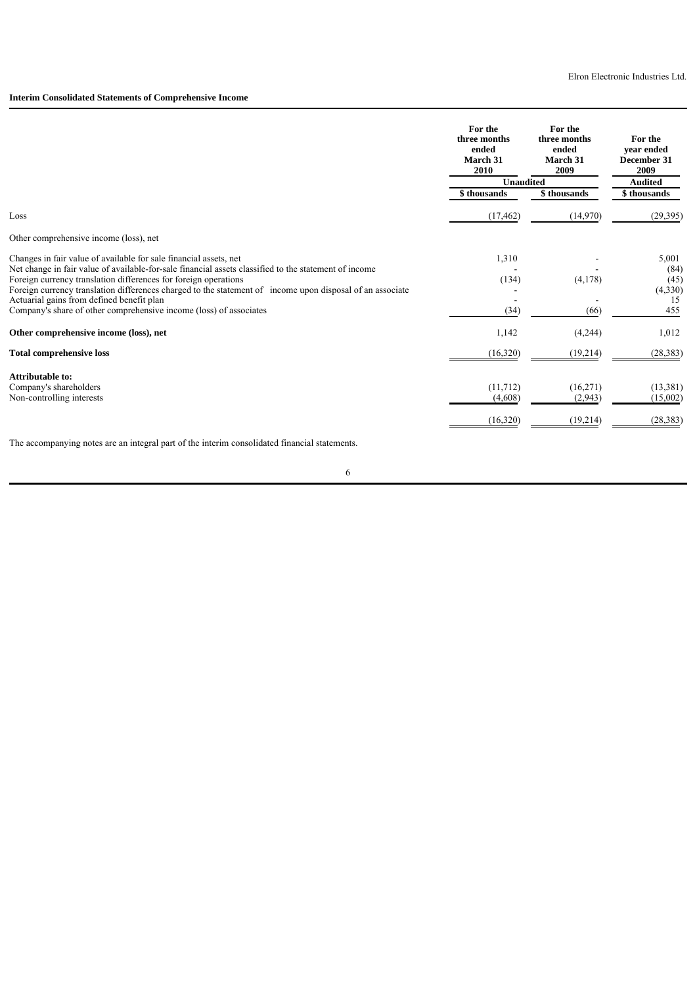# **Interim Consolidated Statements of Comprehensive Income**

|                                                                                                                                                                                                                                                                                                                                                                                                                                                                               | For the<br>For the<br>three months<br>three months<br>ended<br>ended<br>March 31<br>March 31<br>2010<br>2009 |                                 | For the<br>vear ended<br>December 31<br>2009  |
|-------------------------------------------------------------------------------------------------------------------------------------------------------------------------------------------------------------------------------------------------------------------------------------------------------------------------------------------------------------------------------------------------------------------------------------------------------------------------------|--------------------------------------------------------------------------------------------------------------|---------------------------------|-----------------------------------------------|
|                                                                                                                                                                                                                                                                                                                                                                                                                                                                               | <b>Unaudited</b>                                                                                             |                                 | <b>Audited</b>                                |
|                                                                                                                                                                                                                                                                                                                                                                                                                                                                               | \$ thousands                                                                                                 | \$ thousands                    | \$thousands                                   |
| Loss                                                                                                                                                                                                                                                                                                                                                                                                                                                                          | (17, 462)                                                                                                    | (14,970)                        | (29,395)                                      |
| Other comprehensive income (loss), net                                                                                                                                                                                                                                                                                                                                                                                                                                        |                                                                                                              |                                 |                                               |
| Changes in fair value of available for sale financial assets, net<br>Net change in fair value of available-for-sale financial assets classified to the statement of income<br>Foreign currency translation differences for foreign operations<br>Foreign currency translation differences charged to the statement of income upon disposal of an associate<br>Actuarial gains from defined benefit plan<br>Company's share of other comprehensive income (loss) of associates | 1,310<br>(134)<br>(34)                                                                                       | (4,178)<br>(66)                 | 5,001<br>(84)<br>(45)<br>(4,330)<br>15<br>455 |
| Other comprehensive income (loss), net                                                                                                                                                                                                                                                                                                                                                                                                                                        | 1,142                                                                                                        | (4,244)                         | 1,012                                         |
| <b>Total comprehensive loss</b>                                                                                                                                                                                                                                                                                                                                                                                                                                               | (16,320)                                                                                                     | (19,214)                        | (28, 383)                                     |
| Attributable to:<br>Company's shareholders<br>Non-controlling interests                                                                                                                                                                                                                                                                                                                                                                                                       | (11,712)<br>(4,608)<br>(16,320)                                                                              | (16,271)<br>(2,943)<br>(19,214) | (13,381)<br>(15,002)<br>(28, 383)             |

The accompanying notes are an integral part of the interim consolidated financial statements.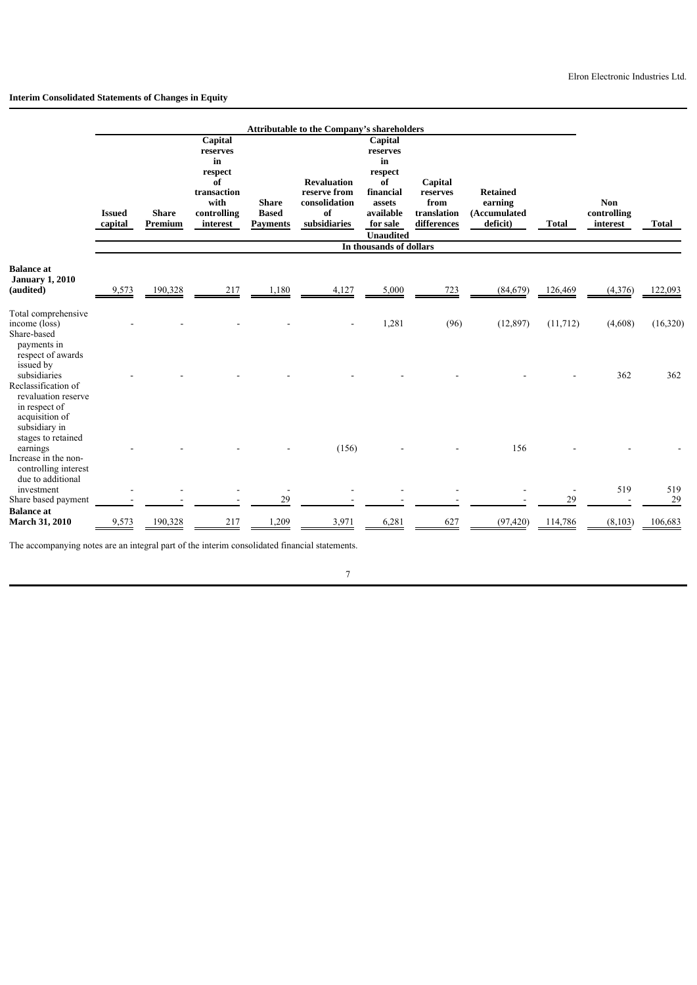# **Interim Consolidated Statements of Changes in Equity**

|                                                                                                                             |                          |                         |                                                                                              |                                                 | Attributable to the Company's shareholders                                |                                                                                                                                           |                                                           |                                                        |              |                                       |              |
|-----------------------------------------------------------------------------------------------------------------------------|--------------------------|-------------------------|----------------------------------------------------------------------------------------------|-------------------------------------------------|---------------------------------------------------------------------------|-------------------------------------------------------------------------------------------------------------------------------------------|-----------------------------------------------------------|--------------------------------------------------------|--------------|---------------------------------------|--------------|
|                                                                                                                             | <b>Issued</b><br>capital | <b>Share</b><br>Premium | Capital<br>reserves<br>in<br>respect<br>of<br>transaction<br>with<br>controlling<br>interest | <b>Share</b><br><b>Based</b><br><b>Payments</b> | <b>Revaluation</b><br>reserve from<br>consolidation<br>of<br>subsidiaries | Capital<br>reserves<br>in<br>respect<br>of<br>financial<br>assets<br>available<br>for sale<br><b>Unaudited</b><br>In thousands of dollars | Capital<br>reserves<br>from<br>translation<br>differences | <b>Retained</b><br>earning<br>(Accumulated<br>deficit) | <b>Total</b> | <b>Non</b><br>controlling<br>interest | <b>Total</b> |
| <b>Balance</b> at<br><b>January 1, 2010</b><br>(audited)                                                                    | 9,573                    | 190,328                 | 217                                                                                          | 1,180                                           | 4,127                                                                     | 5,000                                                                                                                                     | 723                                                       | (84, 679)                                              | 126,469      | (4,376)                               | 122,093      |
| Total comprehensive<br>income (loss)<br>Share-based<br>payments in<br>respect of awards                                     |                          |                         |                                                                                              |                                                 |                                                                           | 1,281                                                                                                                                     | (96)                                                      | (12, 897)                                              | (11, 712)    | (4,608)                               | (16,320)     |
| issued by<br>subsidiaries<br>Reclassification of<br>revaluation reserve<br>in respect of<br>acquisition of<br>subsidiary in |                          |                         |                                                                                              |                                                 |                                                                           |                                                                                                                                           |                                                           |                                                        |              | 362                                   | 362          |
| stages to retained<br>earnings<br>Increase in the non-<br>controlling interest<br>due to additional                         |                          |                         |                                                                                              |                                                 | (156)                                                                     |                                                                                                                                           |                                                           | 156                                                    |              |                                       |              |
| investment<br>Share based payment                                                                                           |                          |                         |                                                                                              | $\blacksquare$<br>29                            |                                                                           |                                                                                                                                           |                                                           |                                                        | 29           | 519                                   | 519<br>29    |
| <b>Balance</b> at<br><b>March 31, 2010</b>                                                                                  | 9,573                    | 190,328                 | 217                                                                                          | ,209                                            | 3,971                                                                     | 6,281                                                                                                                                     | 627                                                       | (97, 420)                                              | 114,786      | (8,103)                               | 106,683      |

The accompanying notes are an integral part of the interim consolidated financial statements.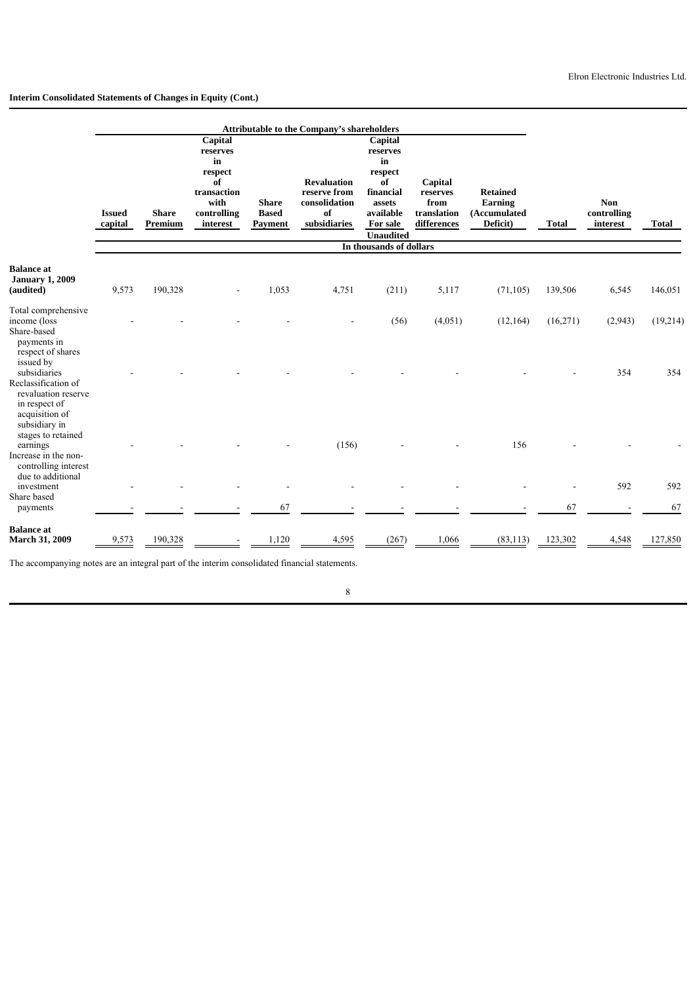# **Interim Consolidated Statements of Changes in Equity (Cont.)**

|                                                                                                                                 |                          |                         |                                                                                              |                                                | <b>Attributable to the Company's shareholders</b>                         |                                                                                                                |                                                           |                                                        |              |                                       |           |
|---------------------------------------------------------------------------------------------------------------------------------|--------------------------|-------------------------|----------------------------------------------------------------------------------------------|------------------------------------------------|---------------------------------------------------------------------------|----------------------------------------------------------------------------------------------------------------|-----------------------------------------------------------|--------------------------------------------------------|--------------|---------------------------------------|-----------|
|                                                                                                                                 | <b>Issued</b><br>capital | <b>Share</b><br>Premium | Capital<br>reserves<br>in<br>respect<br>of<br>transaction<br>with<br>controlling<br>interest | <b>Share</b><br><b>Based</b><br><b>Payment</b> | <b>Revaluation</b><br>reserve from<br>consolidation<br>of<br>subsidiaries | Capital<br>reserves<br>in<br>respect<br>of<br>financial<br>assets<br>available<br>For sale<br><b>Unaudited</b> | Capital<br>reserves<br>from<br>translation<br>differences | <b>Retained</b><br>Earning<br>(Accumulated<br>Deficit) | <b>Total</b> | <b>Non</b><br>controlling<br>interest | Total     |
|                                                                                                                                 |                          |                         |                                                                                              |                                                |                                                                           | In thousands of dollars                                                                                        |                                                           |                                                        |              |                                       |           |
| <b>Balance</b> at<br><b>January 1, 2009</b><br>(audited)                                                                        | 9,573                    | 190,328                 |                                                                                              | 1,053                                          | 4,751                                                                     | (211)                                                                                                          | 5,117                                                     | (71, 105)                                              | 139,506      | 6,545                                 | 146,051   |
| Total comprehensive<br>income (loss<br>Share-based<br>payments in                                                               |                          |                         |                                                                                              |                                                |                                                                           | (56)                                                                                                           | (4,051)                                                   | (12, 164)                                              | (16,271)     | (2,943)                               | (19,214)  |
| respect of shares<br>issued by<br>subsidiaries<br>Reclassification of<br>revaluation reserve<br>in respect of<br>acquisition of |                          |                         |                                                                                              |                                                |                                                                           |                                                                                                                |                                                           |                                                        |              | 354                                   | 354       |
| subsidiary in<br>stages to retained<br>earnings<br>Increase in the non-<br>controlling interest<br>due to additional            |                          |                         |                                                                                              |                                                | (156)                                                                     |                                                                                                                |                                                           | 156                                                    |              |                                       |           |
| investment<br>Share based<br>payments                                                                                           |                          |                         |                                                                                              | 67                                             |                                                                           |                                                                                                                |                                                           |                                                        | 67           | 592                                   | 592<br>67 |
| <b>Balance</b> at<br><b>March 31, 2009</b>                                                                                      | 9,573                    | 190,328                 |                                                                                              | 1,120                                          | 4,595                                                                     | (267)                                                                                                          | 1,066                                                     | (83, 113)                                              | 123,302      | 4,548                                 | 127,850   |

The accompanying notes are an integral part of the interim consolidated financial statements.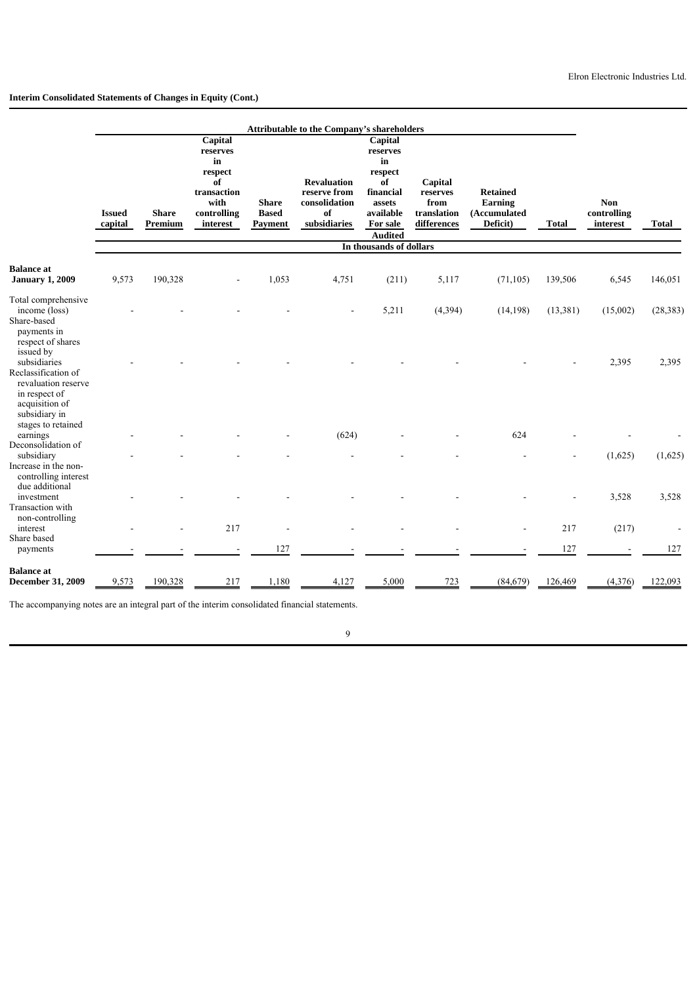#### **Interim Consolidated Statements of Changes in Equity (Cont.)**

|                                                                                                                                                   |                          |                         |                                                                                              |                                         | Attributable to the Company's shareholders                                |                                                                                                              |                                                           |                                                        |              |                                       |           |
|---------------------------------------------------------------------------------------------------------------------------------------------------|--------------------------|-------------------------|----------------------------------------------------------------------------------------------|-----------------------------------------|---------------------------------------------------------------------------|--------------------------------------------------------------------------------------------------------------|-----------------------------------------------------------|--------------------------------------------------------|--------------|---------------------------------------|-----------|
|                                                                                                                                                   | <b>Issued</b><br>capital | <b>Share</b><br>Premium | Capital<br>reserves<br>in<br>respect<br>of<br>transaction<br>with<br>controlling<br>interest | <b>Share</b><br><b>Based</b><br>Payment | <b>Revaluation</b><br>reserve from<br>consolidation<br>of<br>subsidiaries | Capital<br>reserves<br>in<br>respect<br>of<br>financial<br>assets<br>available<br>For sale<br><b>Audited</b> | Capital<br>reserves<br>from<br>translation<br>differences | <b>Retained</b><br>Earning<br>(Accumulated<br>Deficit) | <b>Total</b> | <b>Non</b><br>controlling<br>interest | Total     |
|                                                                                                                                                   |                          |                         |                                                                                              |                                         |                                                                           | In thousands of dollars                                                                                      |                                                           |                                                        |              |                                       |           |
| <b>Balance</b> at<br><b>January 1, 2009</b>                                                                                                       | 9,573                    | 190,328                 |                                                                                              | 1,053                                   | 4,751                                                                     | (211)                                                                                                        | 5,117                                                     | (71, 105)                                              | 139,506      | 6,545                                 | 146,051   |
| Total comprehensive<br>income (loss)<br>Share-based<br>payments in<br>respect of shares                                                           |                          |                         |                                                                                              |                                         |                                                                           | 5,211                                                                                                        | (4, 394)                                                  | (14, 198)                                              | (13, 381)    | (15,002)                              | (28, 383) |
| issued by<br>subsidiaries<br>Reclassification of<br>revaluation reserve<br>in respect of<br>acquisition of<br>subsidiary in<br>stages to retained |                          |                         |                                                                                              |                                         |                                                                           |                                                                                                              |                                                           |                                                        |              | 2,395                                 | 2,395     |
| earnings                                                                                                                                          |                          |                         |                                                                                              |                                         | (624)                                                                     |                                                                                                              |                                                           | 624                                                    |              |                                       |           |
| Deconsolidation of<br>subsidiary<br>Increase in the non-<br>controlling interest                                                                  |                          |                         |                                                                                              |                                         |                                                                           |                                                                                                              |                                                           |                                                        |              | (1,625)                               | (1,625)   |
| due additional<br>investment<br>Transaction with                                                                                                  |                          |                         |                                                                                              |                                         |                                                                           |                                                                                                              |                                                           |                                                        |              | 3,528                                 | 3,528     |
| non-controlling<br>interest                                                                                                                       |                          |                         | 217                                                                                          |                                         |                                                                           |                                                                                                              |                                                           |                                                        | 217          | (217)                                 |           |
| Share based<br>payments                                                                                                                           |                          |                         |                                                                                              | 127                                     |                                                                           |                                                                                                              |                                                           |                                                        | 127          |                                       | 127       |
| <b>Balance</b> at<br>December 31, 2009                                                                                                            | 9,573                    | 190,328                 | 217                                                                                          | 1,180                                   | 4,127                                                                     | 5,000                                                                                                        | 723                                                       | (84, 679)                                              | 126,469      | (4,376)                               | 122,093   |

The accompanying notes are an integral part of the interim consolidated financial statements.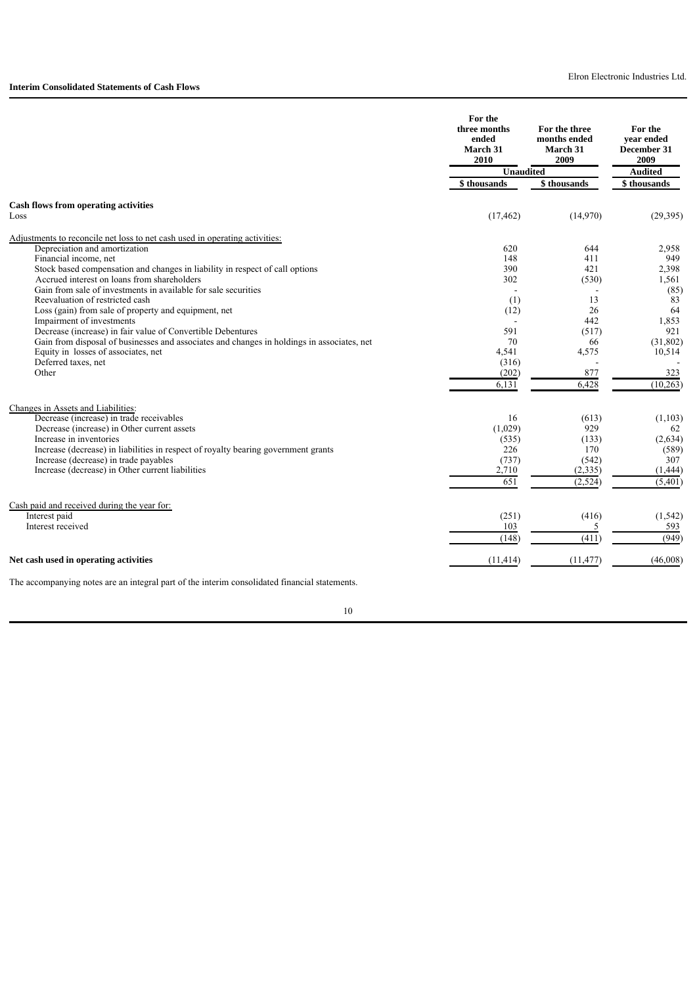|                                                                                               | For the<br>three months<br>ended<br><b>March 31</b><br>2010 | For the three<br>months ended<br><b>March 31</b><br>2009 | For the<br>vear ended<br>December 31<br>2009 |  |
|-----------------------------------------------------------------------------------------------|-------------------------------------------------------------|----------------------------------------------------------|----------------------------------------------|--|
|                                                                                               | <b>Unaudited</b>                                            |                                                          | <b>Audited</b>                               |  |
|                                                                                               | \$ thousands                                                | \$thousands                                              | \$thousands                                  |  |
| <b>Cash flows from operating activities</b>                                                   |                                                             |                                                          |                                              |  |
| Loss                                                                                          | (17, 462)                                                   | (14,970)                                                 | (29, 395)                                    |  |
| Adjustments to reconcile net loss to net cash used in operating activities:                   |                                                             |                                                          |                                              |  |
| Depreciation and amortization                                                                 | 620                                                         | 644                                                      | 2,958                                        |  |
| Financial income, net                                                                         | 148                                                         | 411                                                      | 949                                          |  |
| Stock based compensation and changes in liability in respect of call options                  | 390                                                         | 421                                                      | 2,398                                        |  |
| Accrued interest on loans from shareholders                                                   | 302                                                         | (530)                                                    | 1,561                                        |  |
| Gain from sale of investments in available for sale securities                                |                                                             |                                                          | (85)                                         |  |
| Reevaluation of restricted cash                                                               | (1)                                                         | 13                                                       | 83                                           |  |
| Loss (gain) from sale of property and equipment, net                                          | (12)                                                        | 26                                                       | 64                                           |  |
| Impairment of investments                                                                     |                                                             | 442                                                      | 1,853                                        |  |
| Decrease (increase) in fair value of Convertible Debentures                                   | 591                                                         | (517)                                                    | 921                                          |  |
| Gain from disposal of businesses and associates and changes in holdings in associates, net    | 70                                                          | 66                                                       | (31, 802)                                    |  |
| Equity in losses of associates, net                                                           | 4,541                                                       | 4,575                                                    | 10,514                                       |  |
| Deferred taxes, net                                                                           | (316)                                                       |                                                          |                                              |  |
| Other                                                                                         | (202)                                                       | 877                                                      | 323                                          |  |
|                                                                                               | 6,131                                                       | 6,428                                                    | (10, 263)                                    |  |
| Changes in Assets and Liabilities:                                                            |                                                             |                                                          |                                              |  |
| Decrease (increase) in trade receivables                                                      | 16                                                          | (613)                                                    | (1, 103)                                     |  |
| Decrease (increase) in Other current assets                                                   | (1,029)                                                     | 929                                                      | 62                                           |  |
| Increase in inventories                                                                       | (535)                                                       | (133)                                                    |                                              |  |
| Increase (decrease) in liabilities in respect of royalty bearing government grants            | 226                                                         | 170                                                      | (2,634)                                      |  |
|                                                                                               |                                                             |                                                          | (589)<br>307                                 |  |
| Increase (decrease) in trade payables                                                         | (737)                                                       | (542)                                                    |                                              |  |
| Increase (decrease) in Other current liabilities                                              | 2,710                                                       | (2, 335)                                                 | (1, 444)                                     |  |
|                                                                                               | $\overline{651}$                                            | (2,524)                                                  | (5,401)                                      |  |
| Cash paid and received during the year for:                                                   |                                                             |                                                          |                                              |  |
| Interest paid                                                                                 | (251)                                                       | (416)                                                    | (1, 542)                                     |  |
| Interest received                                                                             | 103                                                         | 5                                                        | 593                                          |  |
|                                                                                               | (148)                                                       | (411)                                                    | (949)                                        |  |
| Net cash used in operating activities                                                         | (11, 414)                                                   | (11, 477)                                                | (46,008)                                     |  |
| The accompanying notes are an integral part of the interim consolidated financial statements. |                                                             |                                                          |                                              |  |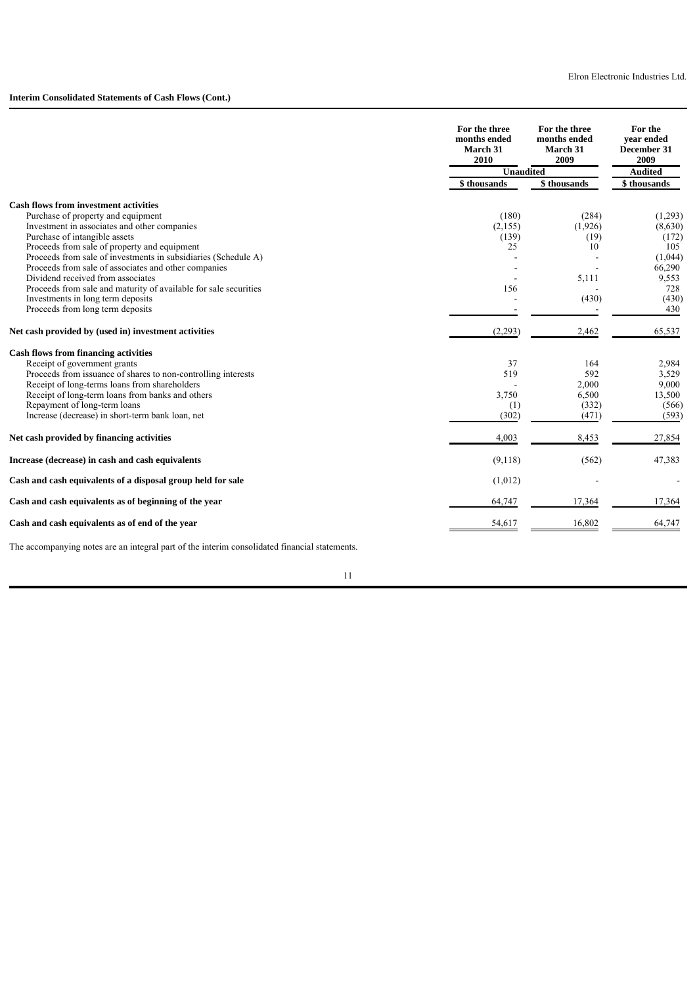|                                                                  | For the three<br>months ended<br>March 31<br>2010 | For the three<br>months ended<br><b>March 31</b><br>2009 | For the<br>vear ended<br>December 31<br>2009 |  |
|------------------------------------------------------------------|---------------------------------------------------|----------------------------------------------------------|----------------------------------------------|--|
|                                                                  | <b>Unaudited</b>                                  |                                                          | <b>Audited</b>                               |  |
|                                                                  | \$ thousands                                      | \$thousands                                              | \$ thousands                                 |  |
| <b>Cash flows from investment activities</b>                     |                                                   |                                                          |                                              |  |
| Purchase of property and equipment                               | (180)                                             | (284)                                                    | (1,293)                                      |  |
| Investment in associates and other companies                     | (2,155)                                           | (1,926)                                                  | (8,630)                                      |  |
| Purchase of intangible assets                                    | (139)                                             | (19)                                                     | (172)                                        |  |
| Proceeds from sale of property and equipment                     | 25                                                | 10                                                       | 105                                          |  |
| Proceeds from sale of investments in subsidiaries (Schedule A)   |                                                   |                                                          | (1,044)                                      |  |
| Proceeds from sale of associates and other companies             |                                                   |                                                          | 66,290                                       |  |
| Dividend received from associates                                |                                                   | 5,111                                                    | 9,553                                        |  |
| Proceeds from sale and maturity of available for sale securities | 156                                               |                                                          | 728                                          |  |
| Investments in long term deposits                                |                                                   | (430)                                                    | (430)                                        |  |
| Proceeds from long term deposits                                 |                                                   |                                                          | 430                                          |  |
| Net cash provided by (used in) investment activities             | (2,293)                                           | 2,462                                                    | 65,537                                       |  |
| <b>Cash flows from financing activities</b>                      |                                                   |                                                          |                                              |  |
| Receipt of government grants                                     | 37                                                | 164                                                      | 2,984                                        |  |
| Proceeds from issuance of shares to non-controlling interests    | 519                                               | 592                                                      | 3,529                                        |  |
| Receipt of long-terms loans from shareholders                    |                                                   | 2,000                                                    | 9,000                                        |  |
| Receipt of long-term loans from banks and others                 | 3,750                                             | 6,500                                                    | 13,500                                       |  |
| Repayment of long-term loans                                     | (1)                                               | (332)                                                    | (566)                                        |  |
| Increase (decrease) in short-term bank loan, net                 | (302)                                             | (471)                                                    | (593)                                        |  |
| Net cash provided by financing activities                        | 4,003                                             | 8,453                                                    | 27,854                                       |  |
| Increase (decrease) in cash and cash equivalents                 | (9,118)                                           | (562)                                                    | 47,383                                       |  |
| Cash and cash equivalents of a disposal group held for sale      | (1,012)                                           |                                                          |                                              |  |
| Cash and cash equivalents as of beginning of the year            | 64,747                                            | 17,364                                                   | 17,364                                       |  |
| Cash and cash equivalents as of end of the year                  | 54,617                                            | 16,802                                                   | 64,747                                       |  |

The accompanying notes are an integral part of the interim consolidated financial statements.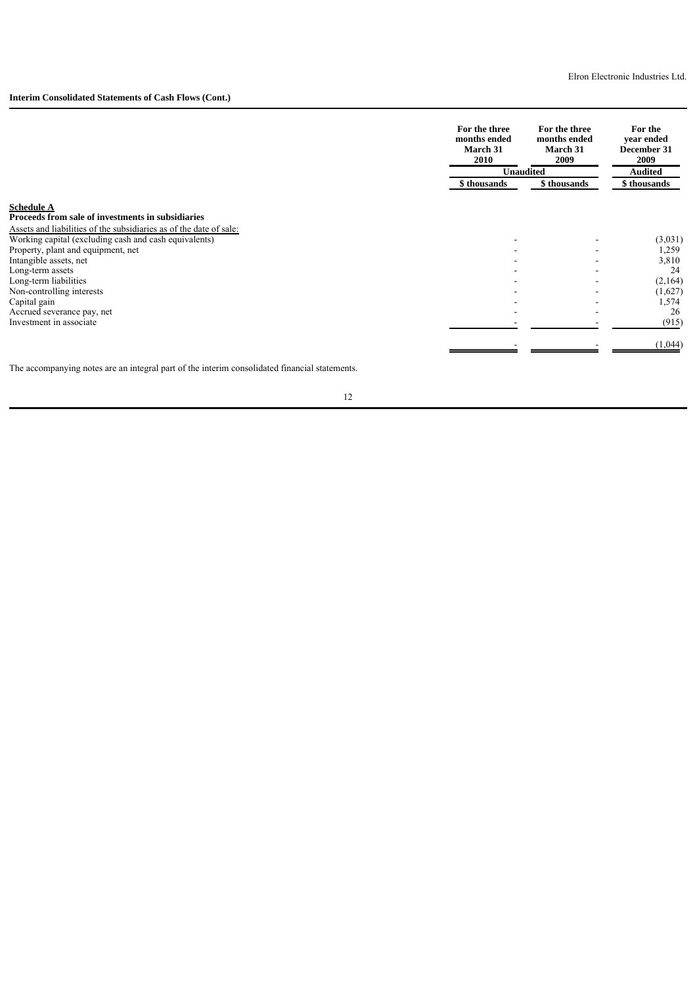# **Interim Consolidated Statements of Cash Flows (Cont.)**

|                                                                                                                             | For the three<br>months ended<br>March 31<br>2010 | For the three<br>months ended<br>March 31<br>2009 | For the<br>vear ended<br>December 31<br>2009 |  |
|-----------------------------------------------------------------------------------------------------------------------------|---------------------------------------------------|---------------------------------------------------|----------------------------------------------|--|
|                                                                                                                             | <b>Unaudited</b>                                  |                                                   | <b>Audited</b>                               |  |
|                                                                                                                             | \$ thousands                                      | \$ thousands                                      | \$ thousands                                 |  |
| <b>Schedule A</b>                                                                                                           |                                                   |                                                   |                                              |  |
| Proceeds from sale of investments in subsidiaries                                                                           |                                                   |                                                   |                                              |  |
| Assets and liabilities of the subsidiaries as of the date of sale:<br>Working capital (excluding cash and cash equivalents) |                                                   |                                                   | (3,031)                                      |  |
| Property, plant and equipment, net                                                                                          |                                                   |                                                   | 1,259                                        |  |
| Intangible assets, net                                                                                                      |                                                   |                                                   | 3,810                                        |  |
| Long-term assets                                                                                                            |                                                   |                                                   | 24                                           |  |
| Long-term liabilities                                                                                                       |                                                   |                                                   | (2,164)                                      |  |
| Non-controlling interests                                                                                                   |                                                   |                                                   | (1,627)                                      |  |
| Capital gain                                                                                                                |                                                   |                                                   | 1,574                                        |  |
| Accrued severance pay, net                                                                                                  |                                                   |                                                   | 26                                           |  |
| Investment in associate                                                                                                     |                                                   |                                                   | (915)                                        |  |
|                                                                                                                             |                                                   |                                                   | (1,044)                                      |  |

The accompanying notes are an integral part of the interim consolidated financial statements.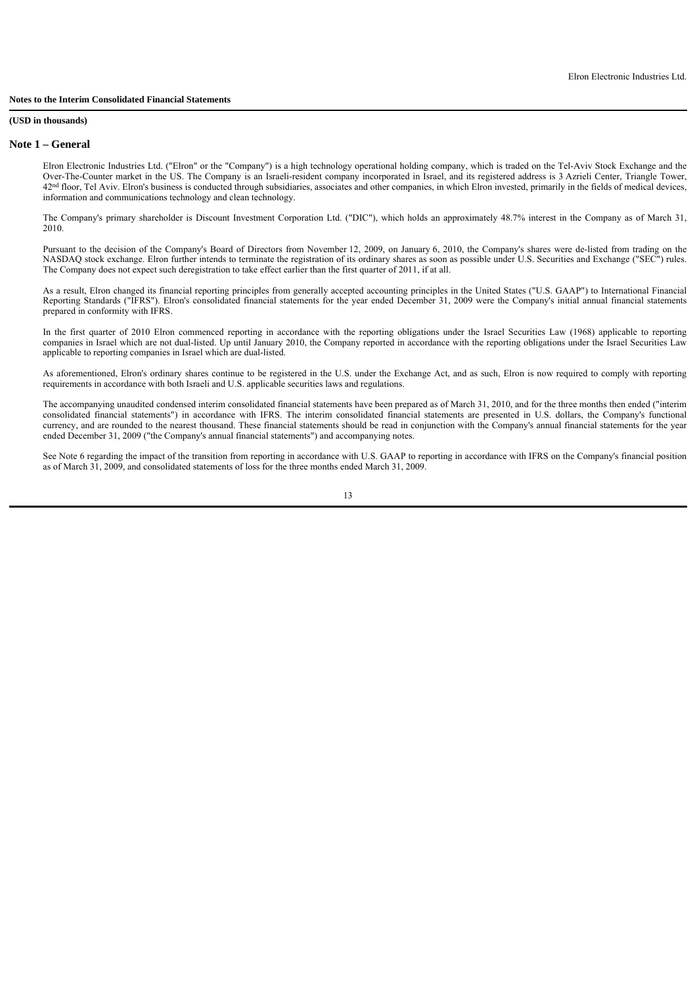### **(USD in thousands)**

#### **Note 1 – General**

Elron Electronic Industries Ltd. ("Elron" or the "Company") is a high technology operational holding company, which is traded on the Tel-Aviv Stock Exchange and the Over-The-Counter market in the US. The Company is an Israeli-resident company incorporated in Israel, and its registered address is 3 Azrieli Center, Triangle Tower, 42<sup>nd</sup> floor, Tel Aviv. Elron's business is conducted through subsidiaries, associates and other companies, in which Elron invested, primarily in the fields of medical devices, information and communications technology and clean technology.

The Company's primary shareholder is Discount Investment Corporation Ltd. ("DIC"), which holds an approximately 48.7% interest in the Company as of March 31, 2010.

Pursuant to the decision of the Company's Board of Directors from November 12, 2009, on January 6, 2010, the Company's shares were de-listed from trading on the NASDAQ stock exchange. Elron further intends to terminate the registration of its ordinary shares as soon as possible under U.S. Securities and Exchange ("SEC") rules. The Company does not expect such deregistration to take effect earlier than the first quarter of 2011, if at all.

As a result, Elron changed its financial reporting principles from generally accepted accounting principles in the United States ("U.S. GAAP") to International Financial Reporting Standards ("IFRS"). Elron's consolidated financial statements for the year ended December 31, 2009 were the Company's initial annual financial statements prepared in conformity with IFRS.

In the first quarter of 2010 Elron commenced reporting in accordance with the reporting obligations under the Israel Securities Law (1968) applicable to reporting companies in Israel which are not dual-listed. Up until January 2010, the Company reported in accordance with the reporting obligations under the Israel Securities Law applicable to reporting companies in Israel which are dual-listed.

As aforementioned, Elron's ordinary shares continue to be registered in the U.S. under the Exchange Act, and as such, Elron is now required to comply with reporting requirements in accordance with both Israeli and U.S. applicable securities laws and regulations.

The accompanying unaudited condensed interim consolidated financial statements have been prepared as of March 31, 2010, and for the three months then ended ("interim consolidated financial statements") in accordance with IFRS. The interim consolidated financial statements are presented in U.S. dollars, the Company's functional currency, and are rounded to the nearest thousand. These financial statements should be read in conjunction with the Company's annual financial statements for the year ended December 31, 2009 ("the Company's annual financial statements") and accompanying notes.

See Note 6 regarding the impact of the transition from reporting in accordance with U.S. GAAP to reporting in accordance with IFRS on the Company's financial position as of March 31, 2009, and consolidated statements of loss for the three months ended March 31, 2009.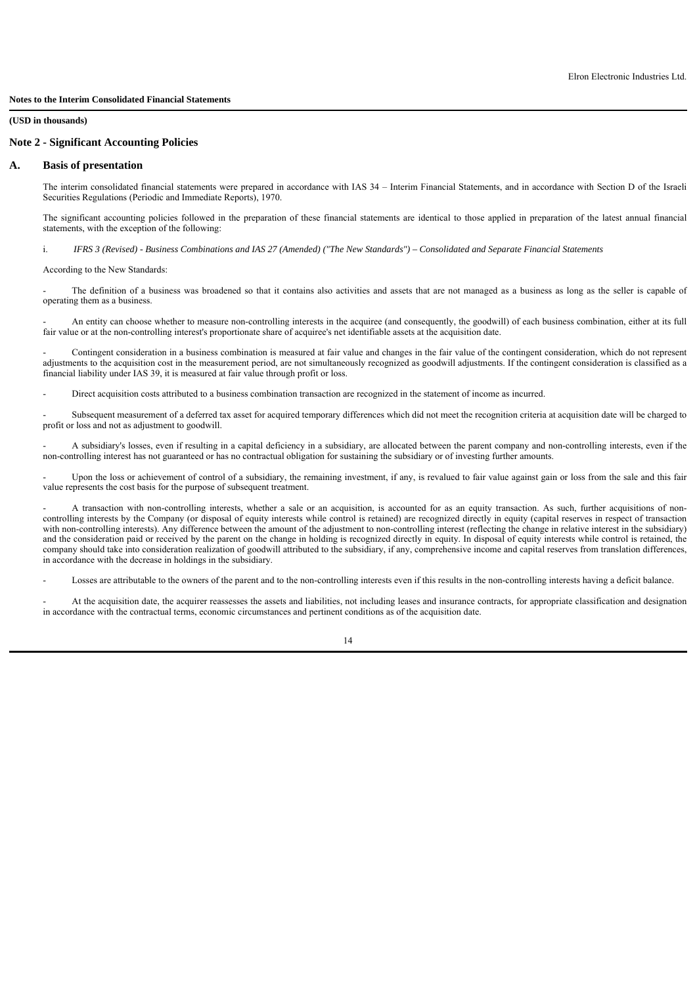### **Note 2 - Significant Accounting Policies**

### **A. Basis of presentation**

The interim consolidated financial statements were prepared in accordance with IAS 34 – Interim Financial Statements, and in accordance with Section D of the Israeli Securities Regulations (Periodic and Immediate Reports), 1970.

The significant accounting policies followed in the preparation of these financial statements are identical to those applied in preparation of the latest annual financial statements, with the exception of the following:

i. *IFRS 3 (Revised) - Business Combinations and IAS 27 (Amended) ("The New Standards") – Consolidated and Separate Financial Statements*

According to the New Standards:

The definition of a business was broadened so that it contains also activities and assets that are not managed as a business as long as the seller is capable of operating them as a business.

- An entity can choose whether to measure non-controlling interests in the acquiree (and consequently, the goodwill) of each business combination, either at its full fair value or at the non-controlling interest's proportionate share of acquiree's net identifiable assets at the acquisition date.

- Contingent consideration in a business combination is measured at fair value and changes in the fair value of the contingent consideration, which do not represent adjustments to the acquisition cost in the measurement period, are not simultaneously recognized as goodwill adjustments. If the contingent consideration is classified as a financial liability under IAS 39, it is measured at fair value through profit or loss.

- Direct acquisition costs attributed to a business combination transaction are recognized in the statement of income as incurred.

Subsequent measurement of a deferred tax asset for acquired temporary differences which did not meet the recognition criteria at acquisition date will be charged to profit or loss and not as adjustment to goodwill.

- A subsidiary's losses, even if resulting in a capital deficiency in a subsidiary, are allocated between the parent company and non-controlling interests, even if the non-controlling interest has not guaranteed or has no contractual obligation for sustaining the subsidiary or of investing further amounts.

Upon the loss or achievement of control of a subsidiary, the remaining investment, if any, is revalued to fair value against gain or loss from the sale and this fair value represents the cost basis for the purpose of subsequent treatment.

A transaction with non-controlling interests, whether a sale or an acquisition, is accounted for as an equity transaction. As such, further acquisitions of noncontrolling interests by the Company (or disposal of equity interests while control is retained) are recognized directly in equity (capital reserves in respect of transaction with non-controlling interests). Any difference between the amount of the adjustment to non-controlling interest (reflecting the change in relative interest in the subsidiary) and the consideration paid or received by the parent on the change in holding is recognized directly in equity. In disposal of equity interests while control is retained, the company should take into consideration realization of goodwill attributed to the subsidiary, if any, comprehensive income and capital reserves from translation differences, in accordance with the decrease in holdings in the subsidiary.

Losses are attributable to the owners of the parent and to the non-controlling interests even if this results in the non-controlling interests having a deficit balance.

At the acquisition date, the acquirer reassesses the assets and liabilities, not including leases and insurance contracts, for appropriate classification and designation in accordance with the contractual terms, economic circumstances and pertinent conditions as of the acquisition date.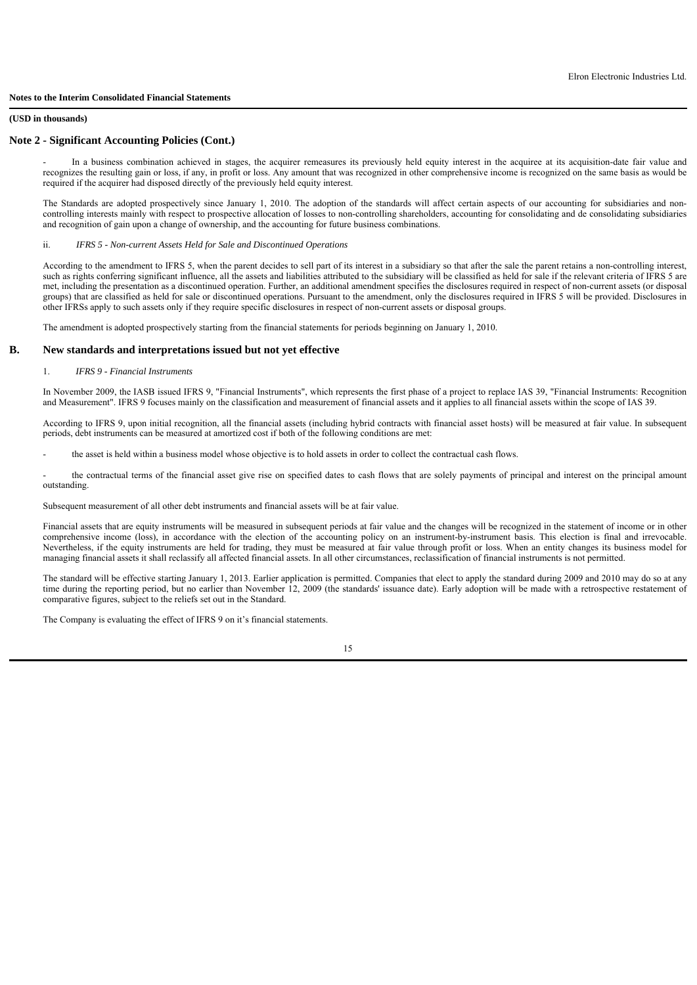#### **(USD in thousands)**

### **Note 2 - Significant Accounting Policies (Cont.)**

In a business combination achieved in stages, the acquirer remeasures its previously held equity interest in the acquiree at its acquisition-date fair value and recognizes the resulting gain or loss, if any, in profit or loss. Any amount that was recognized in other comprehensive income is recognized on the same basis as would be required if the acquirer had disposed directly of the previously held equity interest.

The Standards are adopted prospectively since January 1, 2010. The adoption of the standards will affect certain aspects of our accounting for subsidiaries and noncontrolling interests mainly with respect to prospective allocation of losses to non-controlling shareholders, accounting for consolidating and de consolidating subsidiaries and recognition of gain upon a change of ownership, and the accounting for future business combinations.

ii. *IFRS 5 - Non-current Assets Held for Sale and Discontinued Operations*

According to the amendment to IFRS 5, when the parent decides to sell part of its interest in a subsidiary so that after the sale the parent retains a non-controlling interest, such as rights conferring significant influence, all the assets and liabilities attributed to the subsidiary will be classified as held for sale if the relevant criteria of IFRS 5 are met, including the presentation as a discontinued operation. Further, an additional amendment specifies the disclosures required in respect of non-current assets (or disposal groups) that are classified as held for sale or discontinued operations. Pursuant to the amendment, only the disclosures required in IFRS 5 will be provided. Disclosures in other IFRSs apply to such assets only if they require specific disclosures in respect of non-current assets or disposal groups.

The amendment is adopted prospectively starting from the financial statements for periods beginning on January 1, 2010.

### **B. New standards and interpretations issued but not yet effective**

### 1. *IFRS 9 - Financial Instruments*

In November 2009, the IASB issued IFRS 9, "Financial Instruments", which represents the first phase of a project to replace IAS 39, "Financial Instruments: Recognition and Measurement". IFRS 9 focuses mainly on the classification and measurement of financial assets and it applies to all financial assets within the scope of IAS 39.

According to IFRS 9, upon initial recognition, all the financial assets (including hybrid contracts with financial asset hosts) will be measured at fair value. In subsequent periods, debt instruments can be measured at amortized cost if both of the following conditions are met:

the asset is held within a business model whose objective is to hold assets in order to collect the contractual cash flows.

the contractual terms of the financial asset give rise on specified dates to cash flows that are solely payments of principal and interest on the principal amount outstanding.

Subsequent measurement of all other debt instruments and financial assets will be at fair value.

Financial assets that are equity instruments will be measured in subsequent periods at fair value and the changes will be recognized in the statement of income or in other comprehensive income (loss), in accordance with the election of the accounting policy on an instrument-by-instrument basis. This election is final and irrevocable. Nevertheless, if the equity instruments are held for trading, they must be measured at fair value through profit or loss. When an entity changes its business model for managing financial assets it shall reclassify all affected financial assets. In all other circumstances, reclassification of financial instruments is not permitted.

The standard will be effective starting January 1, 2013. Earlier application is permitted. Companies that elect to apply the standard during 2009 and 2010 may do so at any time during the reporting period, but no earlier than November 12, 2009 (the standards' issuance date). Early adoption will be made with a retrospective restatement of comparative figures, subject to the reliefs set out in the Standard.

The Company is evaluating the effect of IFRS 9 on it's financial statements.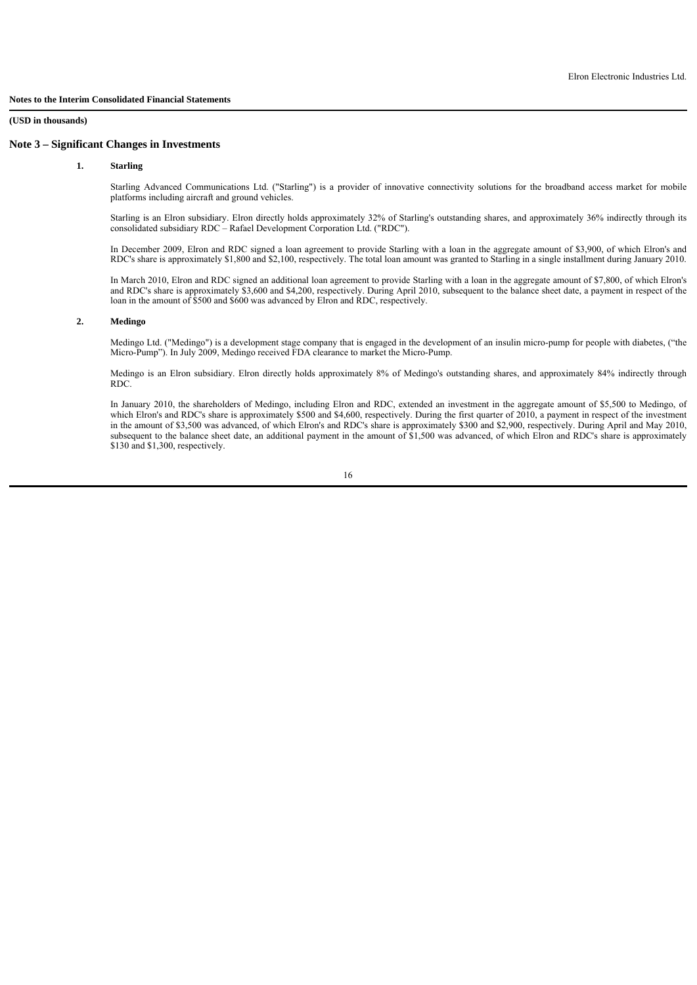#### **1. Starling**

Starling Advanced Communications Ltd. ("Starling") is a provider of innovative connectivity solutions for the broadband access market for mobile platforms including aircraft and ground vehicles.

Starling is an Elron subsidiary. Elron directly holds approximately 32% of Starling's outstanding shares, and approximately 36% indirectly through its consolidated subsidiary RDC – Rafael Development Corporation Ltd. ("RDC").

In December 2009, Elron and RDC signed a loan agreement to provide Starling with a loan in the aggregate amount of \$3,900, of which Elron's and RDC's share is approximately \$1,800 and \$2,100, respectively. The total loan amount was granted to Starling in a single installment during January 2010.

In March 2010, Elron and RDC signed an additional loan agreement to provide Starling with a loan in the aggregate amount of \$7,800, of which Elron's and RDC's share is approximately \$3,600 and \$4,200, respectively. During April 2010, subsequent to the balance sheet date, a payment in respect of the loan in the amount of \$500 and \$600 was advanced by Elron and RDC, respectively.

### **2. Medingo**

Medingo Ltd. ("Medingo") is a development stage company that is engaged in the development of an insulin micro-pump for people with diabetes, ("the Micro-Pump"). In July 2009, Medingo received FDA clearance to market the Micro-Pump.

Medingo is an Elron subsidiary. Elron directly holds approximately 8% of Medingo's outstanding shares, and approximately 84% indirectly through RDC.

In January 2010, the shareholders of Medingo, including Elron and RDC, extended an investment in the aggregate amount of \$5,500 to Medingo, of which Elron's and RDC's share is approximately \$500 and \$4,600, respectively. During the first quarter of 2010, a payment in respect of the investment in the amount of \$3,500 was advanced, of which Elron's and RDC's share is approximately \$300 and \$2,900, respectively. During April and May 2010, subsequent to the balance sheet date, an additional payment in the amount of \$1,500 was advanced, of which Elron and RDC's share is approximately \$130 and \$1,300, respectively.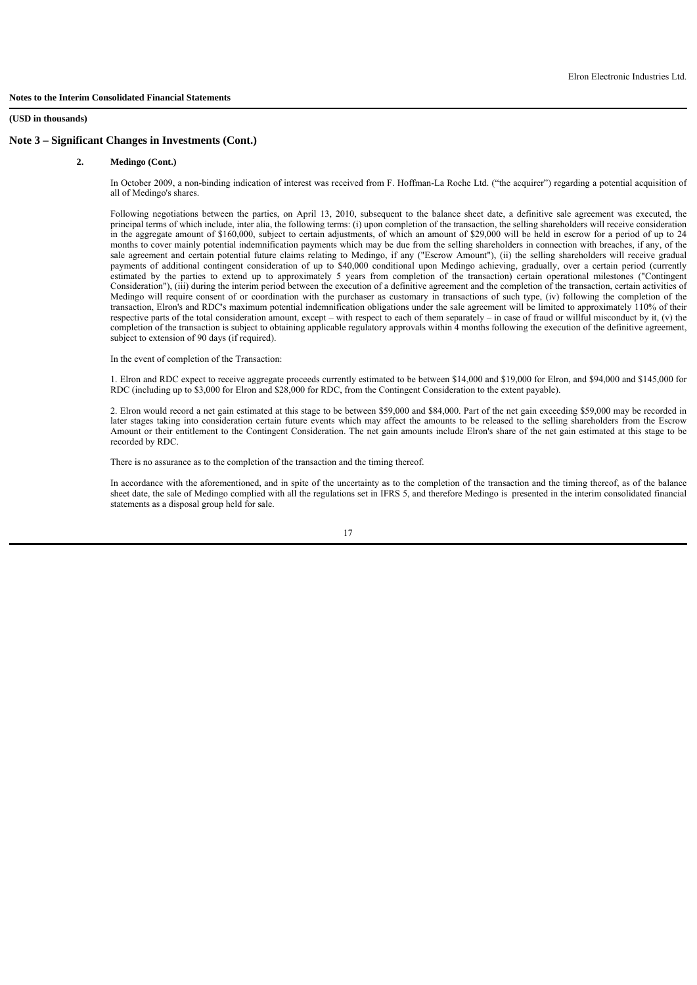### **2. Medingo (Cont.)**

In October 2009, a non-binding indication of interest was received from F. Hoffman-La Roche Ltd. ("the acquirer") regarding a potential acquisition of all of Medingo's shares.

Following negotiations between the parties, on April 13, 2010, subsequent to the balance sheet date, a definitive sale agreement was executed, the principal terms of which include, inter alia, the following terms: (i) upon completion of the transaction, the selling shareholders will receive consideration in the aggregate amount of \$160,000, subject to certain adjustments, of which an amount of \$29,000 will be held in escrow for a period of up to 24 months to cover mainly potential indemnification payments which may be due from the selling shareholders in connection with breaches, if any, of the sale agreement and certain potential future claims relating to Medingo, if any ("Escrow Amount"), (ii) the selling shareholders will receive gradual payments of additional contingent consideration of up to \$40,000 conditional upon Medingo achieving, gradually, over a certain period (currently estimated by the parties to extend up to approximately 5 years from completion of the transaction) certain operational milestones ("Contingent Consideration"), (iii) during the interim period between the execution of a definitive agreement and the completion of the transaction, certain activities of Medingo will require consent of or coordination with the purchaser as customary in transactions of such type, (iv) following the completion of the transaction, Elron's and RDC's maximum potential indemnification obligations under the sale agreement will be limited to approximately 110% of their respective parts of the total consideration amount, except – with respect to each of them separately – in case of fraud or willful misconduct by it, (v) the completion of the transaction is subject to obtaining applicable regulatory approvals within 4 months following the execution of the definitive agreement, subject to extension of 90 days (if required).

In the event of completion of the Transaction:

1. Elron and RDC expect to receive aggregate proceeds currently estimated to be between \$14,000 and \$19,000 for Elron, and \$94,000 and \$145,000 for RDC (including up to \$3,000 for Elron and \$28,000 for RDC, from the Contingent Consideration to the extent payable).

2. Elron would record a net gain estimated at this stage to be between \$59,000 and \$84,000. Part of the net gain exceeding \$59,000 may be recorded in later stages taking into consideration certain future events which may affect the amounts to be released to the selling shareholders from the Escrow Amount or their entitlement to the Contingent Consideration. The net gain amounts include Elron's share of the net gain estimated at this stage to be recorded by RDC.

There is no assurance as to the completion of the transaction and the timing thereof.

In accordance with the aforementioned, and in spite of the uncertainty as to the completion of the transaction and the timing thereof, as of the balance sheet date, the sale of Medingo complied with all the regulations set in IFRS 5, and therefore Medingo is presented in the interim consolidated financial statements as a disposal group held for sale.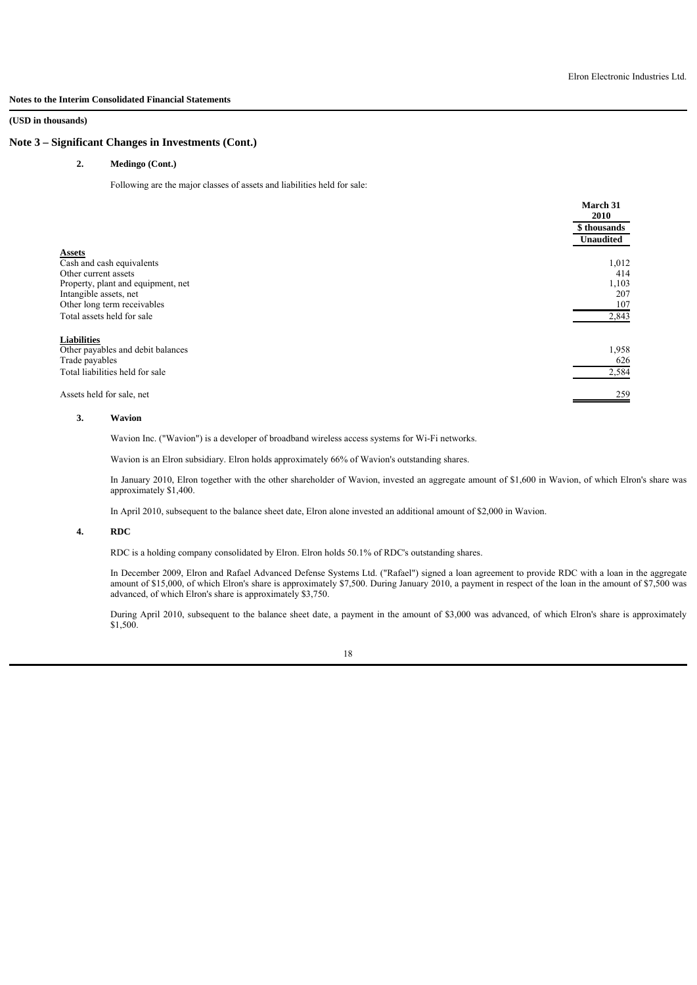**(USD in thousands)**

### **Note 3 – Significant Changes in Investments (Cont.)**

### **2. Medingo (Cont.)**

Following are the major classes of assets and liabilities held for sale:

|                                    | March 31<br>2010 |
|------------------------------------|------------------|
|                                    | \$ thousands     |
|                                    | Unaudited        |
| <b>Assets</b>                      |                  |
| Cash and cash equivalents          | 1,012            |
| Other current assets               | 414              |
| Property, plant and equipment, net | 1,103            |
| Intangible assets, net             | 207              |
| Other long term receivables        | 107              |
| Total assets held for sale         | 2,843            |
| <b>Liabilities</b>                 |                  |
| Other payables and debit balances  | 1,958            |
| Trade payables                     | 626              |
| Total liabilities held for sale    | 2,584            |
|                                    |                  |
| Assets held for sale, net          | 259              |

## **3. Wavion**

Wavion Inc. ("Wavion") is a developer of broadband wireless access systems for Wi-Fi networks.

Wavion is an Elron subsidiary. Elron holds approximately 66% of Wavion's outstanding shares.

In January 2010, Elron together with the other shareholder of Wavion, invested an aggregate amount of \$1,600 in Wavion, of which Elron's share was approximately \$1,400.

In April 2010, subsequent to the balance sheet date, Elron alone invested an additional amount of \$2,000 in Wavion.

### **4. RDC**

RDC is a holding company consolidated by Elron. Elron holds 50.1% of RDC's outstanding shares.

In December 2009, Elron and Rafael Advanced Defense Systems Ltd. ("Rafael") signed a loan agreement to provide RDC with a loan in the aggregate amount of \$15,000, of which Elron's share is approximately \$7,500. During January 2010, a payment in respect of the loan in the amount of \$7,500 was advanced, of which Elron's share is approximately \$3,750.

During April 2010, subsequent to the balance sheet date, a payment in the amount of \$3,000 was advanced, of which Elron's share is approximately \$1,500.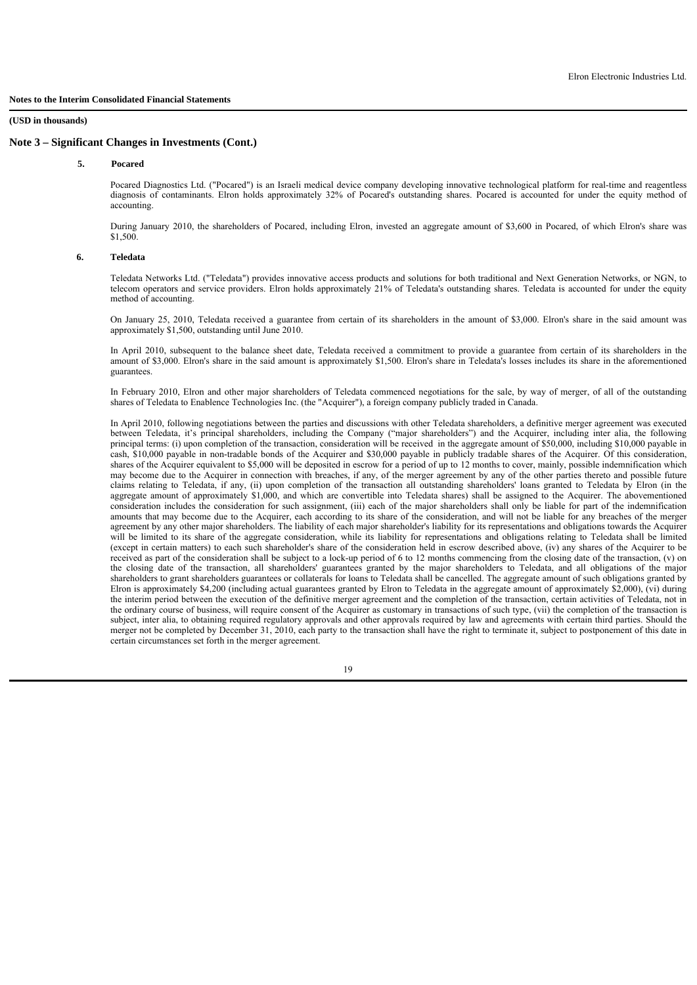### **5. Pocared**

 Pocared Diagnostics Ltd. ("Pocared") is an Israeli medical device company developing innovative technological platform for real-time and reagentless diagnosis of contaminants. Elron holds approximately 32% of Pocared's outstanding shares. Pocared is accounted for under the equity method of accounting.

During January 2010, the shareholders of Pocared, including Elron, invested an aggregate amount of \$3,600 in Pocared, of which Elron's share was \$1,500

#### **6. Teledata**

Teledata Networks Ltd. ("Teledata") provides innovative access products and solutions for both traditional and Next Generation Networks, or NGN, to telecom operators and service providers. Elron holds approximately 21% of Teledata's outstanding shares. Teledata is accounted for under the equity method of accounting.

On January 25, 2010, Teledata received a guarantee from certain of its shareholders in the amount of \$3,000. Elron's share in the said amount was approximately \$1,500, outstanding until June 2010.

In April 2010, subsequent to the balance sheet date, Teledata received a commitment to provide a guarantee from certain of its shareholders in the amount of \$3,000. Elron's share in the said amount is approximately \$1,500. Elron's share in Teledata's losses includes its share in the aforementioned guarantees.

In February 2010, Elron and other major shareholders of Teledata commenced negotiations for the sale, by way of merger, of all of the outstanding shares of Teledata to Enablence Technologies Inc. (the "Acquirer"), a foreign company publicly traded in Canada.

In April 2010, following negotiations between the parties and discussions with other Teledata shareholders, a definitive merger agreement was executed between Teledata, it's principal shareholders, including the Company ("major shareholders") and the Acquirer, including inter alia, the following principal terms: (i) upon completion of the transaction, consideration will be received in the aggregate amount of \$50,000, including \$10,000 payable in cash, \$10,000 payable in non-tradable bonds of the Acquirer and \$30,000 payable in publicly tradable shares of the Acquirer. Of this consideration, shares of the Acquirer equivalent to \$5,000 will be deposited in escrow for a period of up to 12 months to cover, mainly, possible indemnification which may become due to the Acquirer in connection with breaches, if any, of the merger agreement by any of the other parties thereto and possible future claims relating to Teledata, if any, (ii) upon completion of the transaction all outstanding shareholders' loans granted to Teledata by Elron (in the aggregate amount of approximately \$1,000, and which are convertible into Teledata shares) shall be assigned to the Acquirer. The abovementioned consideration includes the consideration for such assignment, (iii) each of the major shareholders shall only be liable for part of the indemnification amounts that may become due to the Acquirer, each according to its share of the consideration, and will not be liable for any breaches of the merger agreement by any other major shareholders. The liability of each major shareholder's liability for its representations and obligations towards the Acquirer will be limited to its share of the aggregate consideration, while its liability for representations and obligations relating to Teledata shall be limited (except in certain matters) to each such shareholder's share of the consideration held in escrow described above, (iv) any shares of the Acquirer to be received as part of the consideration shall be subject to a lock-up period of 6 to 12 months commencing from the closing date of the transaction, (v) on the closing date of the transaction, all shareholders' guarantees granted by the major shareholders to Teledata, and all obligations of the major shareholders to grant shareholders guarantees or collaterals for loans to Teledata shall be cancelled. The aggregate amount of such obligations granted by Elron is approximately \$4,200 (including actual guarantees granted by Elron to Teledata in the aggregate amount of approximately \$2,000), (vi) during the interim period between the execution of the definitive merger agreement and the completion of the transaction, certain activities of Teledata, not in the ordinary course of business, will require consent of the Acquirer as customary in transactions of such type, (vii) the completion of the transaction is subject, inter alia, to obtaining required regulatory approvals and other approvals required by law and agreements with certain third parties. Should the merger not be completed by December 31, 2010, each party to the transaction shall have the right to terminate it, subject to postponement of this date in certain circumstances set forth in the merger agreement.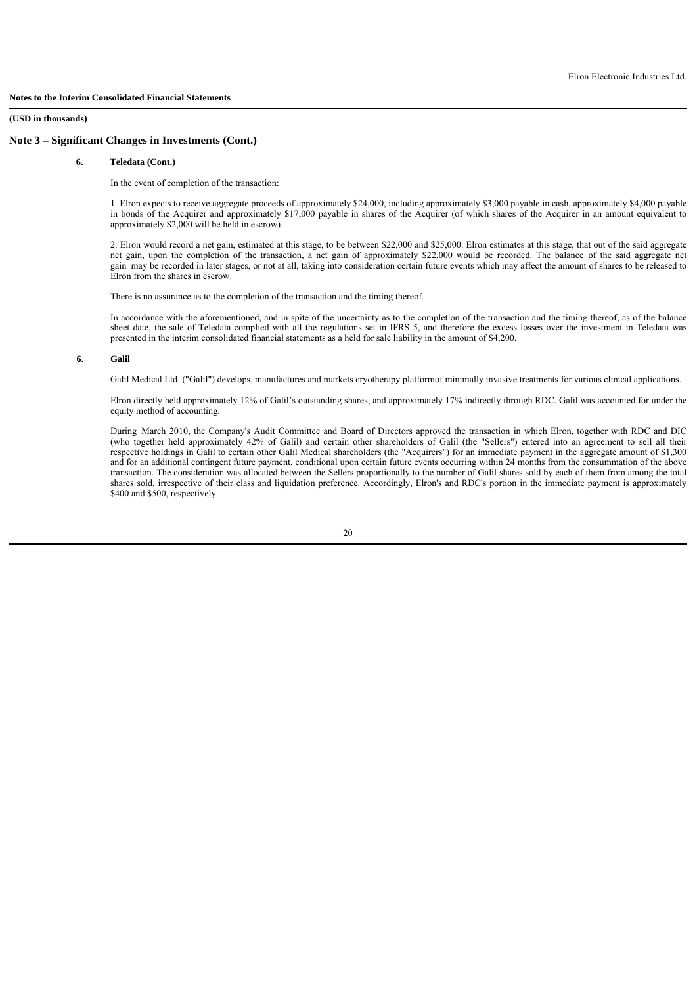### **6. Teledata (Cont.)**

In the event of completion of the transaction:

1. Elron expects to receive aggregate proceeds of approximately \$24,000, including approximately \$3,000 payable in cash, approximately \$4,000 payable in bonds of the Acquirer and approximately \$17,000 payable in shares of the Acquirer (of which shares of the Acquirer in an amount equivalent to approximately \$2,000 will be held in escrow).

2. Elron would record a net gain, estimated at this stage, to be between \$22,000 and \$25,000. Elron estimates at this stage, that out of the said aggregate net gain, upon the completion of the transaction, a net gain of approximately \$22,000 would be recorded. The balance of the said aggregate net gain may be recorded in later stages, or not at all, taking into consideration certain future events which may affect the amount of shares to be released to Elron from the shares in escrow.

There is no assurance as to the completion of the transaction and the timing thereof.

In accordance with the aforementioned, and in spite of the uncertainty as to the completion of the transaction and the timing thereof, as of the balance sheet date, the sale of Teledata complied with all the regulations set in IFRS 5, and therefore the excess losses over the investment in Teledata was presented in the interim consolidated financial statements as a held for sale liability in the amount of \$4,200.

### **6. Galil**

Galil Medical Ltd. ("Galil") develops, manufactures and markets cryotherapy platformof minimally invasive treatments for various clinical applications.

Elron directly held approximately 12% of Galil's outstanding shares, and approximately 17% indirectly through RDC. Galil was accounted for under the equity method of accounting.

During March 2010, the Company's Audit Committee and Board of Directors approved the transaction in which Elron, together with RDC and DIC (who together held approximately 42% of Galil) and certain other shareholders of Galil (the "Sellers") entered into an agreement to sell all their respective holdings in Galil to certain other Galil Medical shareholders (the "Acquirers") for an immediate payment in the aggregate amount of \$1,300 and for an additional contingent future payment, conditional upon certain future events occurring within 24 months from the consummation of the above transaction. The consideration was allocated between the Sellers proportionally to the number of Galil shares sold by each of them from among the total shares sold, irrespective of their class and liquidation preference. Accordingly, Elron's and RDC's portion in the immediate payment is approximately \$400 and \$500, respectively.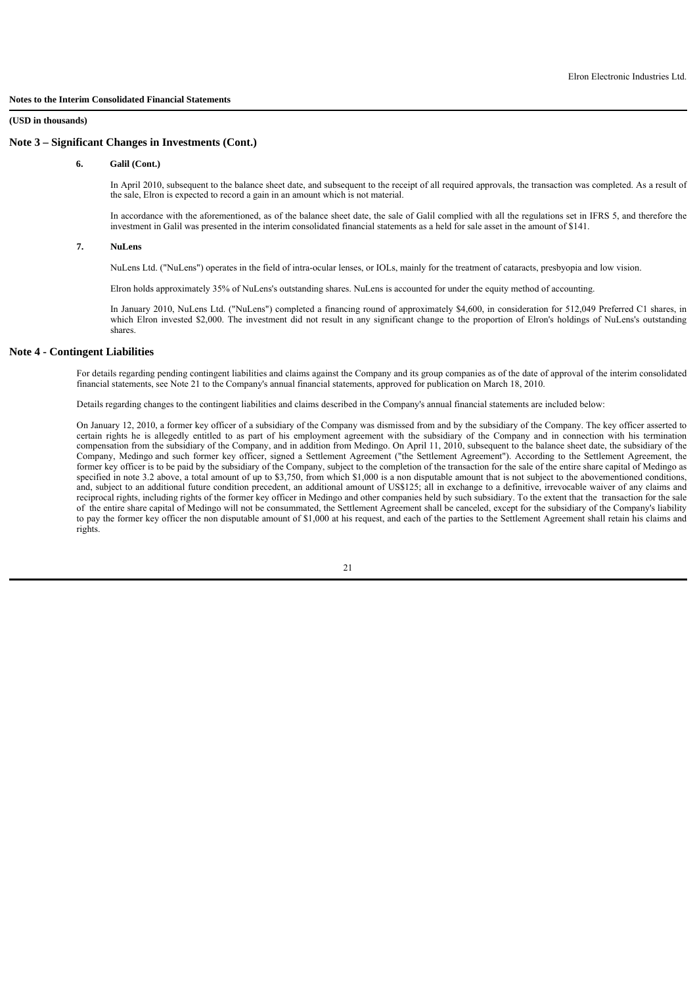### **6. Galil (Cont.)**

In April 2010, subsequent to the balance sheet date, and subsequent to the receipt of all required approvals, the transaction was completed. As a result of the sale, Elron is expected to record a gain in an amount which is not material.

In accordance with the aforementioned, as of the balance sheet date, the sale of Galil complied with all the regulations set in IFRS 5, and therefore the investment in Galil was presented in the interim consolidated financial statements as a held for sale asset in the amount of \$141.

### **7. NuLens**

NuLens Ltd. ("NuLens") operates in the field of intra-ocular lenses, or IOLs, mainly for the treatment of cataracts, presbyopia and low vision.

Elron holds approximately 35% of NuLens's outstanding shares. NuLens is accounted for under the equity method of accounting.

In January 2010, NuLens Ltd. ("NuLens") completed a financing round of approximately \$4,600, in consideration for 512,049 Preferred C1 shares, in which Elron invested \$2,000. The investment did not result in any significant change to the proportion of Elron's holdings of NuLens's outstanding shares.

## **Note 4 - Contingent Liabilities**

For details regarding pending contingent liabilities and claims against the Company and its group companies as of the date of approval of the interim consolidated financial statements, see Note 21 to the Company's annual financial statements, approved for publication on March 18, 2010.

Details regarding changes to the contingent liabilities and claims described in the Company's annual financial statements are included below:

On January 12, 2010, a former key officer of a subsidiary of the Company was dismissed from and by the subsidiary of the Company. The key officer asserted to certain rights he is allegedly entitled to as part of his employment agreement with the subsidiary of the Company and in connection with his termination compensation from the subsidiary of the Company, and in addition from Medingo. On April 11, 2010, subsequent to the balance sheet date, the subsidiary of the Company, Medingo and such former key officer, signed a Settlement Agreement ("the Settlement Agreement"). According to the Settlement Agreement, the former key officer is to be paid by the subsidiary of the Company, subject to the completion of the transaction for the sale of the entire share capital of Medingo as specified in note 3.2 above, a total amount of up to \$3,750, from which \$1,000 is a non disputable amount that is not subject to the abovementioned conditions, and, subject to an additional future condition precedent, an additional amount of US\$125; all in exchange to a definitive, irrevocable waiver of any claims and reciprocal rights, including rights of the former key officer in Medingo and other companies held by such subsidiary. To the extent that the transaction for the sale of the entire share capital of Medingo will not be consummated, the Settlement Agreement shall be canceled, except for the subsidiary of the Company's liability to pay the former key officer the non disputable amount of \$1,000 at his request, and each of the parties to the Settlement Agreement shall retain his claims and rights.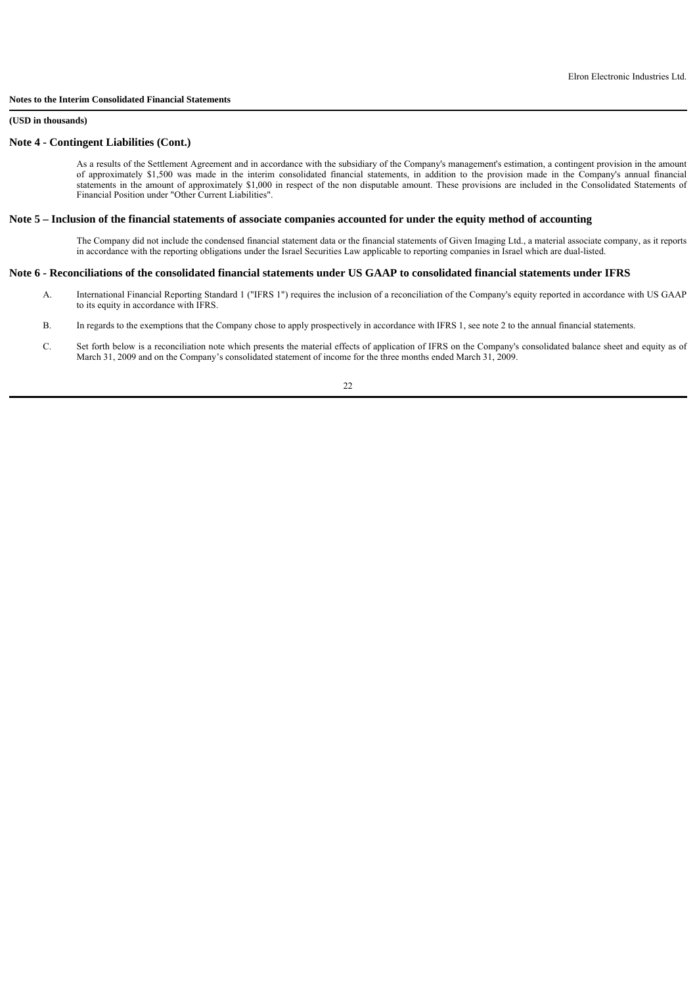### **(USD in thousands)**

### **Note 4 - Contingent Liabilities (Cont.)**

As a results of the Settlement Agreement and in accordance with the subsidiary of the Company's management's estimation, a contingent provision in the amount of approximately \$1,500 was made in the interim consolidated financial statements, in addition to the provision made in the Company's annual financial statements in the amount of approximately \$1,000 in respect of the non disputable amount. These provisions are included in the Consolidated Statements of Financial Position under "Other Current Liabilities".

### **Note 5 – Inclusion of the financial statements of associate companies accounted for under the equity method of accounting**

The Company did not include the condensed financial statement data or the financial statements of Given Imaging Ltd., a material associate company, as it reports in accordance with the reporting obligations under the Israel Securities Law applicable to reporting companies in Israel which are dual-listed.

### **Note 6 - Reconciliations of the consolidated financial statements under US GAAP to consolidated financial statements under IFRS**

- A. International Financial Reporting Standard 1 ("IFRS 1") requires the inclusion of a reconciliation of the Company's equity reported in accordance with US GAAP to its equity in accordance with IFRS.
- B. In regards to the exemptions that the Company chose to apply prospectively in accordance with IFRS 1, see note 2 to the annual financial statements.
- C. Set forth below is a reconciliation note which presents the material effects of application of IFRS on the Company's consolidated balance sheet and equity as of March 31, 2009 and on the Company's consolidated statement of income for the three months ended March 31, 2009.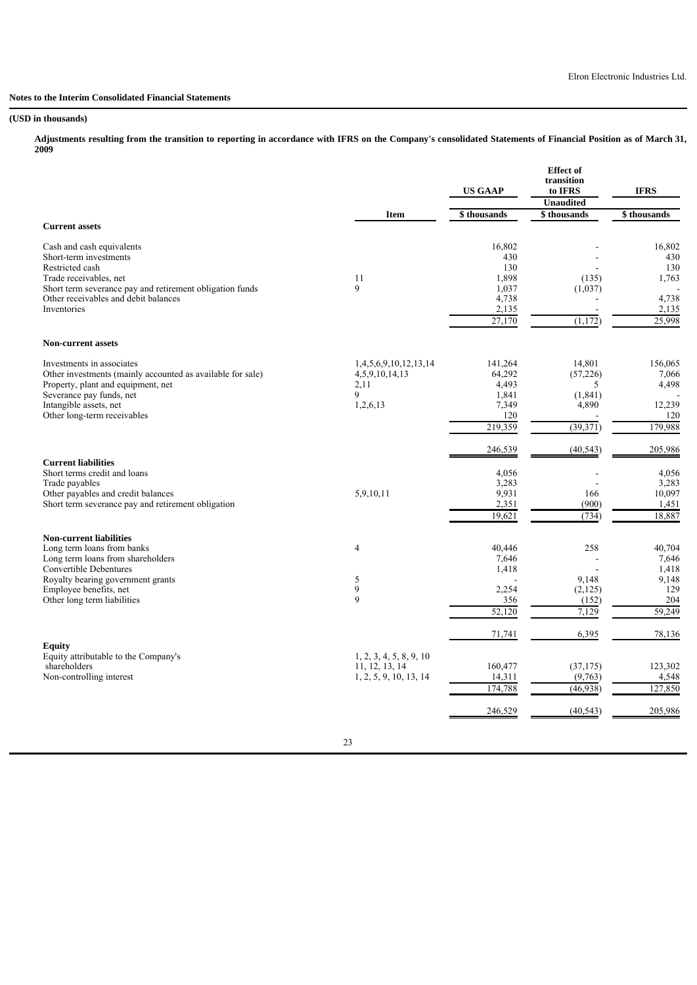### **(USD in thousands)**

**Adjustments resulting from the transition to reporting in accordance with IFRS on the Company's consolidated Statements of Financial Position as of March 31, 2009**

|                                                                |                         | <b>US GAAP</b> | <b>Effect of</b><br>transition<br>to IFRS<br><b>Unaudited</b> | <b>IFRS</b>    |
|----------------------------------------------------------------|-------------------------|----------------|---------------------------------------------------------------|----------------|
| <b>Current assets</b>                                          | <b>Item</b>             | \$thousands    | \$thousands                                                   | \$thousands    |
|                                                                |                         |                |                                                               |                |
| Cash and cash equivalents                                      |                         | 16,802         |                                                               | 16,802         |
| Short-term investments                                         |                         | 430            |                                                               | 430            |
| Restricted cash<br>Trade receivables, net                      | 11                      | 130<br>1,898   | (135)                                                         | 130<br>1,763   |
| Short term severance pay and retirement obligation funds       | 9                       | 1,037          | (1,037)                                                       |                |
| Other receivables and debit balances                           |                         | 4,738          |                                                               | 4,738          |
| Inventories                                                    |                         | 2,135          |                                                               | 2,135          |
|                                                                |                         | 27,170         | (1,172)                                                       | 25,998         |
| <b>Non-current assets</b>                                      |                         |                |                                                               |                |
| Investments in associates                                      | 1,4,5,6,9,10,12,13,14   | 141,264        | 14,801                                                        | 156,065        |
| Other investments (mainly accounted as available for sale)     | 4,5,9,10,14,13          | 64,292         | (57, 226)                                                     | 7,066          |
| Property, plant and equipment, net<br>Severance pay funds, net | 2,11<br>9               | 4,493<br>1,841 | 5<br>(1, 841)                                                 | 4,498          |
| Intangible assets, net                                         | 1,2,6,13                | 7,349          | 4,890                                                         | 12,239         |
| Other long-term receivables                                    |                         | 120            |                                                               | 120            |
|                                                                |                         | 219,359        | (39,371)                                                      | 179,988        |
|                                                                |                         | 246,539        | (40, 543)                                                     | 205,986        |
| <b>Current liabilities</b><br>Short terms credit and loans     |                         | 4,056          |                                                               | 4,056          |
| Trade payables                                                 |                         | 3,283          |                                                               | 3,283          |
| Other payables and credit balances                             | 5,9,10,11               | 9,931          | 166                                                           | 10,097         |
| Short term severance pay and retirement obligation             |                         | 2,351          | (900)                                                         | 1,451          |
|                                                                |                         | 19,621         | (734)                                                         | 18,887         |
| <b>Non-current liabilities</b>                                 |                         |                |                                                               |                |
| Long term loans from banks                                     | 4                       | 40,446         | 258                                                           | 40,704         |
| Long term loans from shareholders<br>Convertible Debentures    |                         | 7,646          |                                                               | 7,646          |
| Royalty bearing government grants                              | 5                       | 1,418          | 9,148                                                         | 1,418<br>9,148 |
| Employee benefits, net                                         | $\boldsymbol{9}$        | 2,254          | (2, 125)                                                      | 129            |
| Other long term liabilities                                    | $\mathbf{Q}$            | 356            | (152)                                                         | 204            |
|                                                                |                         | 52,120         | 7,129                                                         | 59,249         |
|                                                                |                         | 71,741         | 6,395                                                         | 78,136         |
| Equity<br>Equity attributable to the Company's                 | 1, 2, 3, 4, 5, 8, 9, 10 |                |                                                               |                |
| shareholders                                                   | 11, 12, 13, 14          | 160,477        | (37, 175)                                                     | 123,302        |
| Non-controlling interest                                       | 1, 2, 5, 9, 10, 13, 14  | 14,311         | (9,763)                                                       | 4,548          |
|                                                                |                         | 174,788        | (46,938)                                                      | 127,850        |
|                                                                |                         | 246,529        | (40, 543)                                                     | 205,986        |

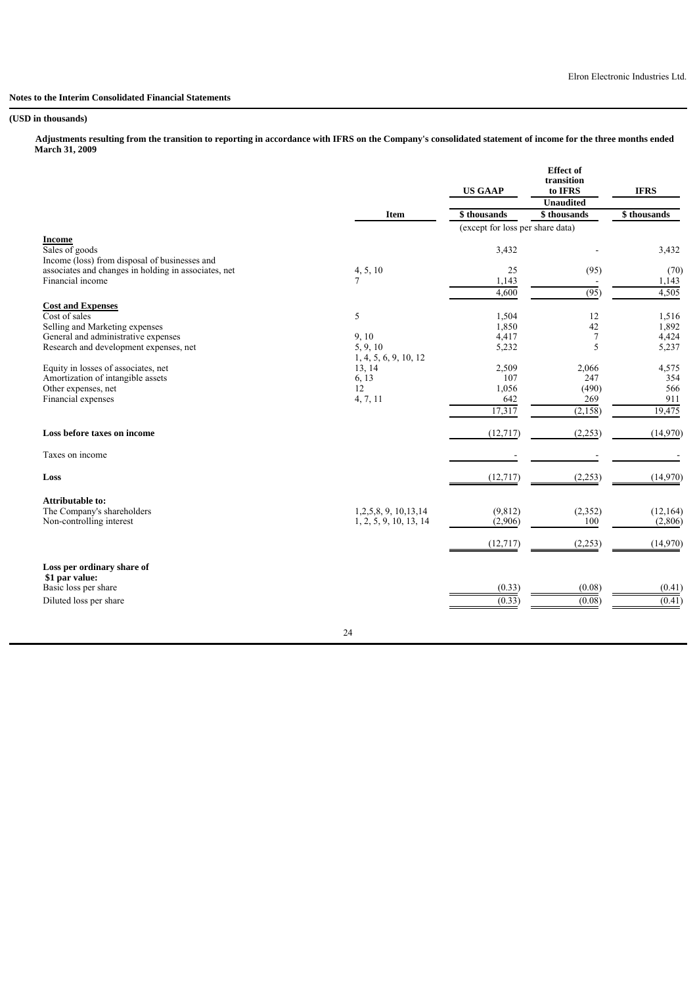### **(USD in thousands)**

 **Adjustments resulting from the transition to reporting in accordance with IFRS on the Company's consolidated statement of income for the three months ended March 31, 2009**

|                                                                                                       |                        | <b>US GAAP</b>                   | <b>Effect</b> of<br>transition<br>to IFRS<br><b>Unaudited</b> | <b>IFRS</b> |
|-------------------------------------------------------------------------------------------------------|------------------------|----------------------------------|---------------------------------------------------------------|-------------|
|                                                                                                       | <b>Item</b>            | \$ thousands                     | \$thousands                                                   | \$thousands |
|                                                                                                       |                        | (except for loss per share data) |                                                               |             |
| <b>Income</b>                                                                                         |                        |                                  |                                                               |             |
| Sales of goods                                                                                        |                        | 3,432                            |                                                               | 3,432       |
| Income (loss) from disposal of businesses and<br>associates and changes in holding in associates, net | 4, 5, 10               | 25                               | (95)                                                          | (70)        |
| Financial income                                                                                      | 7                      | 1,143                            |                                                               | 1,143       |
|                                                                                                       |                        | 4,600                            | (95)                                                          | 4,505       |
|                                                                                                       |                        |                                  |                                                               |             |
| <b>Cost and Expenses</b><br>Cost of sales                                                             | 5                      | 1,504                            | 12                                                            | 1,516       |
| Selling and Marketing expenses                                                                        |                        | 1,850                            | 42                                                            | 1,892       |
| General and administrative expenses                                                                   | 9, 10                  | 4,417                            | $\tau$                                                        | 4,424       |
| Research and development expenses, net                                                                | 5, 9, 10               | 5,232                            | 5                                                             | 5,237       |
|                                                                                                       | 1, 4, 5, 6, 9, 10, 12  |                                  |                                                               |             |
| Equity in losses of associates, net                                                                   | 13, 14                 | 2,509                            | 2,066                                                         | 4,575       |
| Amortization of intangible assets                                                                     | 6, 13                  | 107                              | 247                                                           | 354         |
| Other expenses, net                                                                                   | 12                     | 1,056                            | (490)                                                         | 566         |
| Financial expenses                                                                                    | 4, 7, 11               | 642                              | 269                                                           | 911         |
|                                                                                                       |                        | 17,317                           | (2, 158)                                                      | 19,475      |
| Loss before taxes on income                                                                           |                        | (12, 717)                        | (2,253)                                                       | (14,970)    |
| Taxes on income                                                                                       |                        |                                  |                                                               |             |
| Loss                                                                                                  |                        | (12,717)                         | (2, 253)                                                      | (14,970)    |
| <b>Attributable to:</b>                                                                               |                        |                                  |                                                               |             |
| The Company's shareholders                                                                            | 1,2,5,8, 9, 10, 13, 14 | (9, 812)                         | (2,352)                                                       | (12, 164)   |
| Non-controlling interest                                                                              | 1, 2, 5, 9, 10, 13, 14 | (2,906)                          | 100                                                           | (2,806)     |
|                                                                                                       |                        | (12,717)                         | (2,253)                                                       | (14,970)    |
| Loss per ordinary share of                                                                            |                        |                                  |                                                               |             |
| \$1 par value:<br>Basic loss per share                                                                |                        |                                  |                                                               |             |
| Diluted loss per share                                                                                |                        | (0.33)                           | (0.08)                                                        | (0.41)      |
|                                                                                                       |                        | (0.33)                           | (0.08)                                                        | (0.41)      |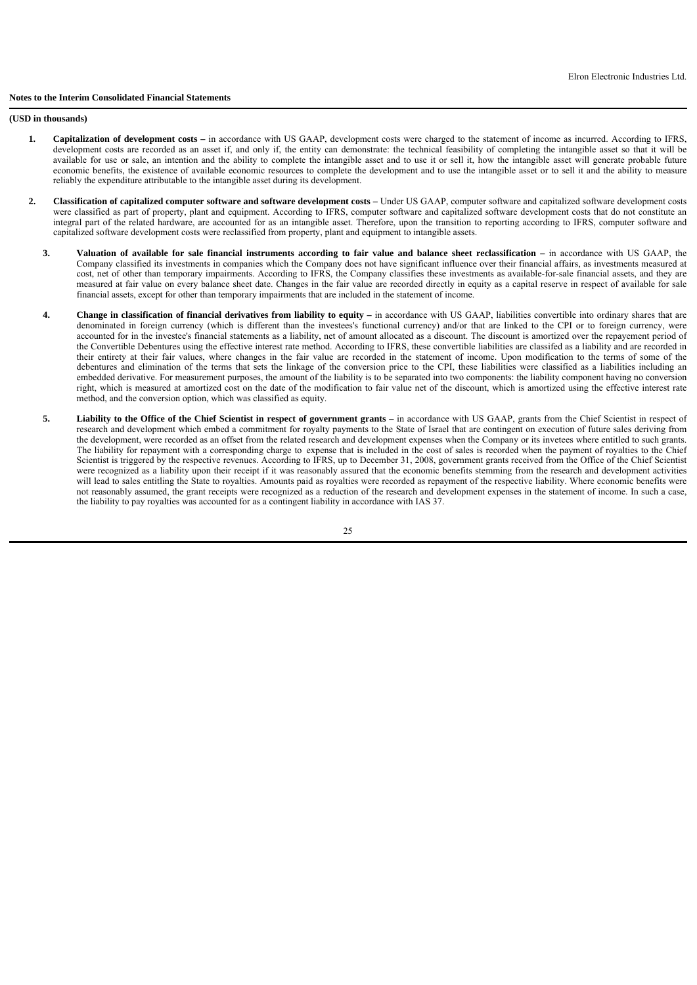#### **(USD in thousands)**

- **1. Capitalization of development costs –** in accordance with US GAAP, development costs were charged to the statement of income as incurred. According to IFRS, development costs are recorded as an asset if, and only if, the entity can demonstrate: the technical feasibility of completing the intangible asset so that it will be available for use or sale, an intention and the ability to complete the intangible asset and to use it or sell it, how the intangible asset will generate probable future economic benefits, the existence of available economic resources to complete the development and to use the intangible asset or to sell it and the ability to measure reliably the expenditure attributable to the intangible asset during its development.
- **2. Classification of capitalized computer software and software development costs –** Under US GAAP, computer software and capitalized software development costs were classified as part of property, plant and equipment. According to IFRS, computer software and capitalized software development costs that do not constitute an integral part of the related hardware, are accounted for as an intangible asset. Therefore, upon the transition to reporting according to IFRS, computer software and capitalized software development costs were reclassified from property, plant and equipment to intangible assets.
	- **3. Valuation of available for sale financial instruments according to fair value and balance sheet reclassification –** in accordance with US GAAP, the Company classified its investments in companies which the Company does not have significant influence over their financial affairs, as investments measured at cost, net of other than temporary impairments. According to IFRS, the Company classifies these investments as available-for-sale financial assets, and they are measured at fair value on every balance sheet date. Changes in the fair value are recorded directly in equity as a capital reserve in respect of available for sale financial assets, except for other than temporary impairments that are included in the statement of income.
	- **4. Change in classification of financial derivatives from liability to equity –** in accordance with US GAAP, liabilities convertible into ordinary shares that are denominated in foreign currency (which is different than the investees's functional currency) and/or that are linked to the CPI or to foreign currency, were accounted for in the investee's financial statements as a liability, net of amount allocated as a discount. The discount is amortized over the repayement period of the Convertible Debentures using the effective interest rate method. According to IFRS, these convertible liabilities are classifed as a liability and are recorded in their entirety at their fair values, where changes in the fair value are recorded in the statement of income. Upon modification to the terms of some of the debentures and elimination of the terms that sets the linkage of the conversion price to the CPI, these liabilities were classified as a liabilities including an embedded derivative. For measurement purposes, the amount of the liability is to be separated into two components: the liability component having no conversion right, which is measured at amortized cost on the date of the modification to fair value net of the discount, which is amortized using the effective interest rate method, and the conversion option, which was classified as equity.
	- **5. Liability to the Office of the Chief Scientist in respect of government grants –** in accordance with US GAAP, grants from the Chief Scientist in respect of research and development which embed a commitment for royalty payments to the State of Israel that are contingent on execution of future sales deriving from the development, were recorded as an offset from the related research and development expenses when the Company or its invetees where entitled to such grants. The liability for repayment with a corresponding charge to expense that is included in the cost of sales is recorded when the payment of royalties to the Chief Scientist is triggered by the respective revenues. According to IFRS, up to December 31, 2008, government grants received from the Office of the Chief Scientist were recognized as a liability upon their receipt if it was reasonably assured that the economic benefits stemming from the research and development activities will lead to sales entitling the State to royalties. Amounts paid as royalties were recorded as repayment of the respective liability. Where economic benefits were not reasonably assumed, the grant receipts were recognized as a reduction of the research and development expenses in the statement of income. In such a case, the liability to pay royalties was accounted for as a contingent liability in accordance with IAS 37.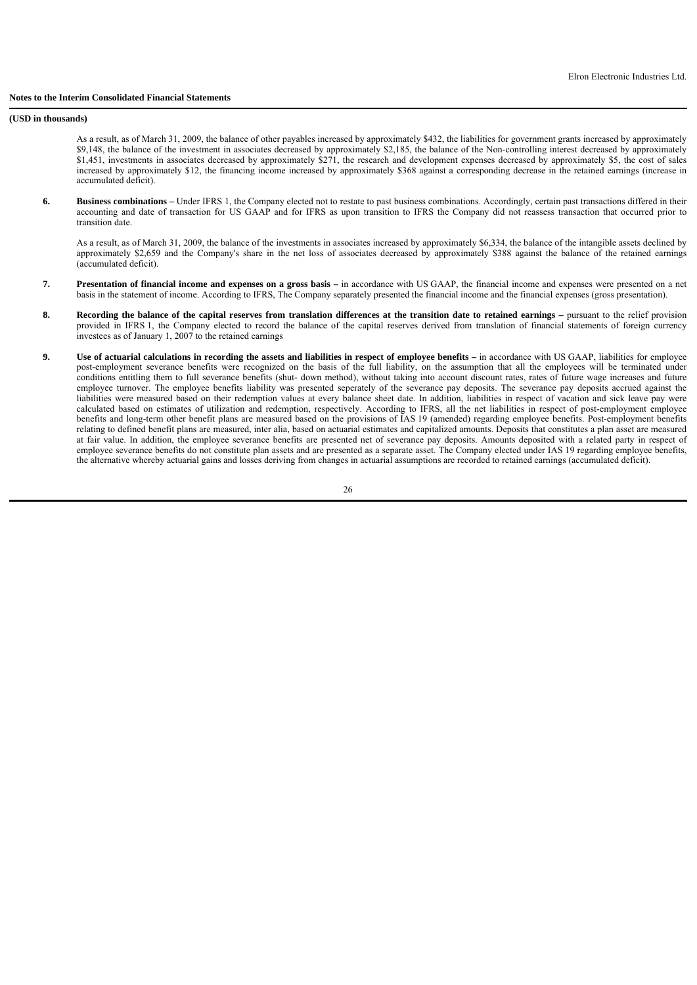**(USD in thousands)**

As a result, as of March 31, 2009, the balance of other payables increased by approximately \$432, the liabilities for government grants increased by approximately \$9,148, the balance of the investment in associates decreased by approximately \$2,185, the balance of the Non-controlling interest decreased by approximately \$1,451, investments in associates decreased by approximately \$271, the research and development expenses decreased by approximately \$5, the cost of sales increased by approximately \$12, the financing income increased by approximately \$368 against a corresponding decrease in the retained earnings (increase in accumulated deficit).

**6. Business combinations** – Under IFRS 1, the Company elected not to restate to past business combinations. Accordingly, certain past transactions differed in their accounting and date of transaction for US GAAP and for IFRS as upon transition to IFRS the Company did not reassess transaction that occurred prior to transition date.

 As a result, as of March 31, 2009, the balance of the investments in associates increased by approximately \$6,334, the balance of the intangible assets declined by approximately \$2,659 and the Company's share in the net loss of associates decreased by approximately \$388 against the balance of the retained earnings (accumulated deficit).

- **7. Presentation of financial income and expenses on a gross basis –** in accordance with US GAAP, the financial income and expenses were presented on a net basis in the statement of income. According to IFRS, The Company separately presented the financial income and the financial expenses (gross presentation).
- **8. Recording the balance of the capital reserves from translation differences at the transition date to retained earnings pursuant to the relief provision** provided in IFRS 1, the Company elected to record the balance of the capital reserves derived from translation of financial statements of foreign currency investees as of January 1, 2007 to the retained earnings
- **9. Use of actuarial calculations in recording the assets and liabilities in respect of employee benefits in accordance with US GAAP, liabilities for employee** post-employment severance benefits were recognized on the basis of the full liability, on the assumption that all the employees will be terminated under conditions entitling them to full severance benefits (shut- down method), without taking into account discount rates, rates of future wage increases and future employee turnover. The employee benefits liability was presented seperately of the severance pay deposits. The severance pay deposits accrued against the liabilities were measured based on their redemption values at every balance sheet date. In addition, liabilities in respect of vacation and sick leave pay were calculated based on estimates of utilization and redemption, respectively. According to IFRS, all the net liabilities in respect of post-employment employee benefits and long-term other benefit plans are measured based on the provisions of IAS 19 (amended) regarding employee benefits. Post-employment benefits relating to defined benefit plans are measured, inter alia, based on actuarial estimates and capitalized amounts. Deposits that constitutes a plan asset are measured at fair value. In addition, the employee severance benefits are presented net of severance pay deposits. Amounts deposited with a related party in respect of employee severance benefits do not constitute plan assets and are presented as a separate asset. The Company elected under IAS 19 regarding employee benefits, the alternative whereby actuarial gains and losses deriving from changes in actuarial assumptions are recorded to retained earnings (accumulated deficit).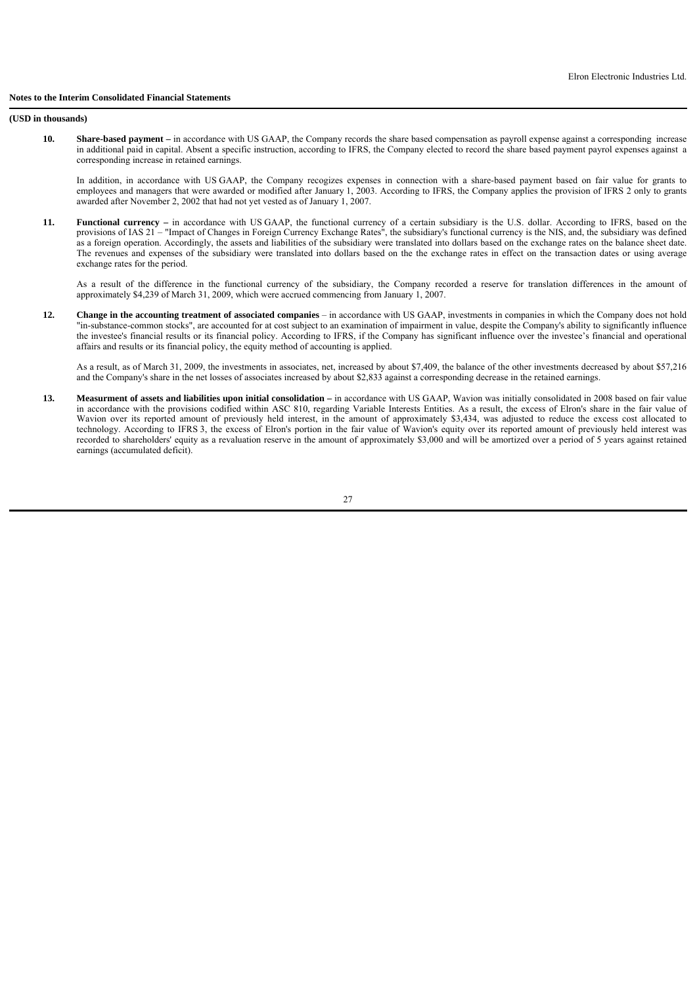#### **Notes to the Interim Consolidated Financial Statements**

**(USD in thousands)**

 **10. Share-based payment –** in accordance with US GAAP, the Company records the share based compensation as payroll expense against a corresponding increase in additional paid in capital. Absent a specific instruction, according to IFRS, the Company elected to record the share based payment payrol expenses against a corresponding increase in retained earnings.

In addition, in accordance with US GAAP, the Company recogizes expenses in connection with a share-based payment based on fair value for grants to employees and managers that were awarded or modified after January 1, 2003. According to IFRS, the Company applies the provision of IFRS 2 only to grants awarded after November 2, 2002 that had not yet vested as of January 1, 2007.

 **11. Functional currency –** in accordance with US GAAP, the functional currency of a certain subsidiary is the U.S. dollar. According to IFRS, based on the provisions of IAS 21 – "Impact of Changes in Foreign Currency Exchange Rates", the subsidiary's functional currency is the NIS, and, the subsidiary was defined as a foreign operation. Accordingly, the assets and liabilities of the subsidiary were translated into dollars based on the exchange rates on the balance sheet date. The revenues and expenses of the subsidiary were translated into dollars based on the the exchange rates in effect on the transaction dates or using average exchange rates for the period.

 As a result of the difference in the functional currency of the subsidiary, the Company recorded a reserve for translation differences in the amount of approximately \$4,239 of March 31, 2009, which were accrued commencing from January 1, 2007.

 **12. Change in the accounting treatment of associated companies** – in accordance with US GAAP, investments in companies in which the Company does not hold "in-substance-common stocks", are accounted for at cost subject to an examination of impairment in value, despite the Company's ability to significantly influence the investee's financial results or its financial policy. According to IFRS, if the Company has significant influence over the investee's financial and operational affairs and results or its financial policy, the equity method of accounting is applied.

 As a result, as of March 31, 2009, the investments in associates, net, increased by about \$7,409, the balance of the other investments decreased by about \$57,216 and the Company's share in the net losses of associates increased by about \$2,833 against a corresponding decrease in the retained earnings.

 **13. Measurment of assets and liabilities upon initial consolidation –** in accordance with US GAAP, Wavion was initially consolidated in 2008 based on fair value in accordance with the provisions codified within ASC 810, regarding Variable Interests Entities. As a result, the excess of Elron's share in the fair value of Wavion over its reported amount of previously held interest, in the amount of approximately \$3,434, was adjusted to reduce the excess cost allocated to technology. According to IFRS 3, the excess of Elron's portion in the fair value of Wavion's equity over its reported amount of previously held interest was recorded to shareholders' equity as a revaluation reserve in the amount of approximately \$3,000 and will be amortized over a period of 5 years against retained earnings (accumulated deficit).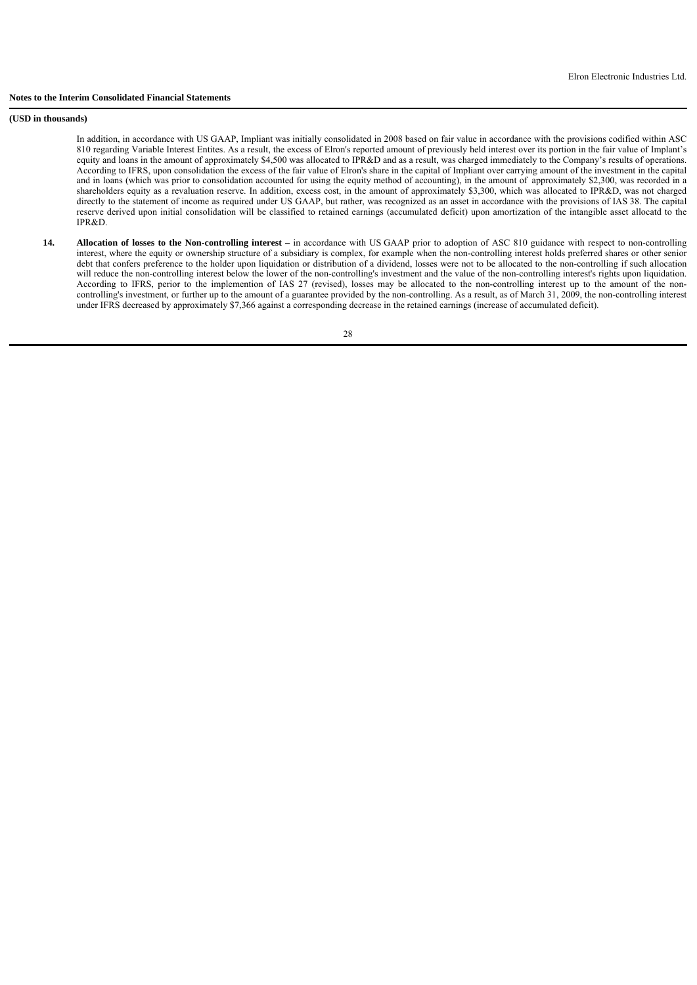#### **Notes to the Interim Consolidated Financial Statements**

**(USD in thousands)**

 In addition, in accordance with US GAAP, Impliant was initially consolidated in 2008 based on fair value in accordance with the provisions codified within ASC 810 regarding Variable Interest Entites. As a result, the excess of Elron's reported amount of previously held interest over its portion in the fair value of Implant's equity and loans in the amount of approximately \$4,500 was allocated to IPR&D and as a result, was charged immediately to the Company's results of operations. According to IFRS, upon consolidation the excess of the fair value of Elron's share in the capital of Impliant over carrying amount of the investment in the capital and in loans (which was prior to consolidation accounted for using the equity method of accounting), in the amount of approximately \$2,300, was recorded in a shareholders equity as a revaluation reserve. In addition, excess cost, in the amount of approximately \$3,300, which was allocated to IPR&D, was not charged directly to the statement of income as required under US GAAP, but rather, was recognized as an asset in accordance with the provisions of IAS 38. The capital reserve derived upon initial consolidation will be classified to retained earnings (accumulated deficit) upon amortization of the intangible asset allocatd to the IPR&D.

 **14. Allocation of losses to the Non-controlling interest –** in accordance with US GAAP prior to adoption of ASC 810 guidance with respect to non-controlling interest, where the equity or ownership structure of a subsidiary is complex, for example when the non-controlling interest holds preferred shares or other senior debt that confers preference to the holder upon liquidation or distribution of a dividend, losses were not to be allocated to the non-controlling if such allocation will reduce the non-controlling interest below the lower of the non-controlling's investment and the value of the non-controlling interest's rights upon liquidation. According to IFRS, perior to the implemention of IAS 27 (revised), losses may be allocated to the non-controlling interest up to the amount of the noncontrolling's investment, or further up to the amount of a guarantee provided by the non-controlling. As a result, as of March 31, 2009, the non-controlling interest under IFRS decreased by approximately \$7,366 against a corresponding decrease in the retained earnings (increase of accumulated deficit).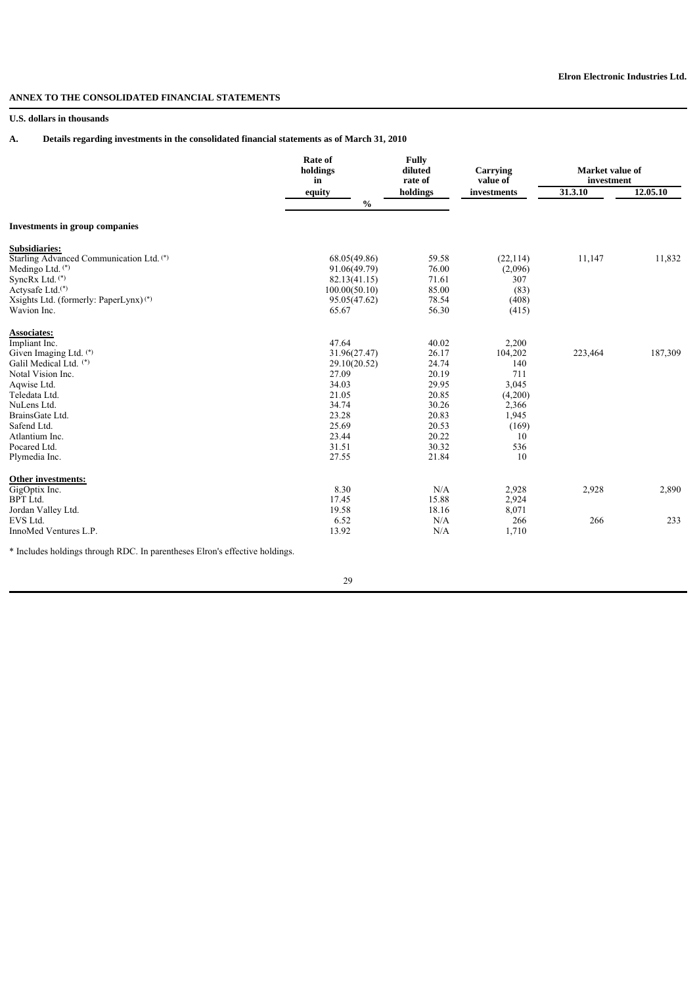# **ANNEX TO THE CONSOLIDATED FINANCIAL STATEMENTS**

## **U.S. dollars in thousands**

# **A. Details regarding investments in the consolidated financial statements as of March 31, 2010**

|                                                                            | <b>Rate of</b><br>holdings<br>in | <b>Fully</b><br>diluted<br>rate of |             | Market value of<br>investment |          |
|----------------------------------------------------------------------------|----------------------------------|------------------------------------|-------------|-------------------------------|----------|
|                                                                            | equity                           | holdings                           | investments | 31.3.10                       | 12.05.10 |
|                                                                            | $\frac{0}{0}$                    |                                    |             |                               |          |
| <b>Investments in group companies</b>                                      |                                  |                                    |             |                               |          |
| Subsidiaries:                                                              |                                  |                                    |             |                               |          |
| Starling Advanced Communication Ltd. (*)                                   | 68.05(49.86)                     | 59.58                              | (22, 114)   | 11,147                        | 11,832   |
| Medingo Ltd. $(*)$                                                         | 91.06(49.79)                     | 76.00                              | (2,096)     |                               |          |
| SyncRx Ltd. <sup>(*)</sup>                                                 | 82.13(41.15)                     | 71.61                              | 307         |                               |          |
| Actysafe Ltd. <sup>(*)</sup>                                               | 100.00(50.10)                    | 85.00                              | (83)        |                               |          |
| Xsights Ltd. (formerly: PaperLynx) <sup>(*)</sup>                          | 95.05(47.62)                     | 78.54                              | (408)       |                               |          |
| Wavion Inc.                                                                | 65.67                            | 56.30                              | (415)       |                               |          |
| <b>Associates:</b>                                                         |                                  |                                    |             |                               |          |
| Impliant Inc.                                                              | 47.64                            | 40.02                              | 2,200       |                               |          |
| Given Imaging Ltd. (*)                                                     | 31.96(27.47)                     | 26.17                              | 104,202     | 223,464                       | 187,309  |
| Galil Medical Ltd. (*)                                                     | 29.10(20.52)                     | 24.74                              | 140         |                               |          |
| Notal Vision Inc.                                                          | 27.09                            | 20.19                              | 711         |                               |          |
| Aqwise Ltd.                                                                | 34.03                            | 29.95                              | 3,045       |                               |          |
| Teledata Ltd.                                                              | 21.05                            | 20.85                              | (4,200)     |                               |          |
| NuLens Ltd.                                                                | 34.74                            | 30.26                              | 2,366       |                               |          |
| BrainsGate Ltd.                                                            | 23.28                            | 20.83                              | 1,945       |                               |          |
| Safend Ltd.                                                                | 25.69                            | 20.53                              | (169)       |                               |          |
| Atlantium Inc.                                                             | 23.44                            | 20.22                              | 10          |                               |          |
| Pocared Ltd.                                                               | 31.51                            | 30.32                              | 536         |                               |          |
| Plymedia Inc.                                                              | 27.55                            | 21.84                              | 10          |                               |          |
| Other investments:                                                         |                                  |                                    |             |                               |          |
| GigOptix Inc.                                                              | 8.30                             | N/A                                | 2,928       | 2,928                         | 2,890    |
| <b>BPT</b> Ltd.                                                            | 17.45                            | 15.88                              | 2,924       |                               |          |
| Jordan Valley Ltd.                                                         | 19.58                            | 18.16                              | 8,071       |                               |          |
| EVS Ltd.                                                                   | 6.52                             | N/A                                | 266         | 266                           | 233      |
| InnoMed Ventures L.P.                                                      | 13.92                            | N/A                                | 1,710       |                               |          |
| * Includes holdings through DDC. In normatheoes Elropis offective holdings |                                  |                                    |             |                               |          |

\* Includes holdings through RDC. In parentheses Elron's effective holdings.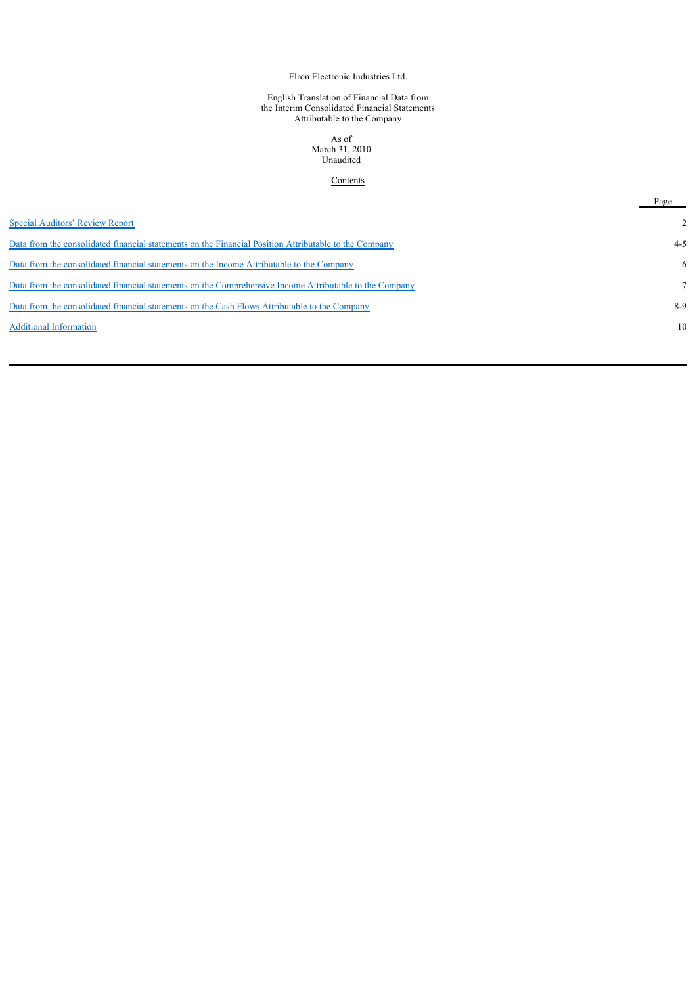Elron Electronic Industries Ltd.

#### English Translation of Financial Data from the Interim Consolidated Financial Statements Attributable to the Company

As of March 31, 2010 Unaudited

## **Contents**

|                                                                                                         | Page    |
|---------------------------------------------------------------------------------------------------------|---------|
| Special Auditors' Review Report                                                                         |         |
| Data from the consolidated financial statements on the Financial Position Attributable to the Company   | $4 - 5$ |
| Data from the consolidated financial statements on the Income Attributable to the Company               | 6       |
| Data from the consolidated financial statements on the Comprehensive Income Attributable to the Company |         |
| Data from the consolidated financial statements on the Cash Flows Attributable to the Company           | 8-9     |
| <b>Additional Information</b>                                                                           | 10      |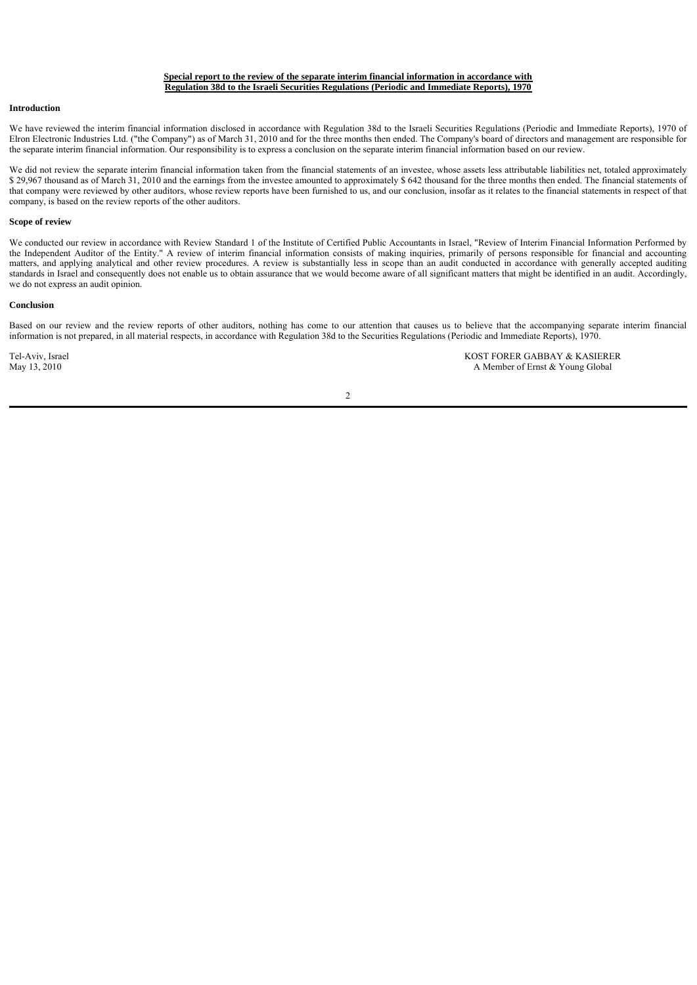### **Special report to the review of the separate interim financial information in accordance with Regulation 38d to the Israeli Securities Regulations (Periodic and Immediate Reports), 1970**

### **Introduction**

We have reviewed the interim financial information disclosed in accordance with Regulation 38d to the Israeli Securities Regulations (Periodic and Immediate Reports), 1970 of Elron Electronic Industries Ltd. ("the Company") as of March 31, 2010 and for the three months then ended. The Company's board of directors and management are responsible for the separate interim financial information. Our responsibility is to express a conclusion on the separate interim financial information based on our review.

We did not review the separate interim financial information taken from the financial statements of an investee, whose assets less attributable liabilities net, totaled approximately \$ 29,967 thousand as of March 31, 2010 and the earnings from the investee amounted to approximately \$ 642 thousand for the three months then ended. The financial statements of that company were reviewed by other auditors, whose review reports have been furnished to us, and our conclusion, insofar as it relates to the financial statements in respect of that company, is based on the review reports of the other auditors.

#### **Scope of review**

We conducted our review in accordance with Review Standard 1 of the Institute of Certified Public Accountants in Israel, "Review of Interim Financial Information Performed by the Independent Auditor of the Entity." A review of interim financial information consists of making inquiries, primarily of persons responsible for financial and accounting matters, and applying analytical and other review procedures. A review is substantially less in scope than an audit conducted in accordance with generally accepted auditing standards in Israel and consequently does not enable us to obtain assurance that we would become aware of all significant matters that might be identified in an audit. Accordingly, we do not express an audit opinion.

#### **Conclusion**

Based on our review and the review reports of other auditors, nothing has come to our attention that causes us to believe that the accompanying separate interim financial information is not prepared, in all material respects, in accordance with Regulation 38d to the Securities Regulations (Periodic and Immediate Reports), 1970.

 $\overline{2}$ 

Tel-Aviv, Israel **Tel-Aviv, Israel** KOST FORER GABBAY & KASIERER<br>May 13, 2010 **A Member of Ernst & Young Global** A Member of Ernst & Young Global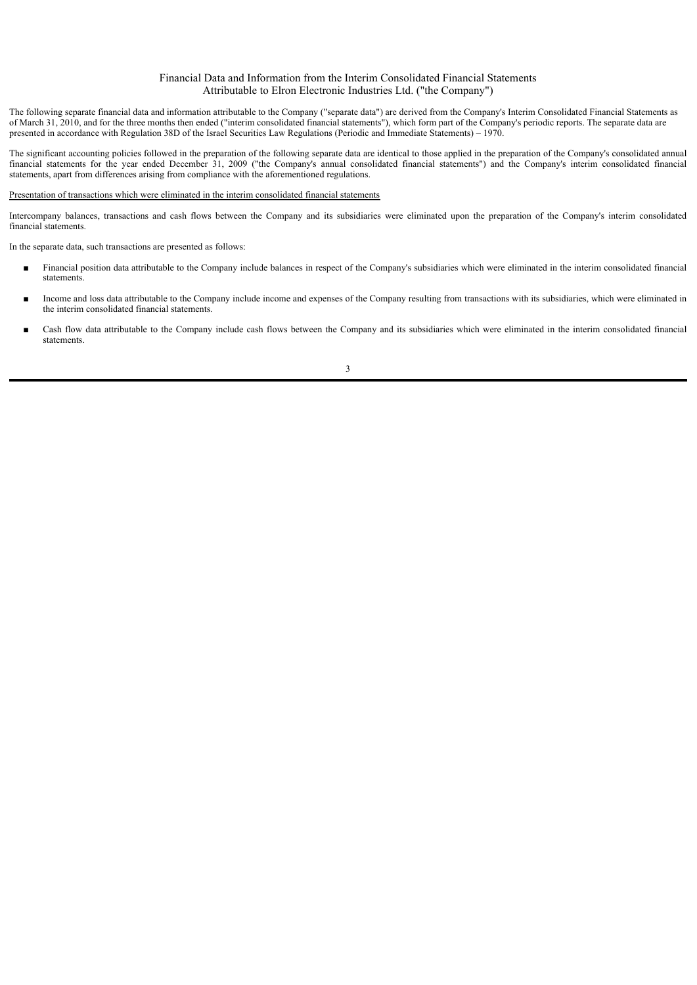## Financial Data and Information from the Interim Consolidated Financial Statements Attributable to Elron Electronic Industries Ltd. ("the Company")

The following separate financial data and information attributable to the Company ("separate data") are derived from the Company's Interim Consolidated Financial Statements as of March 31, 2010, and for the three months then ended ("interim consolidated financial statements"), which form part of the Company's periodic reports. The separate data are presented in accordance with Regulation 38D of the Israel Securities Law Regulations (Periodic and Immediate Statements) – 1970.

The significant accounting policies followed in the preparation of the following separate data are identical to those applied in the preparation of the Company's consolidated annual financial statements for the year ended December 31, 2009 ("the Company's annual consolidated financial statements") and the Company's interim consolidated financial statements, apart from differences arising from compliance with the aforementioned regulations.

#### Presentation of transactions which were eliminated in the interim consolidated financial statements

Intercompany balances, transactions and cash flows between the Company and its subsidiaries were eliminated upon the preparation of the Company's interim consolidated financial statements.

In the separate data, such transactions are presented as follows:

- Financial position data attributable to the Company include balances in respect of the Company's subsidiaries which were eliminated in the interim consolidated financial statements.
- Income and loss data attributable to the Company include income and expenses of the Company resulting from transactions with its subsidiaries, which were eliminated in the interim consolidated financial statements.
- Cash flow data attributable to the Company include cash flows between the Company and its subsidiaries which were eliminated in the interim consolidated financial statements.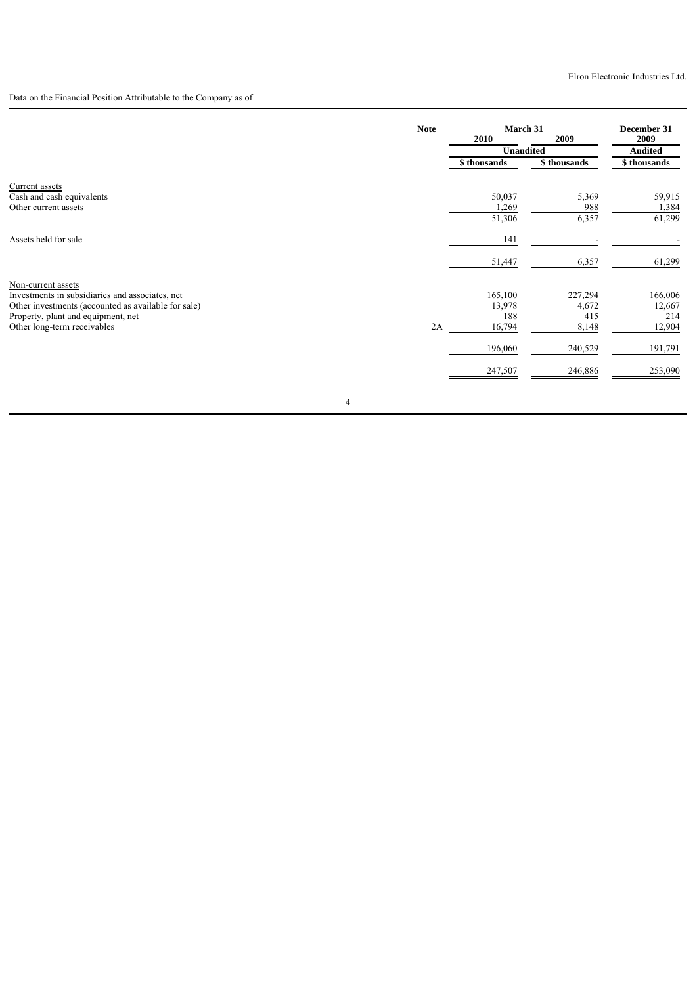Data on the Financial Position Attributable to the Company as of

|                                                     | <b>Note</b> | March 31         |             | December 31    |
|-----------------------------------------------------|-------------|------------------|-------------|----------------|
|                                                     |             | 2010             | 2009        | 2009           |
|                                                     |             | <b>Unaudited</b> |             | <b>Audited</b> |
|                                                     |             | \$ thousands     | \$thousands | \$ thousands   |
| Current assets                                      |             |                  |             |                |
| Cash and cash equivalents                           |             | 50,037           | 5,369       | 59,915         |
| Other current assets                                |             | 1,269            | 988         | 1,384          |
|                                                     |             | 51,306           | 6,357       | 61,299         |
| Assets held for sale                                |             | 141              |             |                |
|                                                     |             | 51,447           | 6,357       | 61,299         |
| Non-current assets                                  |             |                  |             |                |
| Investments in subsidiaries and associates, net     |             | 165,100          | 227,294     | 166,006        |
| Other investments (accounted as available for sale) |             | 13,978           | 4,672       | 12,667         |
| Property, plant and equipment, net                  |             | 188              | 415         | 214            |
| Other long-term receivables                         | 2A          | 16,794           | 8,148       | 12,904         |
|                                                     |             | 196,060          | 240,529     | 191,791        |
|                                                     |             | 247,507          | 246,886     | 253,090        |
|                                                     |             |                  |             |                |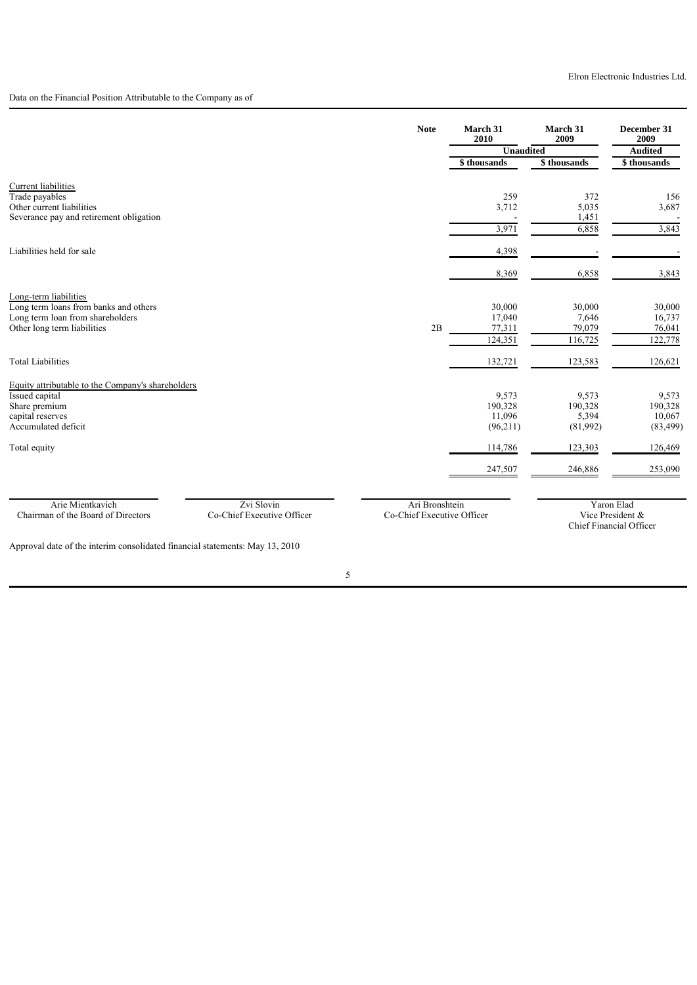# Data on the Financial Position Attributable to the Company as of

|                                                                                                    | <b>Note</b>                                  | March 31<br>2010 | March 31<br>2009 | December 31<br>2009            |
|----------------------------------------------------------------------------------------------------|----------------------------------------------|------------------|------------------|--------------------------------|
|                                                                                                    |                                              | Unaudited        |                  | <b>Audited</b>                 |
|                                                                                                    |                                              | \$ thousands     | \$ thousands     | \$thousands                    |
| Current liabilities<br>Trade payables                                                              |                                              | 259              | 372              | 156                            |
| Other current liabilities<br>Severance pay and retirement obligation                               |                                              | 3,712            | 5,035<br>1,451   | 3,687                          |
|                                                                                                    |                                              | 3,971            | 6,858            | 3,843                          |
| Liabilities held for sale                                                                          |                                              | 4,398            |                  |                                |
|                                                                                                    |                                              | 8,369            | 6,858            | 3,843                          |
| Long-term liabilities                                                                              |                                              |                  |                  |                                |
| Long term loans from banks and others<br>Long term loan from shareholders                          |                                              | 30,000<br>17,040 | 30,000<br>7,646  | 30,000<br>16,737               |
| Other long term liabilities                                                                        | 2B                                           | 77,311           | 79,079           | 76,041                         |
|                                                                                                    |                                              | 124,351          | 116,725          | 122,778                        |
| <b>Total Liabilities</b>                                                                           |                                              | 132,721          | 123,583          | 126,621                        |
| Equity attributable to the Company's shareholders                                                  |                                              |                  |                  |                                |
| <b>Issued</b> capital                                                                              |                                              | 9,573<br>190,328 | 9,573<br>190,328 | 9,573<br>190,328               |
| Share premium<br>capital reserves                                                                  |                                              | 11,096           | 5,394            | 10,067                         |
| Accumulated deficit                                                                                |                                              | (96,211)         | (81,992)         | (83, 499)                      |
| Total equity                                                                                       |                                              | 114,786          | 123,303          | 126,469                        |
|                                                                                                    |                                              | 247,507          | 246,886          | 253,090                        |
| Zvi Slovin<br>Arie Mientkavich<br>Chairman of the Board of Directors<br>Co-Chief Executive Officer | Ari Bronshtein<br>Co-Chief Executive Officer |                  |                  | Yaron Elad<br>Vice President & |

Vice President &<br>Chief Financial Officer

Approval date of the interim consolidated financial statements: May 13, 2010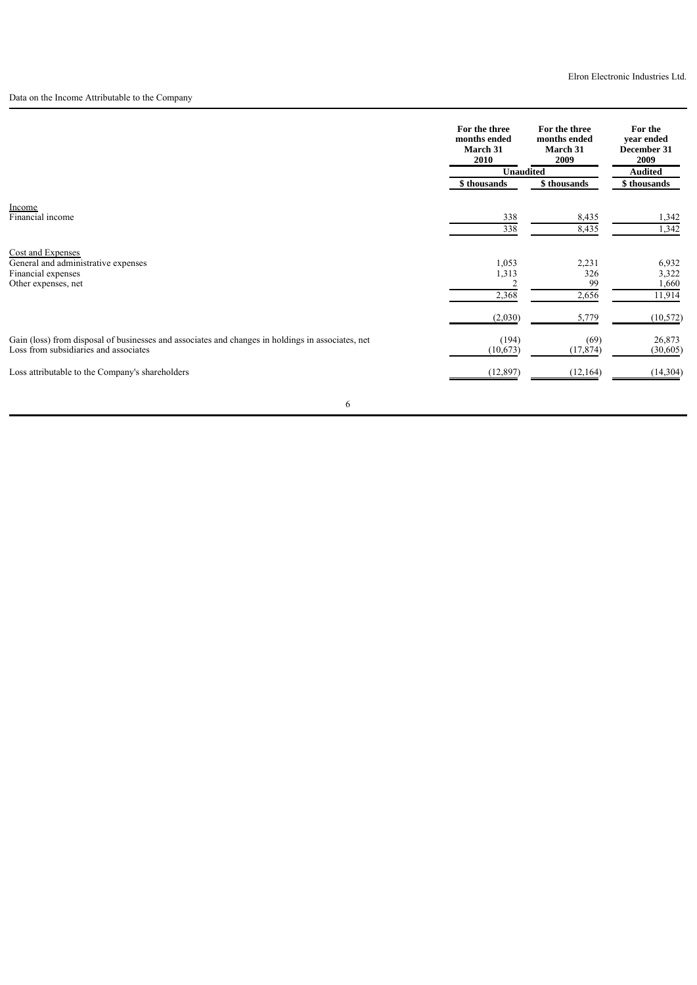Data on the Income Attributable to the Company

|                                                                                                   | For the three<br>months ended<br>March 31<br>2010 | For the three<br>months ended<br>March 31<br>2009 | For the<br>year ended<br>December 31<br>2009 |  |
|---------------------------------------------------------------------------------------------------|---------------------------------------------------|---------------------------------------------------|----------------------------------------------|--|
|                                                                                                   | <b>Unaudited</b>                                  |                                                   | <b>Audited</b>                               |  |
|                                                                                                   | \$ thousands                                      | \$ thousands                                      | \$ thousands                                 |  |
| Income                                                                                            |                                                   |                                                   |                                              |  |
| Financial income                                                                                  | 338                                               | 8,435                                             | 1,342                                        |  |
|                                                                                                   | 338                                               | 8,435                                             | 1,342                                        |  |
| Cost and Expenses                                                                                 |                                                   |                                                   |                                              |  |
| General and administrative expenses                                                               | 1,053                                             | 2,231                                             | 6,932                                        |  |
| Financial expenses                                                                                | 1,313                                             | 326                                               | 3,322                                        |  |
| Other expenses, net                                                                               |                                                   | 99                                                | 1,660                                        |  |
|                                                                                                   | 2,368                                             | 2,656                                             | 11,914                                       |  |
|                                                                                                   | (2,030)                                           | 5,779                                             | (10, 572)                                    |  |
| Gain (loss) from disposal of businesses and associates and changes in holdings in associates, net | (194)                                             | (69)                                              | 26,873                                       |  |
| Loss from subsidiaries and associates                                                             | (10,673)                                          | (17, 874)                                         | (30,605)                                     |  |
| Loss attributable to the Company's shareholders                                                   | (12, 897)                                         | (12,164)                                          | (14, 304)                                    |  |
|                                                                                                   |                                                   |                                                   |                                              |  |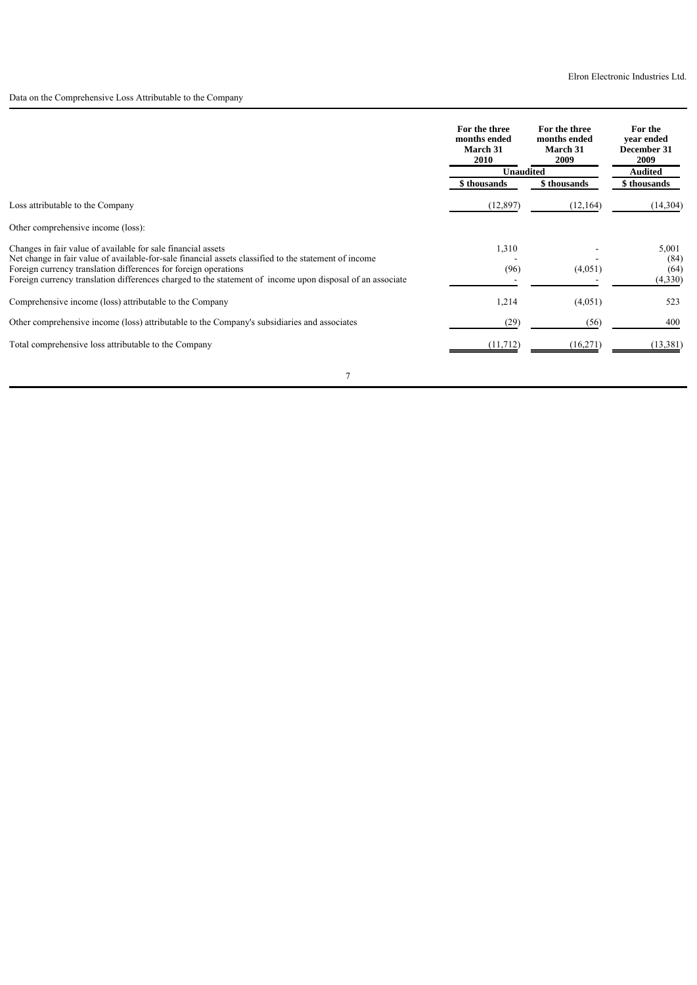Data on the Comprehensive Loss Attributable to the Company

|                                                                                                                                                                          | For the three<br>months ended<br><b>March 31</b><br>2010 | For the three<br>months ended<br><b>March 31</b><br>2009 | For the<br>vear ended<br>December 31<br>2009 |
|--------------------------------------------------------------------------------------------------------------------------------------------------------------------------|----------------------------------------------------------|----------------------------------------------------------|----------------------------------------------|
|                                                                                                                                                                          | <b>Unaudited</b>                                         |                                                          | <b>Audited</b>                               |
|                                                                                                                                                                          | \$ thousands                                             | \$ thousands                                             | \$ thousands                                 |
| Loss attributable to the Company                                                                                                                                         | (12, 897)                                                | (12, 164)                                                | (14,304)                                     |
| Other comprehensive income (loss):                                                                                                                                       |                                                          |                                                          |                                              |
| Changes in fair value of available for sale financial assets                                                                                                             | 1,310                                                    |                                                          | 5,001                                        |
| Net change in fair value of available-for-sale financial assets classified to the statement of income<br>Foreign currency translation differences for foreign operations | (96)                                                     | (4,051)                                                  | (84)<br>(64)                                 |
| Foreign currency translation differences charged to the statement of income upon disposal of an associate                                                                |                                                          |                                                          | (4,330)                                      |
| Comprehensive income (loss) attributable to the Company                                                                                                                  | 1,214                                                    | (4,051)                                                  | 523                                          |
| Other comprehensive income (loss) attributable to the Company's subsidiaries and associates                                                                              | (29)                                                     | (56)                                                     | 400                                          |
| Total comprehensive loss attributable to the Company                                                                                                                     | (11, 712)                                                | (16,271)                                                 | (13, 381)                                    |
|                                                                                                                                                                          |                                                          |                                                          |                                              |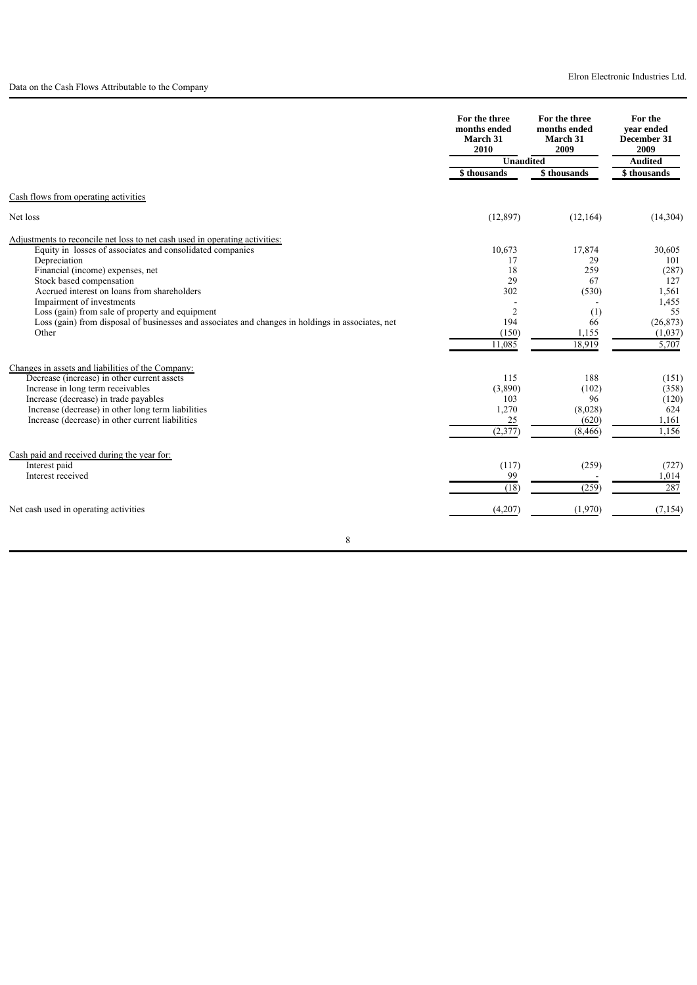|                                                                                                   |                                                                                                                                                                                                                                                                                                                                                                                                                                                                               | 2009           | vear ended<br>December 31<br>2009 |
|---------------------------------------------------------------------------------------------------|-------------------------------------------------------------------------------------------------------------------------------------------------------------------------------------------------------------------------------------------------------------------------------------------------------------------------------------------------------------------------------------------------------------------------------------------------------------------------------|----------------|-----------------------------------|
|                                                                                                   | For the three<br>For the three<br>months ended<br>months ended<br>March 31<br>March 31<br>2010<br>Unaudited<br>\$ thousands<br>\$ thousands<br>(12, 897)<br>(12, 164)<br>17,874<br>10,673<br>17<br>29<br>18<br>259<br>29<br>67<br>302<br>(530)<br>$\overline{2}$<br>(1)<br>194<br>66<br>1,155<br>(150)<br>11,085<br>18,919<br>115<br>188<br>(3,890)<br>(102)<br>103<br>96<br>1,270<br>(8,028)<br>25<br>(620)<br>(2, 377)<br>(8, 466)<br>(117)<br>(259)<br>99<br>(18)<br>(259) | <b>Audited</b> |                                   |
|                                                                                                   |                                                                                                                                                                                                                                                                                                                                                                                                                                                                               |                | \$thousands                       |
| Cash flows from operating activities                                                              |                                                                                                                                                                                                                                                                                                                                                                                                                                                                               |                |                                   |
| Net loss                                                                                          |                                                                                                                                                                                                                                                                                                                                                                                                                                                                               |                | (14, 304)                         |
| Adjustments to reconcile net loss to net cash used in operating activities:                       |                                                                                                                                                                                                                                                                                                                                                                                                                                                                               |                |                                   |
| Equity in losses of associates and consolidated companies                                         |                                                                                                                                                                                                                                                                                                                                                                                                                                                                               |                | 30,605                            |
| Depreciation<br>Financial (income) expenses, net                                                  |                                                                                                                                                                                                                                                                                                                                                                                                                                                                               |                | 101<br>(287)                      |
| Stock based compensation                                                                          |                                                                                                                                                                                                                                                                                                                                                                                                                                                                               |                | 127                               |
| Accrued interest on loans from shareholders                                                       |                                                                                                                                                                                                                                                                                                                                                                                                                                                                               |                | 1,561                             |
| Impairment of investments                                                                         |                                                                                                                                                                                                                                                                                                                                                                                                                                                                               |                | 1,455                             |
| Loss (gain) from sale of property and equipment                                                   |                                                                                                                                                                                                                                                                                                                                                                                                                                                                               |                | 55                                |
| Loss (gain) from disposal of businesses and associates and changes in holdings in associates, net |                                                                                                                                                                                                                                                                                                                                                                                                                                                                               |                | (26, 873)                         |
| Other                                                                                             |                                                                                                                                                                                                                                                                                                                                                                                                                                                                               |                | (1,037)                           |
|                                                                                                   |                                                                                                                                                                                                                                                                                                                                                                                                                                                                               |                | 5,707                             |
| Changes in assets and liabilities of the Company:                                                 |                                                                                                                                                                                                                                                                                                                                                                                                                                                                               |                |                                   |
| Decrease (increase) in other current assets                                                       |                                                                                                                                                                                                                                                                                                                                                                                                                                                                               |                | (151)                             |
| Increase in long term receivables<br>Increase (decrease) in trade payables                        |                                                                                                                                                                                                                                                                                                                                                                                                                                                                               |                | (358)<br>(120)                    |
| Increase (decrease) in other long term liabilities                                                |                                                                                                                                                                                                                                                                                                                                                                                                                                                                               |                | 624                               |
| Increase (decrease) in other current liabilities                                                  |                                                                                                                                                                                                                                                                                                                                                                                                                                                                               |                | 1,161                             |
|                                                                                                   |                                                                                                                                                                                                                                                                                                                                                                                                                                                                               |                | 1,156                             |
| Cash paid and received during the year for:                                                       |                                                                                                                                                                                                                                                                                                                                                                                                                                                                               |                |                                   |
| Interest paid                                                                                     |                                                                                                                                                                                                                                                                                                                                                                                                                                                                               |                | (727)                             |
| Interest received                                                                                 |                                                                                                                                                                                                                                                                                                                                                                                                                                                                               |                | 1,014                             |
|                                                                                                   |                                                                                                                                                                                                                                                                                                                                                                                                                                                                               |                | 287                               |
| Net cash used in operating activities                                                             | (4,207)                                                                                                                                                                                                                                                                                                                                                                                                                                                                       | (1,970)        | (7, 154)                          |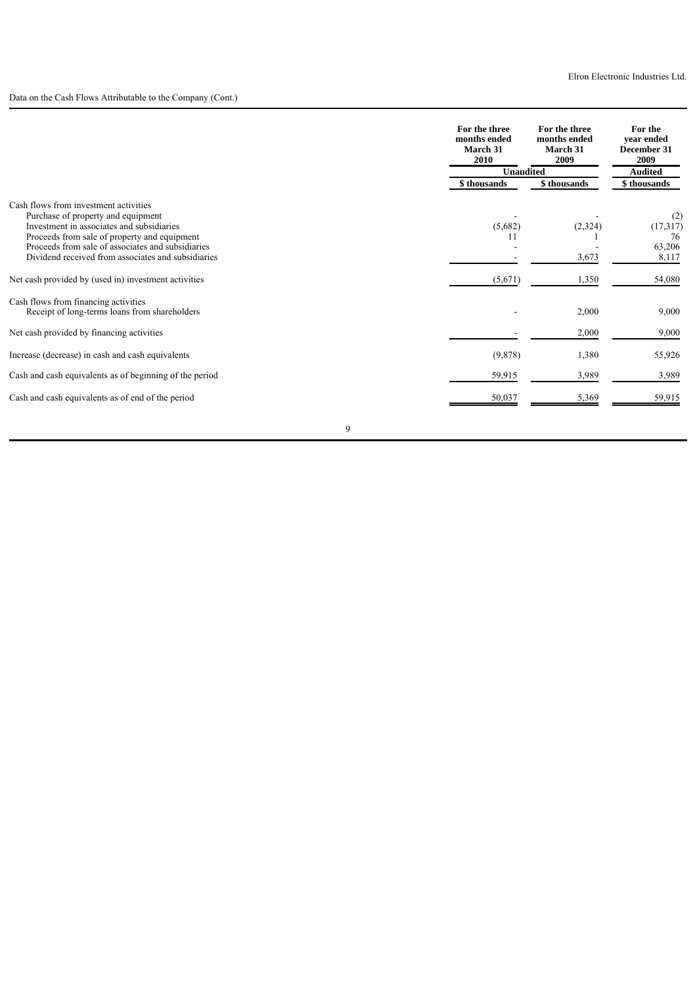# Data on the Cash Flows Attributable to the Company (Cont.)

|                                                                                                                                                                                                                               | For the three<br>months ended<br>March 31<br>2010 | For the three<br>months ended<br>March 31<br>2009 | For the<br>vear ended<br>December 31<br>2009 |
|-------------------------------------------------------------------------------------------------------------------------------------------------------------------------------------------------------------------------------|---------------------------------------------------|---------------------------------------------------|----------------------------------------------|
|                                                                                                                                                                                                                               |                                                   | <b>Unaudited</b>                                  |                                              |
|                                                                                                                                                                                                                               | \$ thousands                                      | \$ thousands                                      | \$thousands                                  |
| Cash flows from investment activities<br>Purchase of property and equipment<br>Investment in associates and subsidiaries<br>Proceeds from sale of property and equipment<br>Proceeds from sale of associates and subsidiaries | (5,682)<br>11                                     | (2,324)                                           | (2)<br>(17,317)<br>76<br>63,206              |
| Dividend received from associates and subsidiaries                                                                                                                                                                            |                                                   | 3,673                                             | 8,117                                        |
| Net cash provided by (used in) investment activities                                                                                                                                                                          | (5,671)                                           | 1,350                                             | 54,080                                       |
| Cash flows from financing activities<br>Receipt of long-terms loans from shareholders                                                                                                                                         |                                                   | 2,000                                             | 9,000                                        |
| Net cash provided by financing activities                                                                                                                                                                                     |                                                   | 2,000                                             | 9,000                                        |
| Increase (decrease) in cash and cash equivalents                                                                                                                                                                              | (9,878)                                           | 1,380                                             | 55,926                                       |
| Cash and cash equivalents as of beginning of the period                                                                                                                                                                       | 59,915                                            | 3,989                                             | 3,989                                        |
| Cash and cash equivalents as of end of the period                                                                                                                                                                             | 50,037                                            | 5,369                                             | 59,915                                       |
|                                                                                                                                                                                                                               | 9                                                 |                                                   |                                              |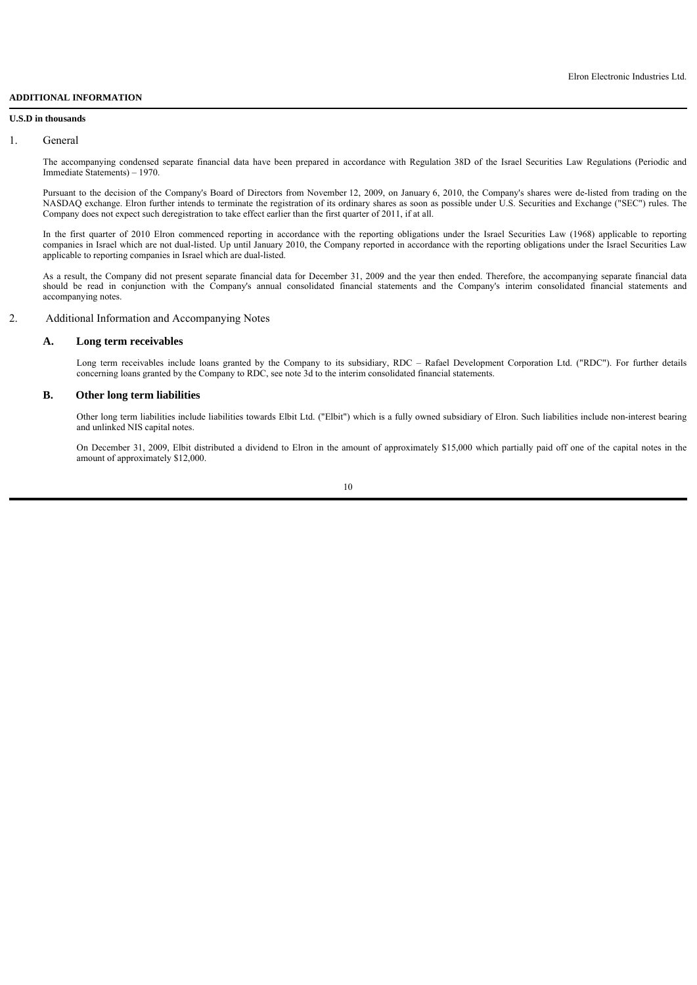## **ADDITIONAL INFORMATION**

#### **U.S.D in thousands**

#### 1. General

The accompanying condensed separate financial data have been prepared in accordance with Regulation 38D of the Israel Securities Law Regulations (Periodic and Immediate Statements) – 1970.

Pursuant to the decision of the Company's Board of Directors from November 12, 2009, on January 6, 2010, the Company's shares were de-listed from trading on the NASDAQ exchange. Elron further intends to terminate the registration of its ordinary shares as soon as possible under U.S. Securities and Exchange ("SEC") rules. The Company does not expect such deregistration to take effect earlier than the first quarter of 2011, if at all.

In the first quarter of 2010 Elron commenced reporting in accordance with the reporting obligations under the Israel Securities Law (1968) applicable to reporting companies in Israel which are not dual-listed. Up until January 2010, the Company reported in accordance with the reporting obligations under the Israel Securities Law applicable to reporting companies in Israel which are dual-listed.

As a result, the Company did not present separate financial data for December 31, 2009 and the year then ended. Therefore, the accompanying separate financial data should be read in conjunction with the Company's annual consolidated financial statements and the Company's interim consolidated financial statements and accompanying notes.

## 2. Additional Information and Accompanying Notes

### **A. Long term receivables**

Long term receivables include loans granted by the Company to its subsidiary, RDC – Rafael Development Corporation Ltd. ("RDC"). For further details concerning loans granted by the Company to RDC, see note 3d to the interim consolidated financial statements.

# **B. Other long term liabilities**

Other long term liabilities include liabilities towards Elbit Ltd. ("Elbit") which is a fully owned subsidiary of Elron. Such liabilities include non-interest bearing and unlinked NIS capital notes.

On December 31, 2009, Elbit distributed a dividend to Elron in the amount of approximately \$15,000 which partially paid off one of the capital notes in the amount of approximately \$12,000.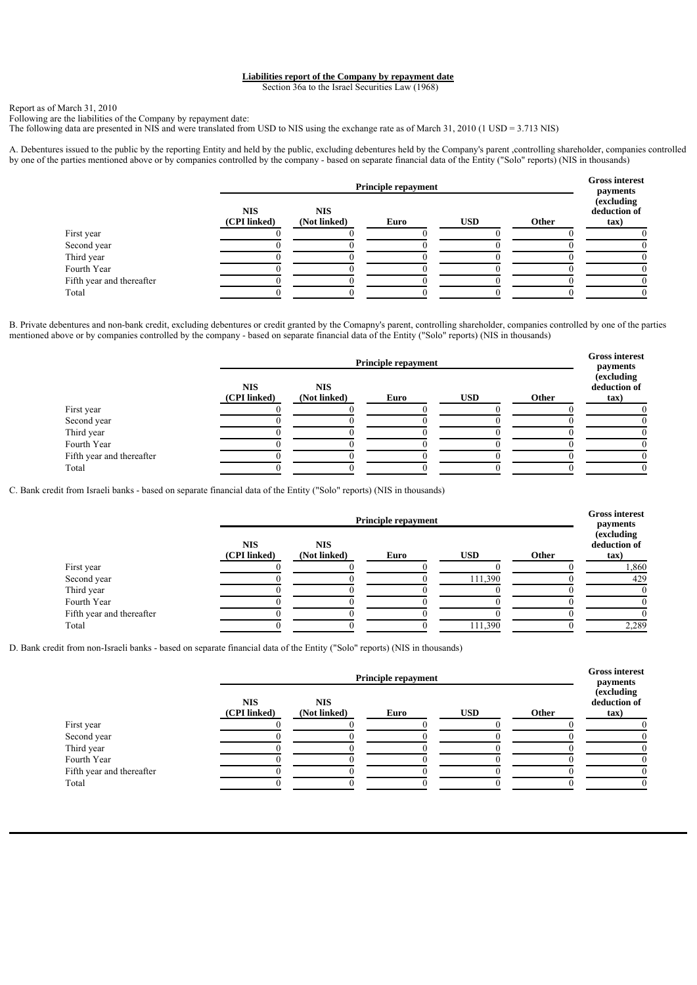## **Liabilities report of the Company by repayment date**

Section 36a to the Israel Securities Law (1968)

Report as of March 31, 2010

Following are the liabilities of the Company by repayment date: The following data are presented in NIS and were translated from USD to NIS using the exchange rate as of March 31, 2010 (1 USD = 3.713 NIS)

A. Debentures issued to the public by the reporting Entity and held by the public, excluding debentures held by the Company's parent ,controlling shareholder, companies controlled by one of the parties mentioned above or by companies controlled by the company - based on separate financial data of the Entity ("Solo" reports) (NIS in thousands)

|                           | <b>Principle repayment</b> |                            |      |            | <b>Gross interest</b><br>payments |                                    |
|---------------------------|----------------------------|----------------------------|------|------------|-----------------------------------|------------------------------------|
|                           | <b>NIS</b><br>(CPI linked) | <b>NIS</b><br>(Not linked) | Euro | <b>USD</b> | Other                             | (excluding<br>deduction of<br>tax) |
| First year                |                            |                            |      |            |                                   |                                    |
| Second year               |                            |                            |      |            |                                   |                                    |
| Third year                |                            |                            |      |            |                                   |                                    |
| Fourth Year               |                            |                            |      |            |                                   |                                    |
| Fifth year and thereafter |                            |                            |      |            |                                   |                                    |
| Total                     |                            |                            |      |            |                                   |                                    |

B. Private debentures and non-bank credit, excluding debentures or credit granted by the Comapny's parent, controlling shareholder, companies controlled by one of the parties mentioned above or by companies controlled by the company - based on separate financial data of the Entity ("Solo" reports) (NIS in thousands)

|                           | <b>Principle repayment</b> |                            |      |            |       | <b>Gross interest</b><br>payments  |
|---------------------------|----------------------------|----------------------------|------|------------|-------|------------------------------------|
|                           | <b>NIS</b><br>(CPI linked) | <b>NIS</b><br>(Not linked) | Euro | <b>USD</b> | Other | (excluding<br>deduction of<br>tax) |
| First year                |                            |                            |      |            |       |                                    |
| Second year               |                            |                            |      |            |       |                                    |
| Third year                |                            |                            |      |            |       |                                    |
| Fourth Year               |                            |                            |      |            |       |                                    |
| Fifth year and thereafter |                            |                            |      |            |       |                                    |
| Total                     |                            |                            |      |            |       |                                    |

C. Bank credit from Israeli banks - based on separate financial data of the Entity ("Solo" reports) (NIS in thousands)

|                           | <b>Principle repayment</b> |                            |      |            |       |                                                        |
|---------------------------|----------------------------|----------------------------|------|------------|-------|--------------------------------------------------------|
|                           | <b>NIS</b><br>(CPI linked) | <b>NIS</b><br>(Not linked) | Euro | <b>USD</b> | Other | payments<br><i>(excluding)</i><br>deduction of<br>tax) |
| First year                |                            |                            |      |            |       | 1,860                                                  |
| Second year               |                            |                            |      | 111,390    |       | 429                                                    |
| Third year                |                            |                            |      |            |       |                                                        |
| Fourth Year               |                            |                            |      |            |       |                                                        |
| Fifth year and thereafter |                            |                            |      |            |       |                                                        |
| Total                     |                            |                            |      | 111,390    |       | 2,289                                                  |

D. Bank credit from non-Israeli banks - based on separate financial data of the Entity ("Solo" reports) (NIS in thousands)

|                           | <b>Principle repayment</b> |                            |      |            |       | <b>Gross interest</b><br>payments    |
|---------------------------|----------------------------|----------------------------|------|------------|-------|--------------------------------------|
|                           | <b>NIS</b><br>(CPI linked) | <b>NIS</b><br>(Not linked) | Euro | <b>USD</b> | Other | (excluding<br>deduction of<br>$\tan$ |
| First year                |                            |                            |      |            |       |                                      |
| Second year               |                            |                            |      |            |       |                                      |
| Third year                |                            |                            |      |            |       |                                      |
| Fourth Year               |                            |                            |      |            |       |                                      |
| Fifth year and thereafter |                            |                            |      |            |       |                                      |
| Total                     |                            |                            |      |            |       |                                      |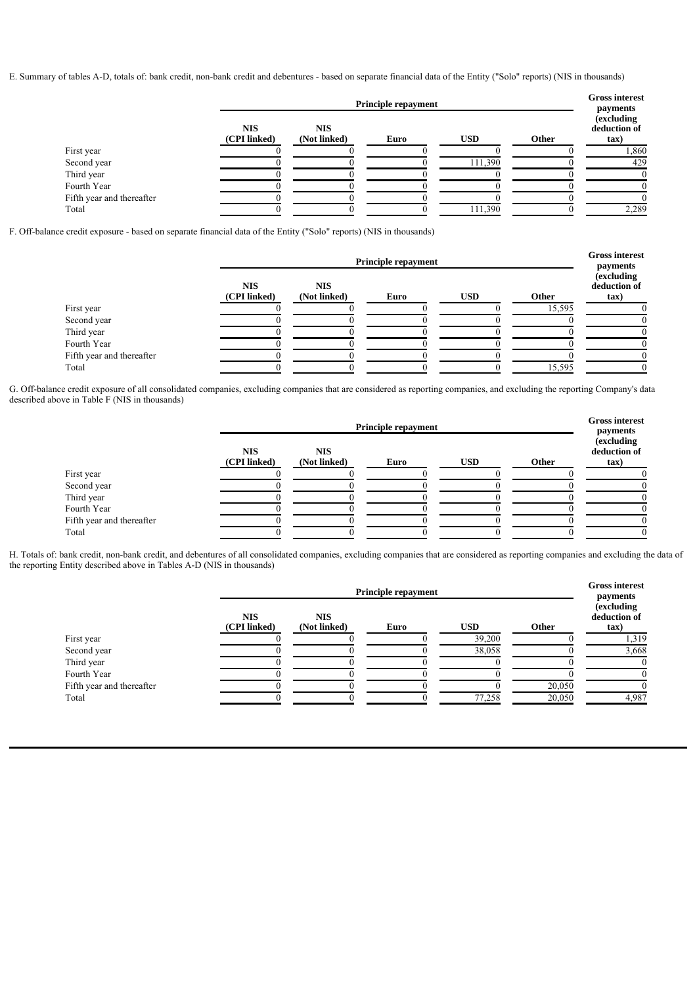E. Summary of tables A-D, totals of: bank credit, non-bank credit and debentures - based on separate financial data of the Entity ("Solo" reports) (NIS in thousands)

|                           | <b>Principle repayment</b> |                            |      |            |       |                                                                   |
|---------------------------|----------------------------|----------------------------|------|------------|-------|-------------------------------------------------------------------|
|                           | <b>NIS</b><br>(CPI linked) | <b>NIS</b><br>(Not linked) | Euro | <b>USD</b> | Other | payments<br><i>(excluding)</i><br>deduction of<br>$\mathbf{tax})$ |
| First year                |                            |                            |      |            |       | 1,860                                                             |
| Second year               |                            |                            |      | 111,390    |       | 429                                                               |
| Third year                |                            |                            |      |            |       |                                                                   |
| Fourth Year               |                            |                            |      |            |       |                                                                   |
| Fifth year and thereafter |                            |                            |      |            |       |                                                                   |
| Total                     |                            |                            |      | 111,390    |       | 2,289                                                             |

F. Off-balance credit exposure - based on separate financial data of the Entity ("Solo" reports) (NIS in thousands)

|                           | <b>Principle repayment</b> |                            |      |            |        | <b>Gross interest</b><br>payments          |
|---------------------------|----------------------------|----------------------------|------|------------|--------|--------------------------------------------|
|                           | <b>NIS</b><br>(CPI linked) | <b>NIS</b><br>(Not linked) | Euro | <b>USD</b> | Other  | <i>(excluding)</i><br>deduction of<br>tax) |
| First year                |                            |                            |      |            | 15,595 |                                            |
| Second year               |                            |                            |      |            |        |                                            |
| Third year                |                            |                            |      |            |        |                                            |
| Fourth Year               |                            |                            |      |            |        |                                            |
| Fifth year and thereafter |                            |                            |      |            |        |                                            |
| Total                     |                            |                            |      |            | 15,595 |                                            |

G. Off-balance credit exposure of all consolidated companies, excluding companies that are considered as reporting companies, and excluding the reporting Company's data described above in Table F (NIS in thousands)

|                           |                            | <b>Gross interest</b><br>payments |      |            |       |                                    |
|---------------------------|----------------------------|-----------------------------------|------|------------|-------|------------------------------------|
|                           | <b>NIS</b><br>(CPI linked) | <b>NIS</b><br>(Not linked)        | Euro | <b>USD</b> | Other | (excluding<br>deduction of<br>tax) |
| First year                |                            |                                   |      |            |       |                                    |
| Second year               |                            |                                   |      |            |       |                                    |
| Third year                |                            |                                   |      |            |       |                                    |
| Fourth Year               |                            |                                   |      |            |       |                                    |
| Fifth year and thereafter |                            |                                   |      |            |       |                                    |
| Total                     |                            |                                   |      |            |       |                                    |

H. Totals of: bank credit, non-bank credit, and debentures of all consolidated companies, excluding companies that are considered as reporting companies and excluding the data of the reporting Entity described above in Tables A-D (NIS in thousands)

|                           | <b>Principle repayment</b> |                            |      |            |        | <b>Gross interest</b><br>payments          |
|---------------------------|----------------------------|----------------------------|------|------------|--------|--------------------------------------------|
|                           | <b>NIS</b><br>(CPI linked) | <b>NIS</b><br>(Not linked) | Euro | <b>USD</b> | Other  | <i>(excluding)</i><br>deduction of<br>tax) |
| First year                |                            |                            |      | 39,200     |        | 1,319                                      |
| Second year               |                            |                            |      | 38,058     |        | 3,668                                      |
| Third year                |                            |                            |      |            |        |                                            |
| Fourth Year               |                            |                            |      |            |        |                                            |
| Fifth year and thereafter |                            |                            |      |            | 20,050 |                                            |
| Total                     |                            |                            |      | 77,258     | 20,050 | 4.987                                      |